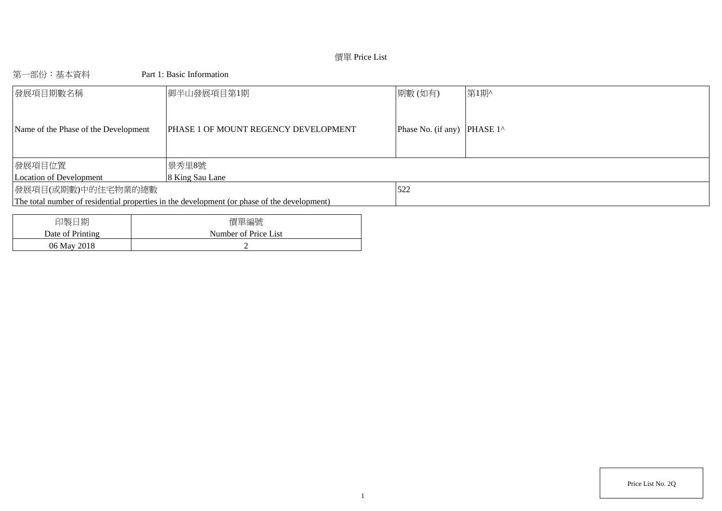## 價單 Price List

第一部份:基本資料 Part 1: Basic Information

| 發展項目期數名稱                             | 御半山發展項目第1期                                                                                  | 期數(如有)                                | 第1期^ |
|--------------------------------------|---------------------------------------------------------------------------------------------|---------------------------------------|------|
| Name of the Phase of the Development | PHASE 1 OF MOUNT REGENCY DEVELOPMENT                                                        | Phase No. (if any) PHASE $1^{\wedge}$ |      |
| 發展項目位置                               | 景秀里8號                                                                                       |                                       |      |
| Location of Development              | 8 King Sau Lane                                                                             |                                       |      |
| 發展項目(或期數)中的住宅物業的總數                   |                                                                                             | 522                                   |      |
|                                      | The total number of residential properties in the development (or phase of the development) |                                       |      |
|                                      |                                                                                             |                                       |      |
| 印制口拥                                 | 價單編號                                                                                        |                                       |      |

| 印製日期             | 價單編號                 |
|------------------|----------------------|
| Date of Printing | Number of Price List |
| 06 May 2018      |                      |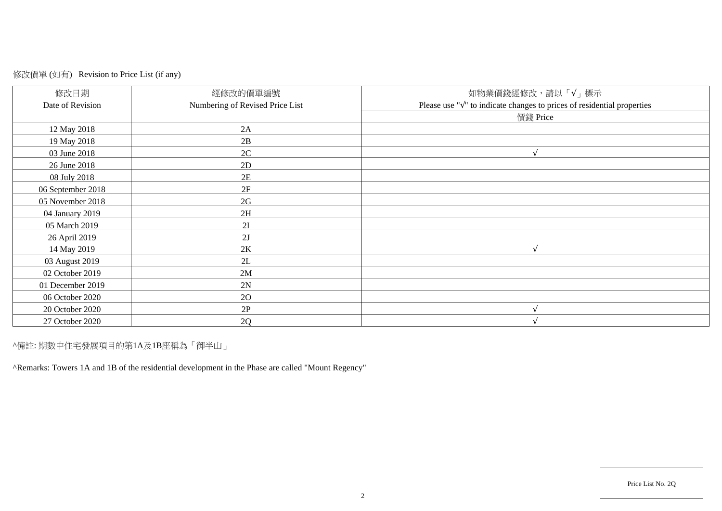## 修改價單 (如有) Revision to Price List (if any)

| 修改日期              | 經修改的價單編號                        | 如物業價錢經修改,請以「√」標示                                                                  |
|-------------------|---------------------------------|-----------------------------------------------------------------------------------|
| Date of Revision  | Numbering of Revised Price List | Please use " $\sqrt{ }$ " to indicate changes to prices of residential properties |
|                   |                                 | 價錢 Price                                                                          |
| 12 May 2018       | 2A                              |                                                                                   |
| 19 May 2018       | 2B                              |                                                                                   |
| 03 June 2018      | 2C                              | $\Delta$                                                                          |
| 26 June 2018      | 2D                              |                                                                                   |
| 08 July 2018      | 2E                              |                                                                                   |
| 06 September 2018 | 2F                              |                                                                                   |
| 05 November 2018  | 2G                              |                                                                                   |
| 04 January 2019   | 2H                              |                                                                                   |
| 05 March 2019     | 2I                              |                                                                                   |
| 26 April 2019     | 2J                              |                                                                                   |
| 14 May 2019       | 2K                              | $\Delta$                                                                          |
| 03 August 2019    | 2L                              |                                                                                   |
| 02 October 2019   | 2M                              |                                                                                   |
| 01 December 2019  | 2N                              |                                                                                   |
| 06 October 2020   | <b>2O</b>                       |                                                                                   |
| 20 October 2020   | 2P                              |                                                                                   |
| 27 October 2020   | 2Q                              |                                                                                   |

^備註: 期數中住宅發展項目的第1A及1B座稱為「御半山」

^Remarks: Towers 1A and 1B of the residential development in the Phase are called "Mount Regency"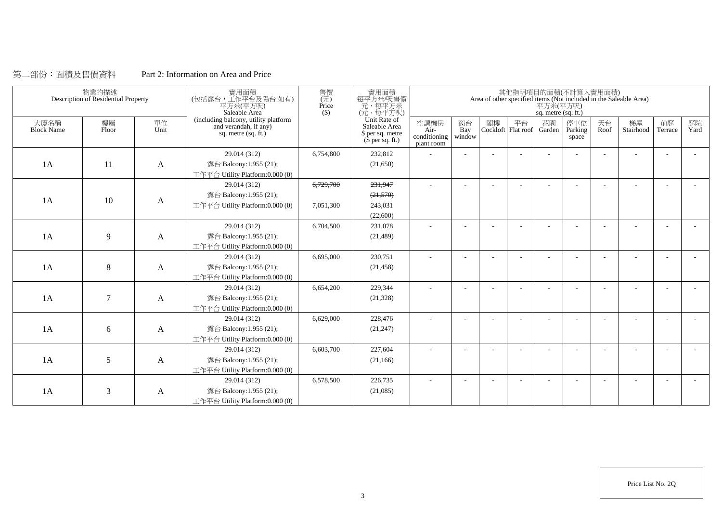### 第二部份:面積及售價資料 Part 2: Information on Area and Price

|                           | 物業的描述<br>Description of Residential Property |            | 實用面積<br>(包括露台,工作平台及陽台如有)<br>平方米(平方呎)<br>Saleable Area                                | 售價<br>(元)<br>Price<br>$($ \$) | 實用面積<br>每平方米/呎售價<br>一元,每平方米<br>(元,每平方呎)                               |                                            |                     |    |                          | 平方米(平方呎)<br>sq. metre (sq. ft.) | 其他指明項目的面積(不計算入實用面積)     |                | Area of other specified items (Not included in the Saleable Area) |                          |            |
|---------------------------|----------------------------------------------|------------|--------------------------------------------------------------------------------------|-------------------------------|-----------------------------------------------------------------------|--------------------------------------------|---------------------|----|--------------------------|---------------------------------|-------------------------|----------------|-------------------------------------------------------------------|--------------------------|------------|
| 大廈名稱<br><b>Block Name</b> | 樓層<br>Floor                                  | 單位<br>Unit | (including balcony, utility platform<br>and verandah, if any)<br>sq. metre (sq. ft.) |                               | Unit Rate of<br>Saleable Area<br>\$ per sq. metre<br>$$$ per sq. ft.) | 空調機房<br>Air-<br>conditioning<br>plant room | 窗台<br>Bay<br>window | 閣樓 | 平台<br>Cockloft Flat roof | 花園<br>Garden                    | 停車位<br>Parking<br>space | 天台<br>Roof     | 梯屋<br>Stairhood                                                   | 前庭<br>Terrace            | 庭院<br>Yard |
|                           |                                              |            | 29.014 (312)                                                                         | 6,754,800                     | 232,812                                                               |                                            |                     |    |                          |                                 |                         | ÷              |                                                                   |                          |            |
| 1A                        | 11                                           | A          | 露台 Balcony:1.955 (21);<br>工作平台 Utility Platform:0.000 (0)                            |                               | (21,650)                                                              |                                            |                     |    |                          |                                 |                         |                |                                                                   |                          |            |
|                           |                                              |            | 29.014 (312)                                                                         | 6,729,700                     | 231,947                                                               |                                            |                     |    |                          |                                 |                         |                |                                                                   |                          |            |
| 1A                        | 10                                           | A          | 露台 Balcony:1.955 (21);                                                               |                               | (21,570)                                                              |                                            |                     |    |                          |                                 |                         |                |                                                                   |                          |            |
|                           |                                              |            | 工作平台 Utility Platform:0.000 (0)                                                      | 7,051,300                     | 243,031                                                               |                                            |                     |    |                          |                                 |                         |                |                                                                   |                          |            |
|                           |                                              |            |                                                                                      |                               | (22,600)                                                              |                                            |                     |    |                          |                                 |                         |                |                                                                   |                          |            |
|                           |                                              |            | 29.014 (312)                                                                         | 6,704,500                     | 231,078                                                               |                                            |                     |    |                          |                                 |                         |                |                                                                   |                          |            |
| 1A                        | 9                                            | A          | 露台 Balcony:1.955 (21);                                                               |                               | (21, 489)                                                             |                                            |                     |    |                          |                                 |                         |                |                                                                   |                          |            |
|                           |                                              |            | 工作平台 Utility Platform:0.000 (0)                                                      |                               |                                                                       |                                            |                     |    |                          |                                 |                         |                |                                                                   |                          |            |
|                           |                                              |            | 29.014 (312)                                                                         | 6,695,000                     | 230,751                                                               | ٠                                          |                     |    |                          |                                 |                         | ٠              |                                                                   | $\overline{\phantom{a}}$ |            |
| 1A                        | 8                                            | A          | 露台 Balcony:1.955 (21);                                                               |                               | (21, 458)                                                             |                                            |                     |    |                          |                                 |                         |                |                                                                   |                          |            |
|                           |                                              |            | 工作平台 Utility Platform:0.000 (0)                                                      |                               |                                                                       |                                            |                     |    |                          |                                 |                         |                |                                                                   |                          |            |
|                           |                                              |            | 29.014 (312)                                                                         | 6,654,200                     | 229.344                                                               |                                            |                     |    |                          |                                 |                         |                |                                                                   |                          |            |
| 1A                        | 7                                            | A          | 露台 Balcony:1.955 (21);                                                               |                               | (21, 328)                                                             |                                            |                     |    |                          |                                 |                         |                |                                                                   |                          |            |
|                           |                                              |            | 工作平台 Utility Platform:0.000 (0)                                                      |                               |                                                                       |                                            |                     |    |                          |                                 |                         |                |                                                                   |                          |            |
|                           |                                              |            | 29.014 (312)                                                                         | 6.629,000                     | 228,476                                                               | ٠                                          |                     |    |                          |                                 |                         | $\overline{a}$ |                                                                   |                          |            |
| 1A                        | 6                                            | A          | 露台 Balcony:1.955 (21);                                                               |                               | (21, 247)                                                             |                                            |                     |    |                          |                                 |                         |                |                                                                   |                          |            |
|                           |                                              |            | 工作平台 Utility Platform:0.000 (0)                                                      |                               |                                                                       |                                            |                     |    |                          |                                 |                         |                |                                                                   |                          |            |
|                           |                                              |            | 29.014 (312)                                                                         | 6,603,700                     | 227,604                                                               |                                            |                     |    |                          |                                 |                         |                |                                                                   |                          |            |
| 1A                        | 5                                            | A          | 露台 Balcony:1.955 (21);                                                               |                               | (21, 166)                                                             |                                            |                     |    |                          |                                 |                         |                |                                                                   |                          |            |
|                           |                                              |            | 工作平台 Utility Platform:0.000 (0)                                                      |                               |                                                                       |                                            |                     |    |                          |                                 |                         |                |                                                                   |                          |            |
|                           |                                              |            | 29.014 (312)                                                                         | 6,578,500                     | 226,735                                                               |                                            |                     |    |                          |                                 |                         |                |                                                                   |                          |            |
| 1A                        | 3                                            | A          | 露台 Balcony:1.955 (21);                                                               |                               | (21,085)                                                              |                                            |                     |    |                          |                                 |                         |                |                                                                   |                          |            |
|                           |                                              |            | 工作平台 Utility Platform:0.000 (0)                                                      |                               |                                                                       |                                            |                     |    |                          |                                 |                         |                |                                                                   |                          |            |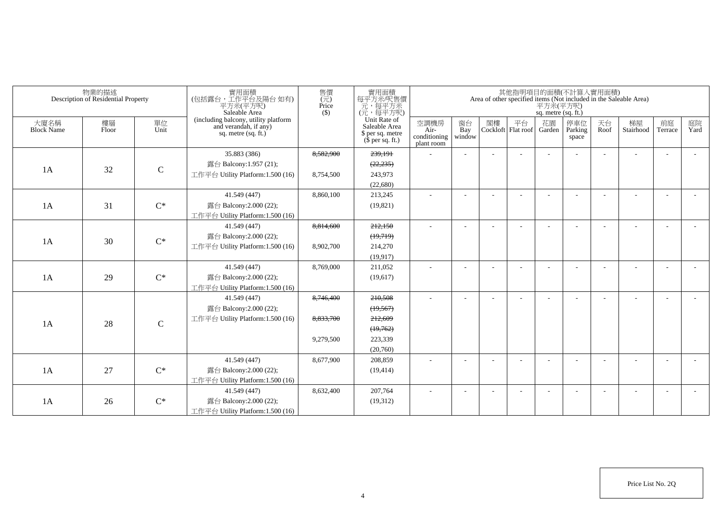| (including balcony, utility platform<br>and verandah, if any)<br>Unit Rate of<br>平台<br>花園<br>停車位<br>天台<br>樓層<br>單位<br>Unit<br>空調機房<br>窗台<br>閣樓<br>梯屋<br>Stairhood<br>前庭<br>大廈名稱<br>Saleable Area<br><b>Block Name</b><br>Cockloft Flat roof<br>Floor<br>Garden<br>Parking<br>Air-<br>Bay<br>Roof<br>Terrace<br>sq. metre (sq. ft.)<br>\$ per sq. metre<br>conditioning<br>window<br>space<br>$$$ per sq. ft.)<br>plant room<br>8,582,900<br>35.883 (386)<br>239,191<br>$\overline{a}$<br>露台 Balcony:1.957 (21);<br>(22, 235)<br>$\mathbf C$<br>32<br>1A<br>工作平台 Utility Platform: 1.500 (16)<br>8,754,500<br>243,973<br>(22,680)<br>41.549 (447)<br>213,245<br>8,860,100<br>$\sim$<br>$C^*$<br>31<br>1A<br>露台 Balcony: 2.000 (22);<br>(19, 821)<br>工作平台 Utility Platform: 1.500 (16)<br>41.549 (447)<br>8,814,600<br>212,150<br>$\sim$<br>露台 Balcony:2.000 (22);<br>(19,719)<br>$C^*$<br>30<br>1A<br>工作平台 Utility Platform: 1.500 (16)<br>8,902,700<br>214,270<br>(19, 917)<br>8,769,000<br>41.549 (447)<br>211,052<br>$\overline{\phantom{a}}$<br>$\overline{\phantom{a}}$<br>$C^*$<br>1A<br>29<br>露台 Balcony:2.000 (22);<br>(19,617)<br>工作平台 Utility Platform:1.500 (16)<br>210,508<br>41.549 (447)<br>8,746,400<br>$\sim$<br>٠<br>$\sim$<br>$\overline{\phantom{a}}$<br>露台 Balcony:2.000 (22);<br>(19, 567)<br>8,833,700<br>212,609<br>工作平台 Utility Platform:1.500 (16)<br>$\mathbf C$<br>1A<br>28<br>(19,762) | 物業的描述<br>Description of Residential Property | 實用面積<br>(包括露台,工作平台及陽台如有)<br>平方米(平方呎)<br>Saleable Area | 售價<br>(元)<br>Price<br>$($ \$ | 實用面積<br>每平方米/呎售價<br>元,每平方米<br>(元,每平方呎) |  |  | 平方米(平方呎)<br>sq. metre (sq. ft.) | 其他指明項目的面積(不計算入實用面積) | Area of other specified items (Not included in the Saleable Area) |                          |
|-------------------------------------------------------------------------------------------------------------------------------------------------------------------------------------------------------------------------------------------------------------------------------------------------------------------------------------------------------------------------------------------------------------------------------------------------------------------------------------------------------------------------------------------------------------------------------------------------------------------------------------------------------------------------------------------------------------------------------------------------------------------------------------------------------------------------------------------------------------------------------------------------------------------------------------------------------------------------------------------------------------------------------------------------------------------------------------------------------------------------------------------------------------------------------------------------------------------------------------------------------------------------------------------------------------------------------------------------------------------------------------------------------------------|----------------------------------------------|-------------------------------------------------------|------------------------------|----------------------------------------|--|--|---------------------------------|---------------------|-------------------------------------------------------------------|--------------------------|
|                                                                                                                                                                                                                                                                                                                                                                                                                                                                                                                                                                                                                                                                                                                                                                                                                                                                                                                                                                                                                                                                                                                                                                                                                                                                                                                                                                                                                   |                                              |                                                       |                              |                                        |  |  |                                 |                     |                                                                   | 庭院<br>Yard               |
|                                                                                                                                                                                                                                                                                                                                                                                                                                                                                                                                                                                                                                                                                                                                                                                                                                                                                                                                                                                                                                                                                                                                                                                                                                                                                                                                                                                                                   |                                              |                                                       |                              |                                        |  |  |                                 |                     |                                                                   |                          |
|                                                                                                                                                                                                                                                                                                                                                                                                                                                                                                                                                                                                                                                                                                                                                                                                                                                                                                                                                                                                                                                                                                                                                                                                                                                                                                                                                                                                                   |                                              |                                                       |                              |                                        |  |  |                                 |                     |                                                                   |                          |
|                                                                                                                                                                                                                                                                                                                                                                                                                                                                                                                                                                                                                                                                                                                                                                                                                                                                                                                                                                                                                                                                                                                                                                                                                                                                                                                                                                                                                   |                                              |                                                       |                              |                                        |  |  |                                 |                     |                                                                   |                          |
|                                                                                                                                                                                                                                                                                                                                                                                                                                                                                                                                                                                                                                                                                                                                                                                                                                                                                                                                                                                                                                                                                                                                                                                                                                                                                                                                                                                                                   |                                              |                                                       |                              |                                        |  |  |                                 |                     |                                                                   |                          |
|                                                                                                                                                                                                                                                                                                                                                                                                                                                                                                                                                                                                                                                                                                                                                                                                                                                                                                                                                                                                                                                                                                                                                                                                                                                                                                                                                                                                                   |                                              |                                                       |                              |                                        |  |  |                                 |                     |                                                                   |                          |
|                                                                                                                                                                                                                                                                                                                                                                                                                                                                                                                                                                                                                                                                                                                                                                                                                                                                                                                                                                                                                                                                                                                                                                                                                                                                                                                                                                                                                   |                                              |                                                       |                              |                                        |  |  |                                 |                     |                                                                   |                          |
|                                                                                                                                                                                                                                                                                                                                                                                                                                                                                                                                                                                                                                                                                                                                                                                                                                                                                                                                                                                                                                                                                                                                                                                                                                                                                                                                                                                                                   |                                              |                                                       |                              |                                        |  |  |                                 |                     |                                                                   |                          |
|                                                                                                                                                                                                                                                                                                                                                                                                                                                                                                                                                                                                                                                                                                                                                                                                                                                                                                                                                                                                                                                                                                                                                                                                                                                                                                                                                                                                                   |                                              |                                                       |                              |                                        |  |  |                                 |                     |                                                                   |                          |
|                                                                                                                                                                                                                                                                                                                                                                                                                                                                                                                                                                                                                                                                                                                                                                                                                                                                                                                                                                                                                                                                                                                                                                                                                                                                                                                                                                                                                   |                                              |                                                       |                              |                                        |  |  |                                 |                     |                                                                   |                          |
|                                                                                                                                                                                                                                                                                                                                                                                                                                                                                                                                                                                                                                                                                                                                                                                                                                                                                                                                                                                                                                                                                                                                                                                                                                                                                                                                                                                                                   |                                              |                                                       |                              |                                        |  |  |                                 |                     |                                                                   |                          |
|                                                                                                                                                                                                                                                                                                                                                                                                                                                                                                                                                                                                                                                                                                                                                                                                                                                                                                                                                                                                                                                                                                                                                                                                                                                                                                                                                                                                                   |                                              |                                                       |                              |                                        |  |  |                                 |                     |                                                                   |                          |
|                                                                                                                                                                                                                                                                                                                                                                                                                                                                                                                                                                                                                                                                                                                                                                                                                                                                                                                                                                                                                                                                                                                                                                                                                                                                                                                                                                                                                   |                                              |                                                       |                              |                                        |  |  |                                 |                     |                                                                   |                          |
|                                                                                                                                                                                                                                                                                                                                                                                                                                                                                                                                                                                                                                                                                                                                                                                                                                                                                                                                                                                                                                                                                                                                                                                                                                                                                                                                                                                                                   |                                              |                                                       |                              |                                        |  |  |                                 |                     |                                                                   |                          |
|                                                                                                                                                                                                                                                                                                                                                                                                                                                                                                                                                                                                                                                                                                                                                                                                                                                                                                                                                                                                                                                                                                                                                                                                                                                                                                                                                                                                                   |                                              |                                                       |                              |                                        |  |  |                                 |                     |                                                                   |                          |
|                                                                                                                                                                                                                                                                                                                                                                                                                                                                                                                                                                                                                                                                                                                                                                                                                                                                                                                                                                                                                                                                                                                                                                                                                                                                                                                                                                                                                   |                                              |                                                       |                              |                                        |  |  |                                 |                     |                                                                   |                          |
|                                                                                                                                                                                                                                                                                                                                                                                                                                                                                                                                                                                                                                                                                                                                                                                                                                                                                                                                                                                                                                                                                                                                                                                                                                                                                                                                                                                                                   |                                              |                                                       |                              |                                        |  |  |                                 |                     |                                                                   |                          |
|                                                                                                                                                                                                                                                                                                                                                                                                                                                                                                                                                                                                                                                                                                                                                                                                                                                                                                                                                                                                                                                                                                                                                                                                                                                                                                                                                                                                                   |                                              |                                                       |                              |                                        |  |  |                                 |                     |                                                                   |                          |
|                                                                                                                                                                                                                                                                                                                                                                                                                                                                                                                                                                                                                                                                                                                                                                                                                                                                                                                                                                                                                                                                                                                                                                                                                                                                                                                                                                                                                   |                                              |                                                       |                              |                                        |  |  |                                 |                     |                                                                   |                          |
| 9,279,500<br>223,339                                                                                                                                                                                                                                                                                                                                                                                                                                                                                                                                                                                                                                                                                                                                                                                                                                                                                                                                                                                                                                                                                                                                                                                                                                                                                                                                                                                              |                                              |                                                       |                              |                                        |  |  |                                 |                     |                                                                   |                          |
| (20,760)                                                                                                                                                                                                                                                                                                                                                                                                                                                                                                                                                                                                                                                                                                                                                                                                                                                                                                                                                                                                                                                                                                                                                                                                                                                                                                                                                                                                          |                                              |                                                       |                              |                                        |  |  |                                 |                     |                                                                   |                          |
| 41.549 (447)<br>8.677.900<br>208,859<br>$\overline{\phantom{a}}$<br>$\sim$<br>$\overline{\phantom{a}}$                                                                                                                                                                                                                                                                                                                                                                                                                                                                                                                                                                                                                                                                                                                                                                                                                                                                                                                                                                                                                                                                                                                                                                                                                                                                                                            |                                              |                                                       |                              |                                        |  |  |                                 |                     |                                                                   | $\overline{\phantom{a}}$ |
| $C^*$<br>27<br>露台 Balcony:2.000 (22);<br>1A<br>(19, 414)                                                                                                                                                                                                                                                                                                                                                                                                                                                                                                                                                                                                                                                                                                                                                                                                                                                                                                                                                                                                                                                                                                                                                                                                                                                                                                                                                          |                                              |                                                       |                              |                                        |  |  |                                 |                     |                                                                   |                          |
| 工作平台 Utility Platform:1.500 (16)                                                                                                                                                                                                                                                                                                                                                                                                                                                                                                                                                                                                                                                                                                                                                                                                                                                                                                                                                                                                                                                                                                                                                                                                                                                                                                                                                                                  |                                              |                                                       |                              |                                        |  |  |                                 |                     |                                                                   |                          |
| 41.549 (447)<br>8,632,400<br>207,764<br>$\overline{\phantom{a}}$<br>$\overline{\phantom{a}}$<br>$\overline{\phantom{a}}$                                                                                                                                                                                                                                                                                                                                                                                                                                                                                                                                                                                                                                                                                                                                                                                                                                                                                                                                                                                                                                                                                                                                                                                                                                                                                          |                                              |                                                       |                              |                                        |  |  |                                 |                     |                                                                   |                          |
| $C^*$<br>露台 Balcony:2.000 (22);<br>1A<br>(19,312)<br>26<br>工作平台 Utility Platform: 1.500 (16)                                                                                                                                                                                                                                                                                                                                                                                                                                                                                                                                                                                                                                                                                                                                                                                                                                                                                                                                                                                                                                                                                                                                                                                                                                                                                                                      |                                              |                                                       |                              |                                        |  |  |                                 |                     |                                                                   |                          |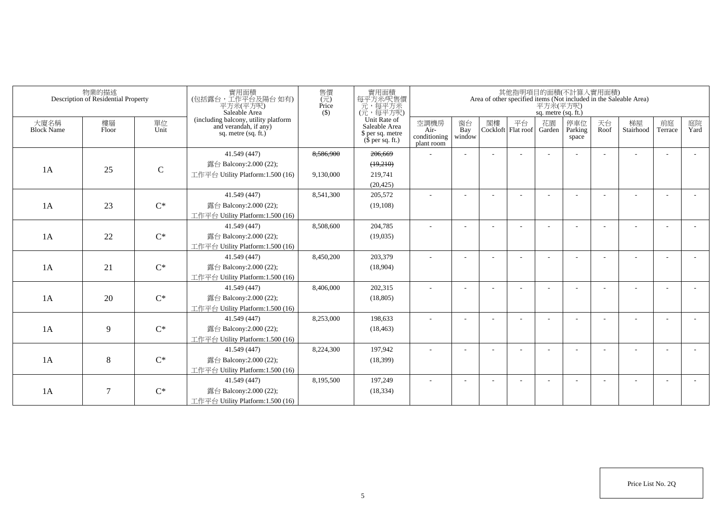|                           | 物業的描述<br>Description of Residential Property |             | 實用面積<br>(包括露台,工作平台及陽台如有)<br>平方米(平方呎)<br>Saleable Area                                | 售價<br>$\overline{(\overline{\pi})}$<br>Price<br>$($ \$) | 實用面積<br>每平方米/呎售價<br>元,每平方米<br>(元,每平方呎)                                |                                            |                     |    |    | 其他指明項目的面積(不計算入實用面積)<br>平方米(平方呎)<br>sq. metre (sq. ft.) |                         |            | Area of other specified items (Not included in the Saleable Area) |                          |            |
|---------------------------|----------------------------------------------|-------------|--------------------------------------------------------------------------------------|---------------------------------------------------------|-----------------------------------------------------------------------|--------------------------------------------|---------------------|----|----|--------------------------------------------------------|-------------------------|------------|-------------------------------------------------------------------|--------------------------|------------|
| 大廈名稱<br><b>Block Name</b> | 樓層<br>Floor                                  | 單位<br>Unit  | (including balcony, utility platform<br>and verandah, if any)<br>sq. metre (sq. ft.) |                                                         | Unit Rate of<br>Saleable Area<br>\$ per sq. metre<br>$$$ per sq. ft.) | 空調機房<br>Air-<br>conditioning<br>plant room | 窗台<br>Bay<br>window | 閣樓 | 平台 | 花園<br>Cockloft Flat roof Garden                        | 停車位<br>Parking<br>space | 天台<br>Roof | 梯屋<br>Stairhood                                                   | 前庭<br>Terrace            | 庭院<br>Yard |
|                           |                                              |             | 41.549 (447)                                                                         | 8,586,900                                               | 206.669                                                               |                                            |                     |    |    |                                                        |                         |            |                                                                   |                          |            |
| 1A                        |                                              |             | 露台 Balcony:2.000 (22);                                                               |                                                         | (19,210)                                                              |                                            |                     |    |    |                                                        |                         |            |                                                                   |                          |            |
|                           | 25                                           | $\mathbf C$ | 工作平台 Utility Platform:1.500 (16)                                                     | 9,130,000                                               | 219.741                                                               |                                            |                     |    |    |                                                        |                         |            |                                                                   |                          |            |
|                           |                                              |             |                                                                                      |                                                         | (20, 425)                                                             |                                            |                     |    |    |                                                        |                         |            |                                                                   |                          |            |
|                           |                                              |             | 41.549 (447)                                                                         | 8.541.300                                               | 205,572                                                               | $\overline{\phantom{a}}$                   |                     |    |    |                                                        |                         |            |                                                                   | ÷                        |            |
| 1A                        | 23                                           | $C^*$       | 露台 Balcony: 2.000 (22);                                                              |                                                         | (19, 108)                                                             |                                            |                     |    |    |                                                        |                         |            |                                                                   |                          |            |
|                           |                                              |             | 工作平台 Utility Platform:1.500 (16)                                                     |                                                         |                                                                       |                                            |                     |    |    |                                                        |                         |            |                                                                   |                          |            |
|                           |                                              |             | 41.549 (447)                                                                         | 8,508,600                                               | 204,785                                                               | $\overline{\phantom{a}}$                   |                     |    |    |                                                        |                         |            |                                                                   |                          |            |
| 1A                        | 22                                           | $C^*$       | 露台 Balcony: 2.000 (22);                                                              |                                                         | (19,035)                                                              |                                            |                     |    |    |                                                        |                         |            |                                                                   |                          |            |
|                           |                                              |             | 工作平台 Utility Platform:1.500 (16)                                                     |                                                         |                                                                       |                                            |                     |    |    |                                                        |                         |            |                                                                   |                          |            |
|                           |                                              |             | 41.549 (447)                                                                         | 8,450,200                                               | 203,379                                                               | ٠                                          |                     |    |    |                                                        | $\overline{a}$          |            |                                                                   | $\overline{\phantom{a}}$ |            |
| 1A                        | 21                                           | $C^*$       | 露台 Balcony:2.000 (22);                                                               |                                                         | (18,904)                                                              |                                            |                     |    |    |                                                        |                         |            |                                                                   |                          |            |
|                           |                                              |             | 工作平台 Utility Platform: 1.500 (16)                                                    |                                                         |                                                                       |                                            |                     |    |    |                                                        |                         |            |                                                                   |                          |            |
|                           |                                              |             | 41.549 (447)                                                                         | 8,406,000                                               | 202,315                                                               | $\overline{a}$                             |                     |    |    |                                                        |                         |            |                                                                   | $\overline{a}$           |            |
| 1A                        | 20                                           | $C^*$       | 露台 Balcony: 2.000 (22);                                                              |                                                         | (18, 805)                                                             |                                            |                     |    |    |                                                        |                         |            |                                                                   |                          |            |
|                           |                                              |             | 工作平台 Utility Platform:1.500 (16)                                                     |                                                         |                                                                       |                                            |                     |    |    |                                                        |                         |            |                                                                   |                          |            |
|                           |                                              |             | 41.549 (447)                                                                         | 8,253,000                                               | 198,633                                                               | ÷                                          |                     |    |    |                                                        |                         |            |                                                                   |                          |            |
| 1A                        | 9                                            | $C^*$       | 露台 Balcony: 2.000 (22);                                                              |                                                         | (18, 463)                                                             |                                            |                     |    |    |                                                        |                         |            |                                                                   |                          |            |
|                           |                                              |             | 工作平台 Utility Platform:1.500 (16)                                                     |                                                         |                                                                       |                                            |                     |    |    |                                                        |                         |            |                                                                   |                          |            |
|                           |                                              |             | 41.549 (447)                                                                         | 8,224,300                                               | 197,942                                                               | $\overline{\phantom{a}}$                   |                     |    |    |                                                        |                         |            |                                                                   |                          |            |
| 1A                        | $\,8\,$                                      | $C^*$       | 露台 Balcony: 2.000 (22);                                                              |                                                         | (18, 399)                                                             |                                            |                     |    |    |                                                        |                         |            |                                                                   |                          |            |
|                           |                                              |             | 工作平台 Utility Platform: 1.500 (16)                                                    |                                                         |                                                                       |                                            |                     |    |    |                                                        |                         |            |                                                                   |                          |            |
|                           |                                              |             | 41.549 (447)                                                                         | 8,195,500                                               | 197,249                                                               | $\overline{\phantom{a}}$                   |                     |    |    |                                                        |                         |            |                                                                   | ٠                        |            |
| 1A                        | 7                                            | $C^*$       | 露台 Balcony:2.000 (22);                                                               |                                                         | (18, 334)                                                             |                                            |                     |    |    |                                                        |                         |            |                                                                   |                          |            |
|                           |                                              |             | 工作平台 Utility Platform: 1.500 (16)                                                    |                                                         |                                                                       |                                            |                     |    |    |                                                        |                         |            |                                                                   |                          |            |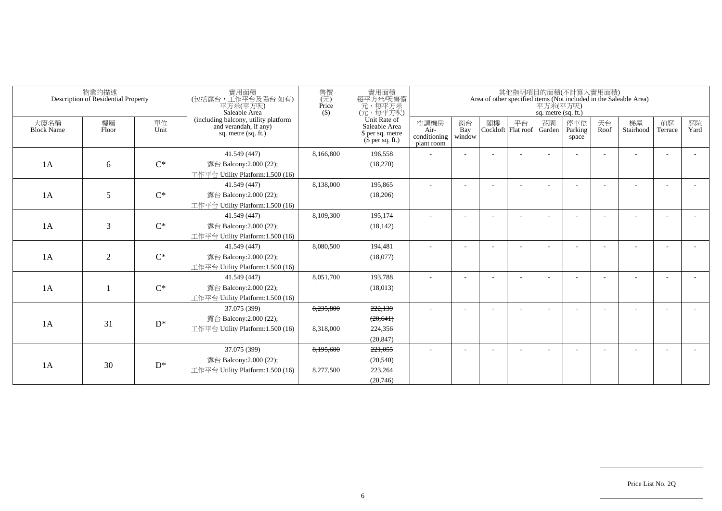|                           | 物業的描述<br>Description of Residential Property |                | 實用面積<br>(包括露台,工作平台及陽台如有)<br>平方米(平方呎)<br>Saleable Area                                | 售價<br>$(\vec{\pi})$<br>Price<br>$($)$ | 實用面積<br>每平方米/呎售價<br>一元, 每平方米<br>(元, 每平方呎)                             |                                            |                          |    |                          | 平方米(平方呎)<br>sq. metre (sq. ft.) | 其他指明項目的面積(不計算入實用面積)     |            | Area of other specified items (Not included in the Saleable Area) |               |            |
|---------------------------|----------------------------------------------|----------------|--------------------------------------------------------------------------------------|---------------------------------------|-----------------------------------------------------------------------|--------------------------------------------|--------------------------|----|--------------------------|---------------------------------|-------------------------|------------|-------------------------------------------------------------------|---------------|------------|
| 大廈名稱<br><b>Block Name</b> | 樓層<br>Floor                                  | 單位<br>Unit     | (including balcony, utility platform<br>and verandah, if any)<br>sq. metre (sq. ft.) |                                       | Unit Rate of<br>Saleable Area<br>\$ per sq. metre<br>$$$ per sq. ft.) | 空調機房<br>Air-<br>conditioning<br>plant room | 窗台<br>Bay<br>window      | 閣樓 | 平台<br>Cockloft Flat roof | 花園<br>Garden                    | 停車位<br>Parking<br>space | 天台<br>Roof | 梯屋<br>Stairhood                                                   | 前庭<br>Terrace | 庭院<br>Yard |
| 1A                        | 6                                            | $C^*$          | 41.549 (447)<br>露台 Balcony: $2.000(22)$ ;<br>工作平台 Utility Platform:1.500 (16)        | 8,166,800                             | 196.558<br>(18,270)                                                   |                                            | $\overline{\phantom{a}}$ |    |                          |                                 |                         |            |                                                                   |               |            |
| 1A                        | 5                                            | $C^*$          | 41.549 (447)<br>露台 Balcony: $2.000(22)$ ;<br>工作平台 Utility Platform:1.500 (16)        | 8,138,000                             | 195,865<br>(18,206)                                                   |                                            |                          |    |                          |                                 |                         |            |                                                                   |               |            |
| 1A                        | 3                                            | $C^*$          | 41.549 (447)<br>露台 Balcony: $2.000(22)$ ;<br>工作平台 Utility Platform:1.500 (16)        | 8.109.300                             | 195.174<br>(18, 142)                                                  |                                            |                          |    |                          |                                 |                         |            |                                                                   |               |            |
| 1A                        | $\overline{2}$                               | $C^*$          | 41.549 (447)<br>露台 Balcony: $2.000(22)$ ;<br>工作平台 Utility Platform:1.500 (16)        | 8.080.500                             | 194,481<br>(18,077)                                                   |                                            | ÷                        |    |                          |                                 |                         |            | ۰                                                                 |               |            |
| 1A                        |                                              | $C^*$          | 41.549 (447)<br>露台 Balcony:2.000 (22);<br>工作平台 Utility Platform:1.500 (16)           | 8,051,700                             | 193,788<br>(18,013)                                                   |                                            |                          |    |                          |                                 |                         |            |                                                                   |               |            |
| 1A                        | 31                                           | $\mathrm{D}^*$ | 37.075 (399)<br>露台 Balcony:2.000 (22);<br>工作平台 Utility Platform:1.500 (16)           | 8,235,800<br>8,318,000                | 222,139<br>(20, 641)<br>224,356<br>(20, 847)                          |                                            |                          |    |                          |                                 |                         |            |                                                                   |               |            |
| 1A                        | 30                                           | $D^*$          | 37.075 (399)<br>露台 Balcony:2.000 (22);<br>工作平台 Utility Platform:1.500 (16)           | 8,195,600<br>8,277,500                | 221.055<br>(20,540)<br>223,264<br>(20,746)                            |                                            |                          |    |                          |                                 |                         |            |                                                                   |               |            |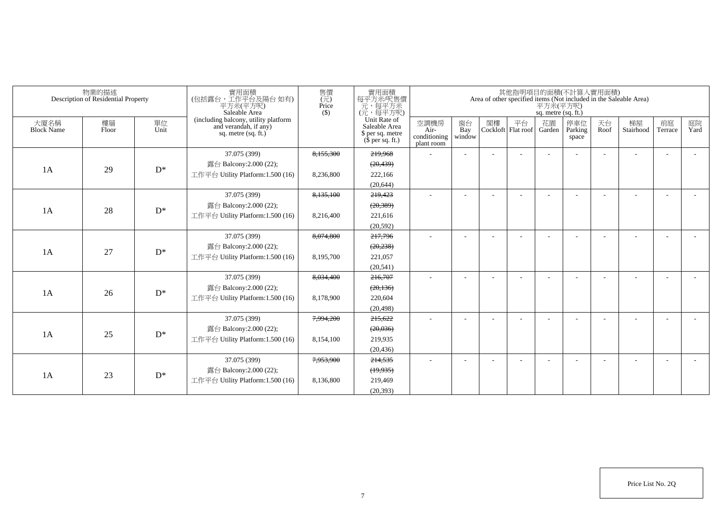|                           | 物業的描述<br>Description of Residential Property |            | 實用面積<br>(包括露台,工作平台及陽台如有)<br>平方米(平方呎)<br>Saleable Area                                | 售價<br>(元)<br>Price<br>$($ \$) | 實用面積<br>每平方米/呎售價<br>元,每平方米<br>(元,每平方呎)                                |                                            |                          |    |                          | 平方米(平方呎)<br>sq. metre (sq. ft.) | 其他指明項目的面積(不計算入實用面積)     |            | Area of other specified items (Not included in the Saleable Area) |                          |            |
|---------------------------|----------------------------------------------|------------|--------------------------------------------------------------------------------------|-------------------------------|-----------------------------------------------------------------------|--------------------------------------------|--------------------------|----|--------------------------|---------------------------------|-------------------------|------------|-------------------------------------------------------------------|--------------------------|------------|
| 大廈名稱<br><b>Block Name</b> | 樓層<br>Floor                                  | 單位<br>Unit | (including balcony, utility platform<br>and verandah, if any)<br>sq. metre (sq. ft.) |                               | Unit Rate of<br>Saleable Area<br>\$ per sq. metre<br>$$$ per sq. ft.) | 空調機房<br>Air-<br>conditioning<br>plant room | 窗台<br>Bay<br>window      | 閣樓 | 平台<br>Cockloft Flat roof | 花園<br>Garden                    | 停車位<br>Parking<br>space | 天台<br>Roof | 梯屋<br>Stairhood                                                   | 前庭<br>Terrace            | 庭院<br>Yard |
|                           |                                              |            | 37.075 (399)                                                                         | 8,155,300                     | 219,968                                                               | ٠                                          | $\sim$                   |    |                          |                                 |                         |            |                                                                   | $\overline{\phantom{a}}$ |            |
| 1A                        | 29                                           | $D^*$      | 露台 Balcony:2.000 (22);                                                               |                               | (20, 439)                                                             |                                            |                          |    |                          |                                 |                         |            |                                                                   |                          |            |
|                           |                                              |            | 工作平台 Utility Platform: 1.500 (16)                                                    | 8,236,800                     | 222,166                                                               |                                            |                          |    |                          |                                 |                         |            |                                                                   |                          |            |
|                           |                                              |            |                                                                                      |                               | (20.644)                                                              |                                            |                          |    |                          |                                 |                         |            |                                                                   |                          |            |
|                           |                                              |            | 37.075 (399)                                                                         | 8,135,100                     | 219,423                                                               | $\sim$                                     | $\overline{\phantom{a}}$ |    |                          |                                 |                         |            |                                                                   | $\overline{\phantom{a}}$ |            |
| 1A                        | 28                                           | $D^*$      | 露台 Balcony:2.000 (22);                                                               |                               | (20, 389)                                                             |                                            |                          |    |                          |                                 |                         |            |                                                                   |                          |            |
|                           |                                              |            | 工作平台 Utility Platform:1.500 (16)                                                     | 8,216,400                     | 221,616                                                               |                                            |                          |    |                          |                                 |                         |            |                                                                   |                          |            |
|                           |                                              |            |                                                                                      |                               | (20, 592)                                                             |                                            |                          |    |                          |                                 |                         |            |                                                                   |                          |            |
|                           |                                              |            | 37.075 (399)                                                                         | 8,074,800                     | 217,796                                                               | $\sim$                                     |                          |    |                          |                                 |                         |            |                                                                   | $\overline{\phantom{a}}$ |            |
| 1A                        | 27                                           | $D^*$      | 露台 Balcony:2.000 (22);                                                               |                               | (20, 238)                                                             |                                            |                          |    |                          |                                 |                         |            |                                                                   |                          |            |
|                           |                                              |            | 工作平台 Utility Platform:1.500 (16)                                                     | 8,195,700                     | 221,057                                                               |                                            |                          |    |                          |                                 |                         |            |                                                                   |                          |            |
|                           |                                              |            |                                                                                      |                               | (20, 541)                                                             |                                            |                          |    |                          |                                 |                         |            |                                                                   |                          |            |
|                           |                                              |            | 37.075 (399)                                                                         | 8,034,400                     | 216,707                                                               | $\sim$                                     | $\overline{\phantom{a}}$ |    |                          |                                 |                         |            |                                                                   | $\overline{\phantom{a}}$ |            |
| 1A                        | 26                                           | $D^*$      | 露台 Balcony:2.000 (22);                                                               |                               | (20, 136)                                                             |                                            |                          |    |                          |                                 |                         |            |                                                                   |                          |            |
|                           |                                              |            | 工作平台 Utility Platform: 1.500 (16)                                                    | 8,178,900                     | 220,604                                                               |                                            |                          |    |                          |                                 |                         |            |                                                                   |                          |            |
|                           |                                              |            |                                                                                      |                               | (20, 498)                                                             |                                            |                          |    |                          |                                 |                         |            |                                                                   |                          |            |
|                           |                                              |            | 37.075 (399)                                                                         | 7,994,200                     | 215,622                                                               | $\sim$                                     |                          |    |                          |                                 |                         |            |                                                                   | $\overline{\phantom{a}}$ |            |
| 1A                        | 25                                           | $D^*$      | 露台 Balcony:2.000 (22);                                                               |                               | (20, 036)                                                             |                                            |                          |    |                          |                                 |                         |            |                                                                   |                          |            |
|                           |                                              |            | 工作平台 Utility Platform: 1.500 (16)                                                    | 8,154,100                     | 219,935                                                               |                                            |                          |    |                          |                                 |                         |            |                                                                   |                          |            |
|                           |                                              |            |                                                                                      |                               | (20, 436)                                                             |                                            |                          |    |                          |                                 |                         |            |                                                                   |                          |            |
|                           |                                              |            | 37.075 (399)                                                                         | 7,953,900                     | 214,535                                                               | $\overline{\phantom{a}}$                   |                          |    |                          |                                 |                         |            |                                                                   | $\overline{\phantom{a}}$ |            |
| 1A                        | 23                                           | $D^*$      | 露台 Balcony:2.000 (22);                                                               |                               | (19,935)                                                              |                                            |                          |    |                          |                                 |                         |            |                                                                   |                          |            |
|                           |                                              |            | 工作平台 Utility Platform:1.500 (16)                                                     | 8.136.800                     | 219,469                                                               |                                            |                          |    |                          |                                 |                         |            |                                                                   |                          |            |
|                           |                                              |            |                                                                                      |                               | (20.393)                                                              |                                            |                          |    |                          |                                 |                         |            |                                                                   |                          |            |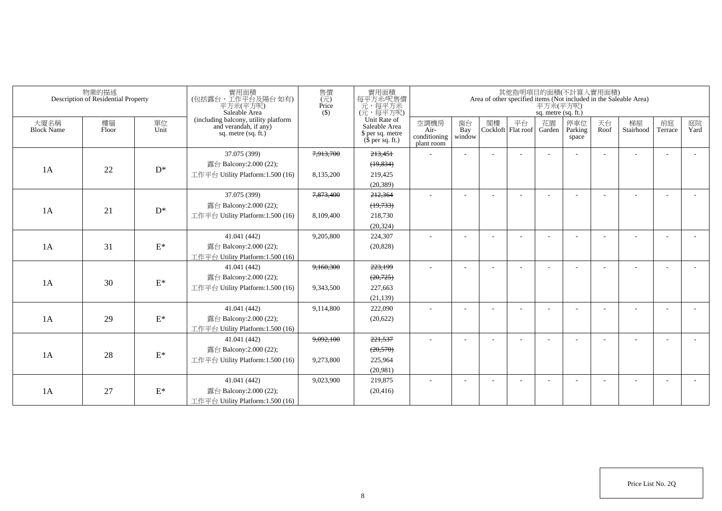|                           | 物業的描述<br>Description of Residential Property |                 | 實用面積<br>(包括露台,工作平台及陽台如有)<br>平方米(平方呎)<br>Saleable Area                                | 售價<br>$(\vec{\pi})$<br>Price<br>$($ \$) | 實用面積<br>每平方米/呎售價<br>一元, 每平方米<br>(元, 每平方呎)                             |                                            |                          |                             | 平方米(平方呎)<br>sq. metre (sq. ft.) | 其他指明項目的面積(不計算入實用面積)     |            | Area of other specified items (Not included in the Saleable Area) |                          |            |
|---------------------------|----------------------------------------------|-----------------|--------------------------------------------------------------------------------------|-----------------------------------------|-----------------------------------------------------------------------|--------------------------------------------|--------------------------|-----------------------------|---------------------------------|-------------------------|------------|-------------------------------------------------------------------|--------------------------|------------|
| 大廈名稱<br><b>Block Name</b> | 樓層<br>Floor                                  | 單位<br>Unit      | (including balcony, utility platform<br>and verandah, if any)<br>sq. metre (sq. ft.) |                                         | Unit Rate of<br>Saleable Area<br>\$ per sq. metre<br>$$$ per sq. ft.) | 空調機房<br>Air-<br>conditioning<br>plant room | 窗台<br>Bay<br>window      | 閣樓 平台<br>Cockloft Flat roof | 花園<br>Garden                    | 停車位<br>Parking<br>space | 天台<br>Roof | 梯屋<br>Stairhood                                                   | 前庭<br>Terrace            | 庭院<br>Yard |
|                           |                                              |                 | 37.075 (399)                                                                         | 7,913,700                               | 213.451                                                               |                                            |                          |                             |                                 |                         |            |                                                                   |                          |            |
|                           |                                              |                 | 露台 Balcony: 2.000 (22);                                                              |                                         | (19, 834)                                                             |                                            |                          |                             |                                 |                         |            |                                                                   |                          |            |
| 1A                        | 22                                           | $D^*$           | 工作平台 Utility Platform: 1.500 (16)                                                    | 8,135,200                               | 219,425                                                               |                                            |                          |                             |                                 |                         |            |                                                                   |                          |            |
|                           |                                              |                 |                                                                                      |                                         | (20, 389)                                                             |                                            |                          |                             |                                 |                         |            |                                                                   |                          |            |
|                           |                                              |                 | 37.075 (399)                                                                         | 7,873,400                               | 212,364                                                               |                                            |                          |                             |                                 |                         |            |                                                                   | $\overline{\phantom{a}}$ |            |
| 1A                        | 21                                           | $D^*$           | 露台 Balcony:2.000 (22);                                                               |                                         | (19,733)                                                              |                                            |                          |                             |                                 |                         |            |                                                                   |                          |            |
|                           |                                              |                 | 工作平台 Utility Platform:1.500 (16)                                                     | 8,109,400                               | 218,730                                                               |                                            |                          |                             |                                 |                         |            |                                                                   |                          |            |
|                           |                                              |                 |                                                                                      |                                         | (20, 324)                                                             |                                            |                          |                             |                                 |                         |            |                                                                   |                          |            |
|                           |                                              |                 | 41.041 (442)                                                                         | 9,205,800                               | 224,307                                                               | ٠                                          | $\overline{\phantom{a}}$ |                             |                                 |                         |            |                                                                   | $\overline{a}$           |            |
| 1A                        | 31                                           | $\mathcal{E}^*$ | 露台 Balcony:2.000 (22);                                                               |                                         | (20, 828)                                                             |                                            |                          |                             |                                 |                         |            |                                                                   |                          |            |
|                           |                                              |                 | 工作平台 Utility Platform:1.500 (16)                                                     |                                         |                                                                       |                                            |                          |                             |                                 |                         |            |                                                                   |                          |            |
|                           |                                              |                 | 41.041 (442)                                                                         | 9,160,300                               | 223,199                                                               | $\sim$                                     |                          |                             |                                 |                         |            |                                                                   |                          |            |
| 1A                        | 30                                           | $\mathcal{E}^*$ | 露台 Balcony:2.000 (22);                                                               |                                         | (20, 725)                                                             |                                            |                          |                             |                                 |                         |            |                                                                   |                          |            |
|                           |                                              |                 | 工作平台 Utility Platform: 1.500 (16)                                                    | 9,343,500                               | 227,663                                                               |                                            |                          |                             |                                 |                         |            |                                                                   |                          |            |
|                           |                                              |                 |                                                                                      |                                         | (21, 139)                                                             |                                            |                          |                             |                                 |                         |            |                                                                   |                          |            |
|                           |                                              |                 | 41.041 (442)                                                                         | 9,114,800                               | 222,090                                                               | $\sim$                                     | $\overline{\phantom{a}}$ |                             |                                 |                         |            |                                                                   | $\overline{\phantom{a}}$ |            |
| 1A                        | 29                                           | $\mathcal{E}^*$ | 露台 Balcony:2.000 (22);                                                               |                                         | (20,622)                                                              |                                            |                          |                             |                                 |                         |            |                                                                   |                          |            |
|                           |                                              |                 | 工作平台 Utility Platform:1.500 (16)                                                     |                                         |                                                                       |                                            |                          |                             |                                 |                         |            |                                                                   |                          |            |
|                           |                                              |                 | 41.041 (442)                                                                         | 9.092.100                               | 221,537                                                               | ÷                                          | $\overline{\phantom{a}}$ |                             |                                 |                         |            |                                                                   | $\overline{\phantom{a}}$ |            |
| 1A                        | 28                                           | $\mathcal{E}^*$ | 露台 Balcony:2.000 (22);                                                               |                                         | (20, 570)                                                             |                                            |                          |                             |                                 |                         |            |                                                                   |                          |            |
|                           |                                              |                 | 工作平台 Utility Platform: 1.500 (16)                                                    | 9.273.800                               | 225,964                                                               |                                            |                          |                             |                                 |                         |            |                                                                   |                          |            |
|                           |                                              |                 |                                                                                      |                                         | (20,981)                                                              |                                            |                          |                             |                                 |                         |            |                                                                   |                          |            |
|                           |                                              |                 | 41.041 (442)                                                                         | 9,023,900                               | 219,875                                                               |                                            |                          |                             |                                 |                         |            |                                                                   | $\overline{\phantom{a}}$ |            |
| 1A                        | 27                                           | $\mathcal{E}^*$ | 露台 Balcony:2.000 (22);                                                               |                                         | (20, 416)                                                             |                                            |                          |                             |                                 |                         |            |                                                                   |                          |            |
|                           |                                              |                 | 工作平台 Utility Platform: 1.500 (16)                                                    |                                         |                                                                       |                                            |                          |                             |                                 |                         |            |                                                                   |                          |            |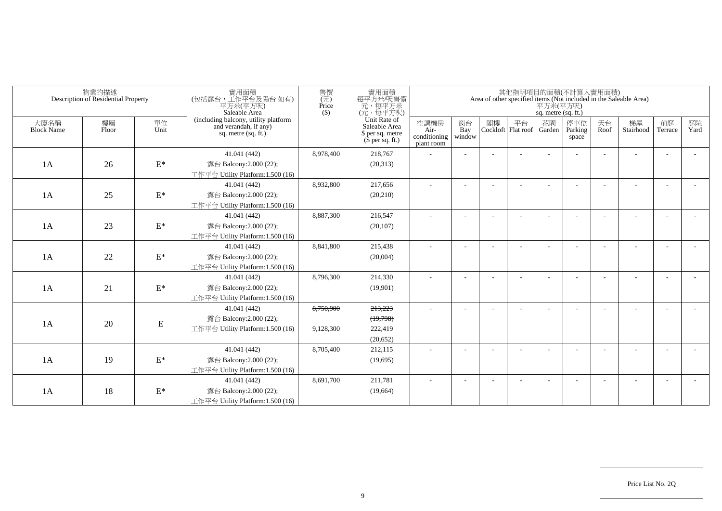|                           | 物業的描述<br>Description of Residential Property |                 | 實用面積<br>(包括露台,工作平台及陽台 如有)<br>平方米(平方呎)<br>Saleable Area                                 | 售價<br>(元)<br>Price<br>$($ \$) | 實用面積<br>每平方米呎售價<br>元,每平方呎)<br>(元,每平方呎)                                |                                            |                          |                             | 平方米(平方呎)<br>sq. metre (sq. ft.) | 其他指明項目的面積(不計算入實用面積)     |            | Area of other specified items (Not included in the Saleable Area) |                          |            |
|---------------------------|----------------------------------------------|-----------------|----------------------------------------------------------------------------------------|-------------------------------|-----------------------------------------------------------------------|--------------------------------------------|--------------------------|-----------------------------|---------------------------------|-------------------------|------------|-------------------------------------------------------------------|--------------------------|------------|
| 大廈名稱<br><b>Block Name</b> | 樓層<br>Floor                                  | 單位<br>Unit      | (including balcony, utility platform<br>and verandah, if any)<br>sq. metre $(sq. ft.)$ |                               | Unit Rate of<br>Saleable Area<br>\$ per sq. metre<br>$$$ per sq. ft.) | 空調機房<br>Air-<br>conditioning<br>plant room | 窗台<br>Bay<br>window      | 閣樓 平台<br>Cockloft Flat roof | 花園<br>Garden                    | 停車位<br>Parking<br>space | 天台<br>Roof | 梯屋<br>Stairhood                                                   | 前庭<br>Terrace            | 庭院<br>Yard |
|                           |                                              |                 | 41.041 (442)                                                                           | 8,978,400                     | 218,767                                                               |                                            |                          |                             |                                 |                         |            |                                                                   |                          |            |
| 1A                        | 26                                           | $\mathrm{E}^*$  | 露台 Balcony:2.000 (22);                                                                 |                               | (20,313)                                                              |                                            |                          |                             |                                 |                         |            |                                                                   |                          |            |
|                           |                                              |                 | 工作平台 Utility Platform:1.500 (16)                                                       |                               |                                                                       |                                            |                          |                             |                                 |                         |            |                                                                   |                          |            |
|                           |                                              |                 | 41.041 (442)                                                                           | 8,932,800                     | 217,656                                                               |                                            | $\overline{a}$           |                             |                                 |                         |            |                                                                   | $\overline{a}$           |            |
| 1A                        | 25                                           | $\mathcal{E}^*$ | 露台 Balcony: 2.000 (22);                                                                |                               | (20, 210)                                                             |                                            |                          |                             |                                 |                         |            |                                                                   |                          |            |
|                           |                                              |                 | 工作平台 Utility Platform: $1.500(16)$                                                     |                               |                                                                       |                                            |                          |                             |                                 |                         |            |                                                                   |                          |            |
|                           |                                              |                 | 41.041 (442)                                                                           | 8,887,300                     | 216,547                                                               |                                            |                          |                             |                                 |                         |            |                                                                   |                          |            |
| 1A                        | 23                                           | $\mathcal{E}^*$ | 露台 Balcony:2.000 (22);                                                                 |                               | (20, 107)                                                             |                                            |                          |                             |                                 |                         |            |                                                                   |                          |            |
|                           |                                              |                 | 工作平台 Utility Platform:1.500 (16)                                                       |                               |                                                                       |                                            |                          |                             |                                 |                         |            |                                                                   |                          |            |
|                           |                                              |                 | 41.041 (442)                                                                           | 8.841.800                     | 215.438                                                               |                                            | $\overline{\phantom{a}}$ |                             |                                 |                         |            |                                                                   |                          |            |
| 1A                        | 22                                           | $\mathcal{E}^*$ | 露台 Balcony: 2.000 (22);                                                                |                               | (20,004)                                                              |                                            |                          |                             |                                 |                         |            |                                                                   |                          |            |
|                           |                                              |                 | 工作平台 Utility Platform:1.500 (16)                                                       |                               |                                                                       |                                            |                          |                             |                                 |                         |            |                                                                   |                          |            |
|                           |                                              |                 | 41.041 (442)                                                                           | 8,796,300                     | 214,330                                                               |                                            |                          |                             |                                 |                         |            |                                                                   |                          |            |
| 1A                        | 21                                           | $\mathcal{E}^*$ | 露台 Balcony: 2.000 (22);                                                                |                               | (19,901)                                                              |                                            |                          |                             |                                 |                         |            |                                                                   |                          |            |
|                           |                                              |                 | 工作平台 Utility Platform:1.500 (16)                                                       |                               |                                                                       |                                            |                          |                             |                                 |                         |            |                                                                   |                          |            |
|                           |                                              |                 | 41.041 (442)                                                                           | 8,750,900                     | 213,223                                                               | $\overline{\phantom{a}}$                   | $\overline{\phantom{a}}$ |                             |                                 |                         |            |                                                                   | $\overline{\phantom{a}}$ |            |
| 1A                        | 20                                           | E               | 露台 Balcony: 2.000 (22);                                                                |                               | (19,798)                                                              |                                            |                          |                             |                                 |                         |            |                                                                   |                          |            |
|                           |                                              |                 | 工作平台 Utility Platform:1.500 (16)                                                       | 9,128,300                     | 222,419                                                               |                                            |                          |                             |                                 |                         |            |                                                                   |                          |            |
|                           |                                              |                 |                                                                                        |                               | (20, 652)                                                             |                                            |                          |                             |                                 |                         |            |                                                                   |                          |            |
|                           |                                              |                 | 41.041 (442)                                                                           | 8,705,400                     | 212,115                                                               |                                            |                          |                             |                                 |                         |            |                                                                   |                          |            |
| 1A                        | 19                                           | $\mathcal{E}^*$ | 露台 Balcony:2.000 (22);                                                                 |                               | (19,695)                                                              |                                            |                          |                             |                                 |                         |            |                                                                   |                          |            |
|                           |                                              |                 | 工作平台 Utility Platform:1.500 (16)                                                       |                               |                                                                       |                                            |                          |                             |                                 |                         |            |                                                                   |                          |            |
|                           |                                              |                 | 41.041 (442)                                                                           | 8,691,700                     | 211,781                                                               |                                            |                          |                             |                                 |                         |            |                                                                   | ٠                        |            |
| 1A                        | 18                                           | $\mathcal{E}^*$ | 露台 Balcony:2.000 (22);                                                                 |                               | (19,664)                                                              |                                            |                          |                             |                                 |                         |            |                                                                   |                          |            |
|                           |                                              |                 | 工作平台 Utility Platform:1.500 (16)                                                       |                               |                                                                       |                                            |                          |                             |                                 |                         |            |                                                                   |                          |            |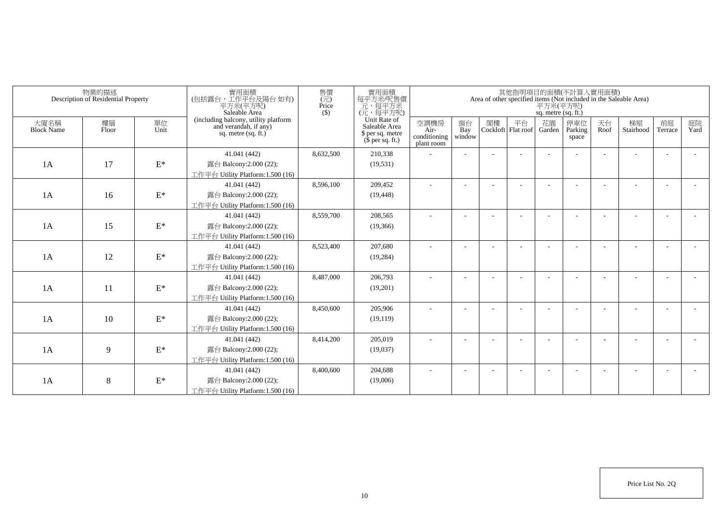|                           | 物業的描述<br>Description of Residential Property |                 | 實用面積<br>(包括露台,工作平台及陽台如有)<br>平方米(平方呎)<br>Saleable Area                                  | 售價<br>$(\vec{\pi})$<br>Price<br>$($ \$) | 實用面積<br>每平方米/呎售價<br>一元,每平方米<br>(元,每平方呎)                               |                                            |                          |    |                          | 平方米(平方呎)<br>sq. metre (sq. ft.) | 其他指明項目的面積(不計算入實用面積)     |            | Area of other specified items (Not included in the Saleable Area) |                          |            |
|---------------------------|----------------------------------------------|-----------------|----------------------------------------------------------------------------------------|-----------------------------------------|-----------------------------------------------------------------------|--------------------------------------------|--------------------------|----|--------------------------|---------------------------------|-------------------------|------------|-------------------------------------------------------------------|--------------------------|------------|
| 大廈名稱<br><b>Block Name</b> | 樓層<br>Floor                                  | 單位<br>Unit      | (including balcony, utility platform<br>and verandah, if any)<br>sq. metre $(sq, ft.)$ |                                         | Unit Rate of<br>Saleable Area<br>\$ per sq. metre<br>$$$ per sq. ft.) | 空調機房<br>Air-<br>conditioning<br>plant room | 窗台<br>Bay<br>window      | 閣樓 | 平台<br>Cockloft Flat roof | 花園<br>Garden                    | 停車位<br>Parking<br>space | 天台<br>Roof | 梯屋<br>Stairhood                                                   | 前庭<br>Terrace            | 庭院<br>Yard |
|                           |                                              |                 | 41.041 (442)                                                                           | 8,632,500                               | 210,338                                                               |                                            |                          |    |                          |                                 |                         |            |                                                                   |                          |            |
| 1A                        | 17                                           | $\mathcal{E}^*$ | 露台 Balcony:2.000 (22);                                                                 |                                         | (19, 531)                                                             |                                            |                          |    |                          |                                 |                         |            |                                                                   |                          |            |
|                           |                                              |                 | 工作平台 Utility Platform:1.500 (16)                                                       |                                         |                                                                       |                                            |                          |    |                          |                                 |                         |            |                                                                   |                          |            |
|                           |                                              |                 | 41.041 (442)                                                                           | 8,596,100                               | 209,452                                                               |                                            |                          |    |                          |                                 |                         |            |                                                                   |                          |            |
| 1A                        | 16                                           | $\mathbf{E}^*$  | 露台 Balcony:2.000 (22);                                                                 |                                         | (19, 448)                                                             |                                            |                          |    |                          |                                 |                         |            |                                                                   |                          |            |
|                           |                                              |                 | 工作平台 Utility Platform:1.500 (16)                                                       |                                         |                                                                       |                                            |                          |    |                          |                                 |                         |            |                                                                   |                          |            |
|                           |                                              |                 | 41.041 (442)                                                                           | 8,559,700                               | 208,565                                                               | ٠                                          | $\overline{\phantom{a}}$ |    |                          |                                 |                         |            |                                                                   | $\overline{\phantom{a}}$ |            |
| 1A                        | 15                                           | $\mathcal{E}^*$ | 露台 Balcony:2.000 (22);                                                                 |                                         | (19,366)                                                              |                                            |                          |    |                          |                                 |                         |            |                                                                   |                          |            |
|                           |                                              |                 | 工作平台 Utility Platform: 1.500 (16)                                                      |                                         |                                                                       |                                            |                          |    |                          |                                 |                         |            |                                                                   |                          |            |
|                           |                                              |                 | 41.041 (442)                                                                           | 8,523,400                               | 207,680                                                               |                                            |                          |    |                          |                                 |                         |            |                                                                   |                          |            |
| 1A                        | 12                                           | $\mathbf{E}^*$  | 露台 Balcony:2.000 (22);                                                                 |                                         | (19, 284)                                                             |                                            |                          |    |                          |                                 |                         |            |                                                                   |                          |            |
|                           |                                              |                 | 工作平台 Utility Platform:1.500 (16)                                                       |                                         |                                                                       |                                            |                          |    |                          |                                 |                         |            |                                                                   |                          |            |
|                           |                                              |                 | 41.041 (442)                                                                           | 8,487,000                               | 206,793                                                               |                                            |                          |    |                          |                                 |                         |            |                                                                   |                          |            |
| 1A                        | 11                                           | $\mathcal{E}^*$ | 露台 Balcony: 2.000 (22);                                                                |                                         | (19,201)                                                              |                                            |                          |    |                          |                                 |                         |            |                                                                   |                          |            |
|                           |                                              |                 | 工作平台 Utility Platform:1.500 (16)                                                       |                                         |                                                                       |                                            |                          |    |                          |                                 |                         |            |                                                                   |                          |            |
|                           |                                              |                 | 41.041 (442)                                                                           | 8,450,600                               | 205,906                                                               |                                            |                          |    |                          |                                 |                         |            |                                                                   |                          |            |
| 1A                        | 10                                           | $\mathcal{E}^*$ | 露台 Balcony: 2.000 (22);                                                                |                                         | (19, 119)                                                             |                                            |                          |    |                          |                                 |                         |            |                                                                   |                          |            |
|                           |                                              |                 | 工作平台 Utility Platform:1.500 (16)                                                       |                                         |                                                                       |                                            |                          |    |                          |                                 |                         |            |                                                                   |                          |            |
|                           |                                              |                 | 41.041 (442)                                                                           | 8,414,200                               | 205,019                                                               |                                            |                          |    |                          |                                 |                         |            |                                                                   | $\overline{\phantom{a}}$ |            |
| 1A                        | 9                                            | $\mathbf{E}^*$  | 露台 Balcony: 2.000 (22);                                                                |                                         | (19,037)                                                              |                                            |                          |    |                          |                                 |                         |            |                                                                   |                          |            |
|                           |                                              |                 | 工作平台 Utility Platform:1.500 (16)                                                       |                                         |                                                                       |                                            |                          |    |                          |                                 |                         |            |                                                                   |                          |            |
|                           |                                              |                 | 41.041 (442)                                                                           | 8,400,600                               | 204,688                                                               |                                            |                          |    |                          |                                 |                         |            |                                                                   | ÷                        |            |
| 1A                        | 8                                            | $\mathcal{E}^*$ | 露台 Balcony: 2.000 (22);                                                                |                                         | (19,006)                                                              |                                            |                          |    |                          |                                 |                         |            |                                                                   |                          |            |
|                           |                                              |                 | 工作平台 Utility Platform:1.500 (16)                                                       |                                         |                                                                       |                                            |                          |    |                          |                                 |                         |            |                                                                   |                          |            |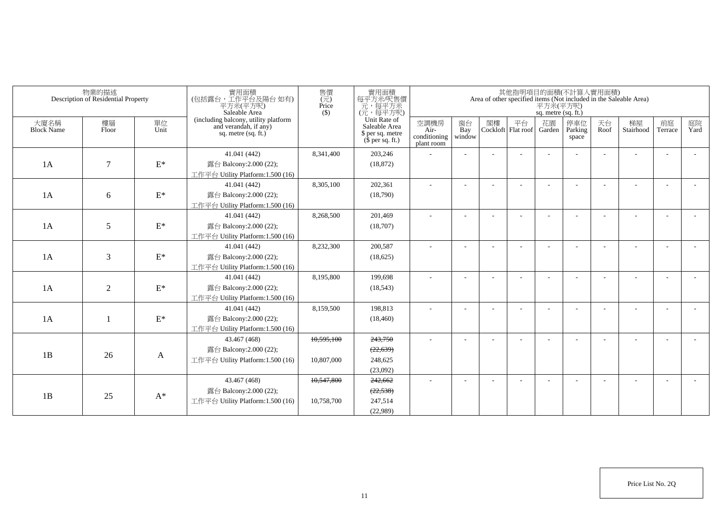|                           | 物業的描述<br>Description of Residential Property |                 | 實用面積<br>(包括露台,工作平台及陽台如有)<br>平方米(平方呎)<br>Saleable Area                                  | 售價<br>$\overline{(\overline{\pi})}$<br>Price<br>$($ \$) | 實用面積<br>每平方米/呎售價<br>元,每平方米<br>(元,每平方呎)                                |                                            |                          |    |                          | sq. metre (sq. ft.) | 其他指明項目的面積(不計算入實用面積)     |            | Area of other specified items (Not included in the Saleable Area)<br>$\overline{P} \overline{f} \dot{\mathcal{H}} (\overline{P} \overline{f} \overline{\mathcal{H}})$ |                          |            |
|---------------------------|----------------------------------------------|-----------------|----------------------------------------------------------------------------------------|---------------------------------------------------------|-----------------------------------------------------------------------|--------------------------------------------|--------------------------|----|--------------------------|---------------------|-------------------------|------------|-----------------------------------------------------------------------------------------------------------------------------------------------------------------------|--------------------------|------------|
| 大廈名稱<br><b>Block Name</b> | 樓層<br>Floor                                  | 單位<br>Unit      | (including balcony, utility platform<br>and verandah, if any)<br>sq. metre $(sq. ft.)$ |                                                         | Unit Rate of<br>Saleable Area<br>\$ per sq. metre<br>$$$ per sq. ft.) | 空調機房<br>Air-<br>conditioning<br>plant room | 窗台<br>Bay<br>window      | 閣樓 | 平台<br>Cockloft Flat roof | 花園<br>Garden        | 停車位<br>Parking<br>space | 天台<br>Roof | 梯屋<br>Stairhood                                                                                                                                                       | 前庭<br>Terrace            | 庭院<br>Yard |
| 1A                        | $\tau$                                       | $\mathcal{E}^*$ | 41.041 (442)<br>露台 Balcony:2.000 (22);<br>工作平台 Utility Platform:1.500 (16)             | 8,341,400                                               | 203,246<br>(18, 872)                                                  |                                            |                          |    |                          |                     |                         |            |                                                                                                                                                                       |                          |            |
| 1A                        | 6                                            | $\mathrm{E}^*$  | 41.041 (442)<br>露台 Balcony: $2.000(22)$ ;<br>工作平台 Utility Platform:1.500 (16)          | 8,305,100                                               | 202,361<br>(18,790)                                                   |                                            |                          |    |                          |                     |                         |            |                                                                                                                                                                       |                          |            |
| 1A                        | 5                                            | $\mathcal{E}^*$ | 41.041 (442)<br>露台 Balcony:2.000 (22);<br>工作平台 Utility Platform:1.500 (16)             | 8,268,500                                               | 201,469<br>(18,707)                                                   |                                            |                          |    |                          |                     |                         |            |                                                                                                                                                                       |                          |            |
| 1A                        | 3                                            | $\mathbf{E}^*$  | 41.041 (442)<br>露台 Balcony:2.000 (22);<br>工作平台 Utility Platform:1.500 (16)             | 8,232,300                                               | 200,587<br>(18,625)                                                   | $\overline{\phantom{a}}$                   | $\overline{\phantom{a}}$ |    |                          |                     |                         |            |                                                                                                                                                                       | $\overline{\phantom{a}}$ |            |
| 1A                        | $\overline{2}$                               | $\mathcal{E}^*$ | 41.041 (442)<br>露台 Balcony:2.000 (22);<br>工作平台 Utility Platform:1.500 (16)             | 8,195,800                                               | 199,698<br>(18, 543)                                                  |                                            | $\overline{\phantom{a}}$ |    |                          |                     |                         |            |                                                                                                                                                                       |                          |            |
| 1A                        |                                              | $\mathcal{E}^*$ | 41.041 (442)<br>露台 Balcony:2.000 (22);<br>工作平台 Utility Platform:1.500 (16)             | 8,159,500                                               | 198,813<br>(18, 460)                                                  | $\sim$                                     |                          |    |                          |                     |                         |            |                                                                                                                                                                       |                          |            |
| 1B                        | 26                                           | A               | 43.467 (468)<br>露台 Balcony:2.000 (22);<br>工作平台 Utility Platform: 1.500 (16)            | 10,595,100<br>10,807,000                                | 243,750<br>(22, 639)<br>248,625<br>(23,092)                           |                                            | $\sim$                   |    |                          |                     |                         |            |                                                                                                                                                                       |                          |            |
| 1B                        | 25                                           | $A^*$           | 43.467 (468)<br>露台 Balcony:2.000 (22);<br>工作平台 Utility Platform:1.500 (16)             | 10,547,800<br>10,758,700                                | 242,662<br>(22, 538)<br>247,514<br>(22,989)                           |                                            |                          |    |                          |                     |                         |            |                                                                                                                                                                       |                          |            |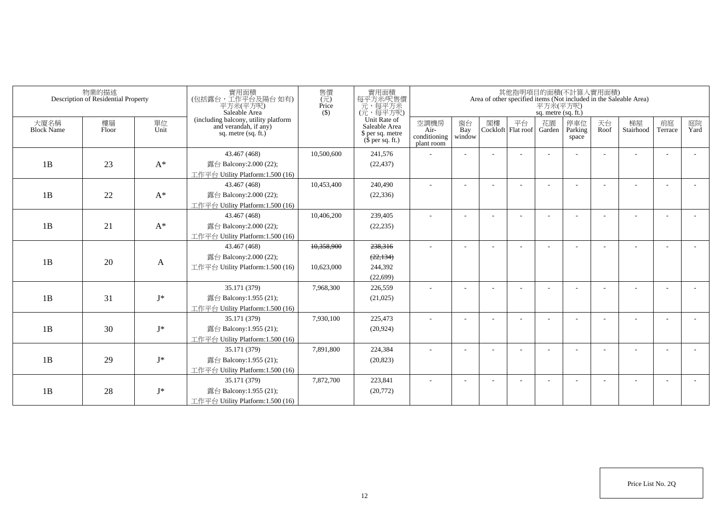| 物業的描述<br>Description of Residential Property |             |                | 實用面積<br>(包括露台,工作平台及陽台 如有)<br>平方米(平方呎)<br>Saleable Area                                 | 售價<br>(元)<br>Price<br>$($ \$) | 實用面積<br>每平方米呎售價<br>元,每平方呎)<br>(元,每平方呎)                                |                                            |                     |                             | 平方米(平方呎)<br>sq. metre (sq. ft.) | 其他指明項目的面積(不計算入實用面積)     |            | Area of other specified items (Not included in the Saleable Area) |                          |            |
|----------------------------------------------|-------------|----------------|----------------------------------------------------------------------------------------|-------------------------------|-----------------------------------------------------------------------|--------------------------------------------|---------------------|-----------------------------|---------------------------------|-------------------------|------------|-------------------------------------------------------------------|--------------------------|------------|
| 大廈名稱<br><b>Block Name</b>                    | 樓層<br>Floor | 單位<br>Unit     | (including balcony, utility platform<br>and verandah, if any)<br>sq. metre $(sq, ft.)$ |                               | Unit Rate of<br>Saleable Area<br>\$ per sq. metre<br>$$$ per sq. ft.) | 空調機房<br>Air-<br>conditioning<br>plant room | 窗台<br>Bay<br>window | 閣樓 平台<br>Cockloft Flat roof | 花園<br>Garden                    | 停車位<br>Parking<br>space | 天台<br>Roof | 梯屋<br>Stairhood                                                   | 前庭<br>Terrace            | 庭院<br>Yard |
|                                              |             |                | 43.467 (468)                                                                           | 10,500,600                    | 241,576                                                               |                                            |                     |                             |                                 |                         |            |                                                                   |                          |            |
| 1B                                           | 23          | $A^*$          | 露台 Balcony:2.000 (22);                                                                 |                               | (22, 437)                                                             |                                            |                     |                             |                                 |                         |            |                                                                   |                          |            |
|                                              |             |                | 工作平台 Utility Platform:1.500 (16)                                                       |                               |                                                                       |                                            |                     |                             |                                 |                         |            |                                                                   |                          |            |
|                                              |             |                | 43.467 (468)                                                                           | 10,453,400                    | 240,490                                                               |                                            | $\overline{a}$      |                             |                                 |                         |            |                                                                   | $\overline{a}$           |            |
| 1B                                           | 22          | $\mathrm{A}^*$ | 露台 Balcony:2.000 (22);                                                                 |                               | (22, 336)                                                             |                                            |                     |                             |                                 |                         |            |                                                                   |                          |            |
|                                              |             |                | 工作平台 Utility Platform: $1.500(16)$                                                     |                               |                                                                       |                                            |                     |                             |                                 |                         |            |                                                                   |                          |            |
|                                              |             |                | 43.467 (468)                                                                           | 10,406,200                    | 239,405                                                               |                                            |                     |                             |                                 |                         |            |                                                                   |                          |            |
| 1B                                           | 21          | $A^*$          | 露台 Balcony:2.000 (22);                                                                 |                               | (22, 235)                                                             |                                            |                     |                             |                                 |                         |            |                                                                   |                          |            |
|                                              |             |                | 工作平台 Utility Platform:1.500 (16)                                                       |                               |                                                                       |                                            |                     |                             |                                 |                         |            |                                                                   |                          |            |
|                                              |             |                | 43.467 (468)                                                                           | 10,358,900                    | 238,316                                                               |                                            |                     |                             |                                 |                         |            |                                                                   |                          |            |
| 1B                                           | 20          | A              | 露台 Balcony: 2.000 (22);                                                                |                               | (22, 134)                                                             |                                            |                     |                             |                                 |                         |            |                                                                   |                          |            |
|                                              |             |                | 工作平台 Utility Platform:1.500 (16)                                                       | 10,623,000                    | 244,392                                                               |                                            |                     |                             |                                 |                         |            |                                                                   |                          |            |
|                                              |             |                |                                                                                        |                               | (22,699)                                                              |                                            |                     |                             |                                 |                         |            |                                                                   |                          |            |
|                                              |             |                | 35.171 (379)                                                                           | 7,968,300                     | 226,559                                                               |                                            | $\overline{a}$      |                             |                                 |                         |            |                                                                   | $\overline{\phantom{a}}$ |            |
| 1B                                           | 31          | $J^*$          | 露台 Balcony:1.955 (21);                                                                 |                               | (21,025)                                                              |                                            |                     |                             |                                 |                         |            |                                                                   |                          |            |
|                                              |             |                | 工作平台 Utility Platform:1.500 (16)                                                       |                               |                                                                       |                                            |                     |                             |                                 |                         |            |                                                                   |                          |            |
|                                              |             |                | 35.171 (379)                                                                           | 7,930,100                     | 225,473                                                               |                                            |                     |                             |                                 |                         |            |                                                                   |                          |            |
| 1B                                           | 30          | $J^*$          | 露台 Balcony:1.955 (21);                                                                 |                               | (20, 924)                                                             |                                            |                     |                             |                                 |                         |            |                                                                   |                          |            |
|                                              |             |                | 工作平台 Utility Platform:1.500 (16)                                                       |                               |                                                                       |                                            |                     |                             |                                 |                         |            |                                                                   |                          |            |
|                                              |             |                | 35.171 (379)                                                                           | 7,891,800                     | 224,384                                                               |                                            |                     |                             |                                 |                         |            |                                                                   |                          |            |
| 1B                                           | 29          | $J^*$          | 露台 Balcony:1.955 (21);                                                                 |                               | (20, 823)                                                             |                                            |                     |                             |                                 |                         |            |                                                                   |                          |            |
|                                              |             |                | 工作平台 Utility Platform:1.500 (16)                                                       |                               |                                                                       |                                            |                     |                             |                                 |                         |            |                                                                   |                          |            |
|                                              |             |                | 35.171 (379)                                                                           | 7,872,700                     | 223,841                                                               |                                            |                     |                             |                                 |                         |            |                                                                   |                          |            |
| 1B                                           | 28          | $J^*$          | 露台 Balcony:1.955 (21);                                                                 |                               | (20,772)                                                              |                                            |                     |                             |                                 |                         |            |                                                                   |                          |            |
|                                              |             |                | 工作平台 Utility Platform:1.500 (16)                                                       |                               |                                                                       |                                            |                     |                             |                                 |                         |            |                                                                   |                          |            |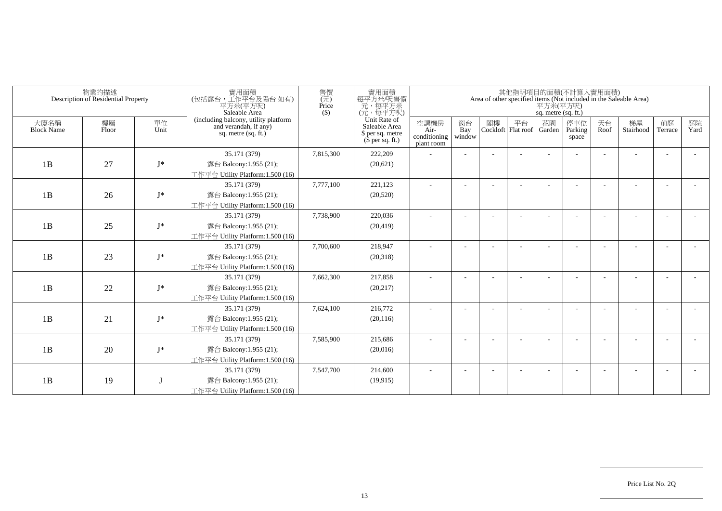|                           | 物業的描述<br>Description of Residential Property |            | 實用面積<br>(包括露台,工作平台及陽台如有)<br>平方米(平方呎)<br>Saleable Area                                  | 售價<br>$(\vec{\pi})$<br>Price<br>$($ \$) | 實用面積<br>每平方米/呎售價<br>一元,每平方米<br>(元,每平方呎)                               |                                            |                          |    |                          | 平方米(平方呎)<br>sq. metre (sq. ft.) | 其他指明項目的面積(不計算入實用面積)     |            | Area of other specified items (Not included in the Saleable Area) |               |            |
|---------------------------|----------------------------------------------|------------|----------------------------------------------------------------------------------------|-----------------------------------------|-----------------------------------------------------------------------|--------------------------------------------|--------------------------|----|--------------------------|---------------------------------|-------------------------|------------|-------------------------------------------------------------------|---------------|------------|
| 大廈名稱<br><b>Block Name</b> | 樓層<br>Floor                                  | 單位<br>Unit | (including balcony, utility platform<br>and verandah, if any)<br>sq. metre $(sq, ft.)$ |                                         | Unit Rate of<br>Saleable Area<br>\$ per sq. metre<br>$$$ per sq. ft.) | 空調機房<br>Air-<br>conditioning<br>plant room | 窗台<br>Bay<br>window      | 閣樓 | 平台<br>Cockloft Flat roof | 花園<br>Garden                    | 停車位<br>Parking<br>space | 天台<br>Roof | 梯屋<br>Stairhood                                                   | 前庭<br>Terrace | 庭院<br>Yard |
|                           |                                              |            | 35.171 (379)                                                                           | 7,815,300                               | 222,209                                                               |                                            |                          |    |                          |                                 |                         |            |                                                                   |               |            |
| 1B                        | 27                                           | $I^*$      | 露台 Balcony:1.955 (21);                                                                 |                                         | (20,621)                                                              |                                            |                          |    |                          |                                 |                         |            |                                                                   |               |            |
|                           |                                              |            | 工作平台 Utility Platform:1.500 (16)                                                       |                                         |                                                                       |                                            |                          |    |                          |                                 |                         |            |                                                                   |               |            |
|                           |                                              |            | 35.171 (379)                                                                           | 7,777,100                               | 221,123                                                               |                                            |                          |    |                          |                                 |                         |            |                                                                   |               |            |
| 1B                        | 26                                           | $I^*$      | 露台 Balcony:1.955 (21);                                                                 |                                         | (20,520)                                                              |                                            |                          |    |                          |                                 |                         |            |                                                                   |               |            |
|                           |                                              |            | 工作平台 Utility Platform:1.500 (16)                                                       |                                         |                                                                       |                                            |                          |    |                          |                                 |                         |            |                                                                   |               |            |
|                           |                                              |            | 35.171 (379)                                                                           | 7,738,900                               | 220,036                                                               | $\sim$                                     | $\overline{\phantom{a}}$ |    |                          |                                 |                         |            |                                                                   |               |            |
| 1B                        | 25                                           | $J^*$      | 露台 Balcony:1.955 (21);                                                                 |                                         | (20, 419)                                                             |                                            |                          |    |                          |                                 |                         |            |                                                                   |               |            |
|                           |                                              |            | 工作平台 Utility Platform: 1.500 (16)                                                      |                                         |                                                                       |                                            |                          |    |                          |                                 |                         |            |                                                                   |               |            |
|                           |                                              |            | 35.171 (379)                                                                           | 7,700,600                               | 218,947                                                               |                                            |                          |    |                          |                                 |                         |            |                                                                   |               |            |
| 1B                        | 23                                           | $J^*$      | 露台 Balcony:1.955 (21);                                                                 |                                         | (20,318)                                                              |                                            |                          |    |                          |                                 |                         |            |                                                                   |               |            |
|                           |                                              |            | 工作平台 Utility Platform:1.500 (16)                                                       |                                         |                                                                       |                                            |                          |    |                          |                                 |                         |            |                                                                   |               |            |
|                           |                                              |            | 35.171 (379)                                                                           | 7,662,300                               | 217,858                                                               |                                            |                          |    |                          |                                 |                         |            |                                                                   |               |            |
| 1B                        | 22                                           | $J^*$      | 露台 Balcony:1.955 (21);                                                                 |                                         | (20, 217)                                                             |                                            |                          |    |                          |                                 |                         |            |                                                                   |               |            |
|                           |                                              |            | 工作平台 Utility Platform:1.500 (16)                                                       |                                         |                                                                       |                                            |                          |    |                          |                                 |                         |            |                                                                   |               |            |
|                           |                                              |            | 35.171 (379)                                                                           | 7,624,100                               | 216,772                                                               |                                            |                          |    |                          |                                 |                         |            |                                                                   |               |            |
| 1B                        | 21                                           | $J^*$      | 露台 Balcony:1.955 (21);                                                                 |                                         | (20, 116)                                                             |                                            |                          |    |                          |                                 |                         |            |                                                                   |               |            |
|                           |                                              |            | 工作平台 Utility Platform:1.500 (16)                                                       |                                         |                                                                       |                                            |                          |    |                          |                                 |                         |            |                                                                   |               |            |
| 1B                        |                                              |            | 35.171 (379)                                                                           | 7,585,900                               | 215,686                                                               |                                            |                          |    |                          |                                 |                         |            |                                                                   |               |            |
|                           | 20                                           | $J^*$      | 露台 Balcony:1.955 (21);                                                                 |                                         | (20,016)                                                              |                                            |                          |    |                          |                                 |                         |            |                                                                   |               |            |
|                           |                                              |            | 工作平台 Utility Platform: 1.500 (16)<br>35.171 (379)                                      | 7,547,700                               | 214,600                                                               |                                            |                          |    |                          |                                 |                         |            |                                                                   |               |            |
| 1B                        | 19                                           |            | 露台 Balcony:1.955 (21);                                                                 |                                         | (19, 915)                                                             |                                            |                          |    |                          |                                 |                         |            |                                                                   |               |            |
|                           |                                              |            | 工作平台 Utility Platform:1.500 (16)                                                       |                                         |                                                                       |                                            |                          |    |                          |                                 |                         |            |                                                                   |               |            |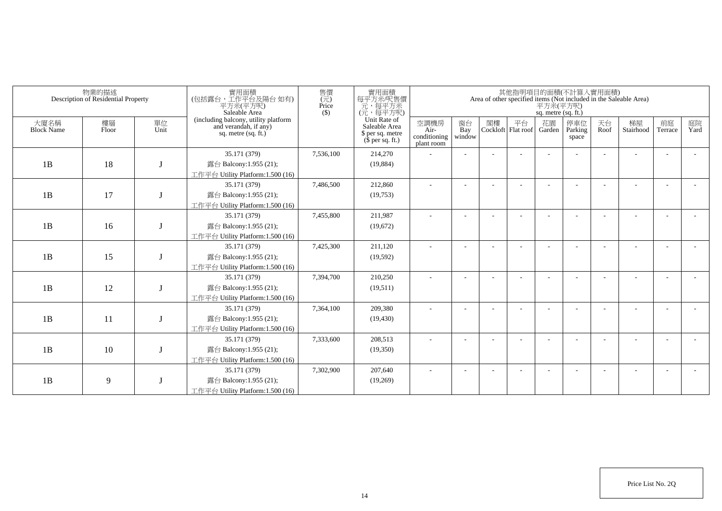|                           | 物業的描述<br>Description of Residential Property |            | 實用面積<br>(包括露台,工作平台及陽台如有)<br>平方米(平方呎)<br>Saleable Area                                  | 售價<br>$(\vec{\pi})$<br>Price<br>$($ \$) | 實用面積<br>每平方米/呎售價<br>一元,每平方米<br>(元,每平方呎)                               |                                            |                          |    |                          | 平方米(平方呎)<br>sq. metre (sq. ft.) | 其他指明項目的面積(不計算入實用面積)     |            | Area of other specified items (Not included in the Saleable Area) |               |            |
|---------------------------|----------------------------------------------|------------|----------------------------------------------------------------------------------------|-----------------------------------------|-----------------------------------------------------------------------|--------------------------------------------|--------------------------|----|--------------------------|---------------------------------|-------------------------|------------|-------------------------------------------------------------------|---------------|------------|
| 大廈名稱<br><b>Block Name</b> | 樓層<br>Floor                                  | 單位<br>Unit | (including balcony, utility platform<br>and verandah, if any)<br>sq. metre $(sq, ft.)$ |                                         | Unit Rate of<br>Saleable Area<br>\$ per sq. metre<br>$$$ per sq. ft.) | 空調機房<br>Air-<br>conditioning<br>plant room | 窗台<br>Bay<br>window      | 閣樓 | 平台<br>Cockloft Flat roof | 花園<br>Garden                    | 停車位<br>Parking<br>space | 天台<br>Roof | 梯屋<br>Stairhood                                                   | 前庭<br>Terrace | 庭院<br>Yard |
|                           |                                              |            | 35.171 (379)                                                                           | 7,536,100                               | 214,270                                                               |                                            |                          |    |                          |                                 |                         |            |                                                                   |               |            |
| 1B                        | 18                                           |            | 露台 Balcony:1.955 (21);                                                                 |                                         | (19,884)                                                              |                                            |                          |    |                          |                                 |                         |            |                                                                   |               |            |
|                           |                                              |            | 工作平台 Utility Platform:1.500 (16)                                                       |                                         |                                                                       |                                            |                          |    |                          |                                 |                         |            |                                                                   |               |            |
|                           |                                              |            | 35.171 (379)                                                                           | 7,486,500                               | 212,860                                                               |                                            |                          |    |                          |                                 |                         |            |                                                                   |               |            |
| 1B                        | 17                                           |            | 露台 Balcony:1.955 (21);                                                                 |                                         | (19,753)                                                              |                                            |                          |    |                          |                                 |                         |            |                                                                   |               |            |
|                           |                                              |            | 工作平台 Utility Platform:1.500 (16)                                                       |                                         |                                                                       |                                            |                          |    |                          |                                 |                         |            |                                                                   |               |            |
|                           |                                              |            | 35.171 (379)                                                                           | 7,455,800                               | 211,987                                                               | ٠                                          | $\overline{\phantom{a}}$ |    |                          |                                 |                         |            |                                                                   |               |            |
| 1B                        | 16                                           |            | 露台 Balcony:1.955 (21);                                                                 |                                         | (19,672)                                                              |                                            |                          |    |                          |                                 |                         |            |                                                                   |               |            |
|                           |                                              |            | 工作平台 Utility Platform:1.500 (16)                                                       |                                         |                                                                       |                                            |                          |    |                          |                                 |                         |            |                                                                   |               |            |
|                           |                                              |            | 35.171 (379)                                                                           | 7,425,300                               | 211,120                                                               |                                            |                          |    |                          |                                 |                         |            |                                                                   |               |            |
| 1B                        | 15                                           |            | 露台 Balcony:1.955 (21);                                                                 |                                         | (19, 592)                                                             |                                            |                          |    |                          |                                 |                         |            |                                                                   |               |            |
|                           |                                              |            | 工作平台 Utility Platform:1.500 (16)                                                       |                                         |                                                                       |                                            |                          |    |                          |                                 |                         |            |                                                                   |               |            |
|                           |                                              |            | 35.171 (379)                                                                           | 7,394,700                               | 210,250                                                               |                                            |                          |    |                          |                                 |                         |            |                                                                   |               |            |
| 1B                        | 12                                           |            | 露台 Balcony:1.955 (21);                                                                 |                                         | (19,511)                                                              |                                            |                          |    |                          |                                 |                         |            |                                                                   |               |            |
|                           |                                              |            | 工作平台 Utility Platform: 1.500 (16)<br>35.171 (379)                                      | 7,364,100                               | 209,380                                                               |                                            |                          |    |                          |                                 |                         |            |                                                                   |               |            |
| 1B                        | 11                                           |            | 露台 Balcony:1.955 (21);                                                                 |                                         | (19, 430)                                                             |                                            |                          |    |                          |                                 |                         |            |                                                                   |               |            |
|                           |                                              |            | 工作平台 Utility Platform:1.500 (16)                                                       |                                         |                                                                       |                                            |                          |    |                          |                                 |                         |            |                                                                   |               |            |
|                           |                                              |            | 35.171 (379)                                                                           | 7,333,600                               | 208,513                                                               |                                            |                          |    |                          |                                 |                         |            |                                                                   |               |            |
| 1B                        | 10                                           |            | 露台 Balcony:1.955 (21);                                                                 |                                         | (19,350)                                                              |                                            |                          |    |                          |                                 |                         |            |                                                                   |               |            |
|                           |                                              |            | 工作平台 Utility Platform: 1.500 (16)                                                      |                                         |                                                                       |                                            |                          |    |                          |                                 |                         |            |                                                                   |               |            |
|                           |                                              |            | 35.171 (379)                                                                           | 7,302,900                               | 207,640                                                               |                                            |                          |    |                          |                                 |                         |            |                                                                   |               |            |
| 1B                        | 9                                            |            | 露台 Balcony:1.955 (21);                                                                 |                                         | (19,269)                                                              |                                            |                          |    |                          |                                 |                         |            |                                                                   |               |            |
|                           |                                              |            | 工作平台 Utility Platform:1.500 (16)                                                       |                                         |                                                                       |                                            |                          |    |                          |                                 |                         |            |                                                                   |               |            |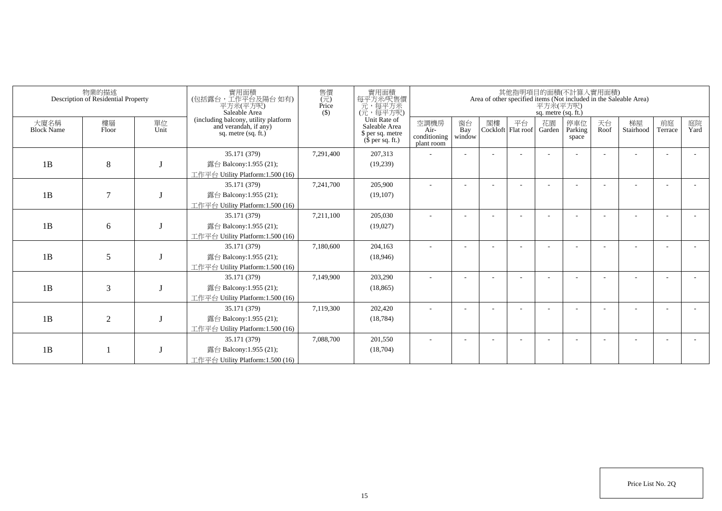|                           | 物業的描述<br>Description of Residential Property |            | 寶用面積<br>(包括露台 · 工作平台及陽台 如有)<br>平方米(平方呎)<br>Saleable Area                             | 實用面積<br>每平方米/呎售價<br>元,每平方米<br>售價<br>其他指明項目的面積(不計算人實用面積)<br>Area of other specified items (Not included in the Saleable Area)<br>(元)<br>Price<br>平方米(平方呎)<br>(元,每平方呎)<br>$($)$<br>sq. metre (sq. ft.) |                                                                       |                                            |                     |    |                            |              |                         |            |                 |               |            |
|---------------------------|----------------------------------------------|------------|--------------------------------------------------------------------------------------|------------------------------------------------------------------------------------------------------------------------------------------------------------------------------------------------------|-----------------------------------------------------------------------|--------------------------------------------|---------------------|----|----------------------------|--------------|-------------------------|------------|-----------------|---------------|------------|
| 大廈名稱<br><b>Block Name</b> | 樓層<br>Floor                                  | 單位<br>Unit | (including balcony, utility platform<br>and verandah, if any)<br>sq. metre (sq. ft.) |                                                                                                                                                                                                      | Unit Rate of<br>Saleable Area<br>\$ per sq. metre<br>$$$ per sq. ft.) | 空調機房<br>Air-<br>conditioning<br>plant room | 窗台<br>Bay<br>window | 閣樓 | 平台<br>Cockloft   Flat roof | 花園<br>Garden | 停車位<br>Parking<br>space | 天台<br>Roof | 梯屋<br>Stairhood | 前庭<br>Terrace | 庭院<br>Yard |
| 1B                        | 8                                            |            | 35.171 (379)<br>露台 Balcony:1.955 (21);<br>工作平台 Utility Platform:1.500 (16)           | 7,291,400                                                                                                                                                                                            | 207,313<br>(19,239)                                                   |                                            |                     |    |                            |              |                         |            |                 |               |            |
| 1B                        | $\overline{7}$                               |            | 35.171 (379)<br>露台 Balcony:1.955 (21);<br>工作平台 Utility Platform:1.500 (16)           | 7,241,700                                                                                                                                                                                            | 205,900<br>(19, 107)                                                  |                                            |                     |    |                            |              |                         |            |                 |               |            |
| 1B                        | 6                                            |            | 35.171 (379)<br>露台 Balcony:1.955 (21);<br>工作平台 Utility Platform:1.500 (16)           | 7,211,100                                                                                                                                                                                            | 205,030<br>(19,027)                                                   |                                            |                     |    |                            |              |                         |            |                 |               |            |
| 1B                        | 5                                            |            | 35.171 (379)<br>露台 Balcony:1.955 (21);<br>工作平台 Utility Platform:1.500 (16)           | 7,180,600                                                                                                                                                                                            | 204,163<br>(18,946)                                                   |                                            |                     |    |                            |              |                         |            |                 |               |            |
| 1B                        | 3                                            |            | 35.171 (379)<br>露台 Balcony:1.955 (21);<br>工作平台 Utility Platform:1.500 (16)           | 7,149,900                                                                                                                                                                                            | 203,290<br>(18, 865)                                                  |                                            |                     |    |                            |              |                         |            |                 |               |            |
| 1B                        | $\overline{2}$                               |            | 35.171 (379)<br>露台 Balcony:1.955 (21);<br>工作平台 Utility Platform:1.500 (16)           | 7,119,300                                                                                                                                                                                            | 202,420<br>(18, 784)                                                  |                                            |                     |    |                            |              |                         |            |                 |               |            |
| 1B                        |                                              |            | 35.171 (379)<br>露台 Balcony:1.955 (21);<br>工作平台 Utility Platform:1.500 (16)           | 7,088,700                                                                                                                                                                                            | 201,550<br>(18,704)                                                   |                                            |                     |    |                            |              |                         |            |                 |               |            |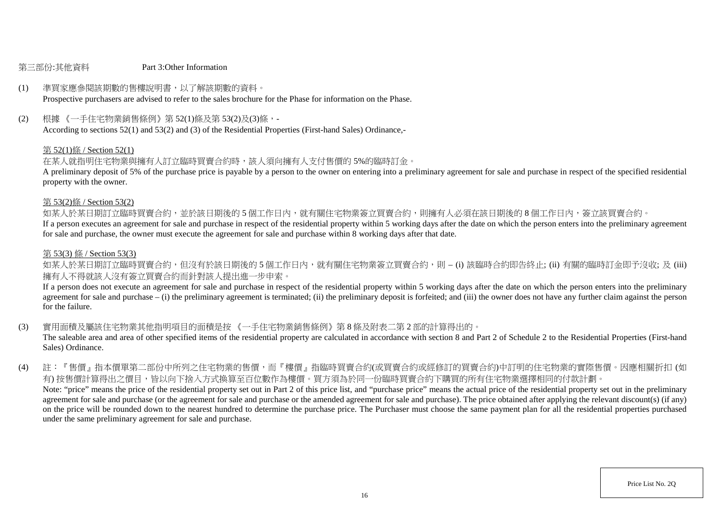#### 第三部份:其他資料 Part 3:Other Information

# (1) 準買家應參閱該期數的售樓說明書,以了解該期數的資料。

Prospective purchasers are advised to refer to the sales brochure for the Phase for information on the Phase.

(2) 根據 《一手住宅物業銷售條例》第 52(1)條及第 53(2)及(3)條,-

According to sections 52(1) and 53(2) and (3) of the Residential Properties (First-hand Sales) Ordinance,-

#### 第 52(1)條 / Section 52(1)

### 在某人就指明住宅物業與擁有人訂立臨時買賣合約時,該人須向擁有人支付售價的 5%的臨時訂金。

A preliminary deposit of 5% of the purchase price is payable by a person to the owner on entering into a preliminary agreement for sale and purchase in respect of the specified residential property with the owner.

#### 第 53(2)條 / Section 53(2)

如某人於某日期訂立臨時買賣合約,並於該日期後的 5 個工作日内,就有關住宅物業簽立買賣合約,則擁有人必須在該日期後的 8 個工作日内,簽立該買賣合約。

If a person executes an agreement for sale and purchase in respect of the residential property within 5 working days after the date on which the person enters into the preliminary agreement for sale and purchase, the owner must execute the agreement for sale and purchase within 8 working days after that date.

#### 第 53(3) 條 / Section 53(3)

如某人於某日期訂立臨時買賣合約,但沒有於該日期後的 5 個工作日内,就有關住宅物業簽立買賣合約,則 – (i) 該臨時合約即告終止; (ii) 有關的臨時訂金即予沒收; 及 (iii) 擁有人不得就該人沒有簽立買賣合約而針對該人提出進一步申索。

If a person does not execute an agreement for sale and purchase in respect of the residential property within 5 working days after the date on which the person enters into the preliminary agreement for sale and purchase – (i) the preliminary agreement is terminated; (ii) the preliminary deposit is forfeited; and (iii) the owner does not have any further claim against the person for the failure.

(3) 實用面積及屬該住宅物業其他指明項目的面積是按 《一手住宅物業銷售條例》第 8 條及附表二第 2 部的計算得出的。

The saleable area and area of other specified items of the residential property are calculated in accordance with section 8 and Part 2 of Schedule 2 to the Residential Properties (First-hand Sales) Ordinance.

(4) 註:『售價』指本價單第二部份中所列之住宅物業的售價,而『樓價』指臨時買賣合約(或買賣合約或經修訂的買賣合約)中訂明的住宅物業的實際售價。因應相關折扣 (如 有) 按售價計算得出之價目,皆以向下捨入方式換算至百位數作為樓價。買方須為於同一份臨時買賣合約下購買的所有住宅物業選擇相同的付款計劃。 Note: "price" means the price of the residential property set out in Part 2 of this price list, and "purchase price" means the actual price of the residential property set out in the preliminary agreement for sale and purchase (or the agreement for sale and purchase or the amended agreement for sale and purchase). The price obtained after applying the relevant discount(s) (if any) on the price will be rounded down to the nearest hundred to determine the purchase price. The Purchaser must choose the same payment plan for all the residential properties purchased under the same preliminary agreement for sale and purchase.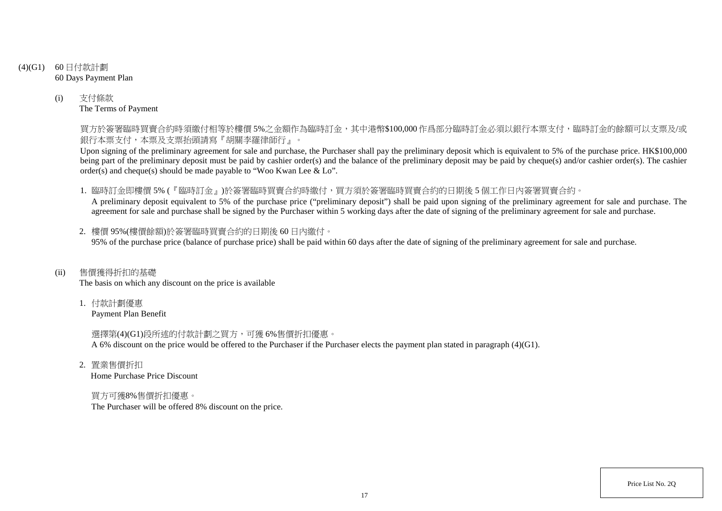- (4)(G1) 60 日付款計劃 60 Days Payment Plan
	- (i) 支付條款 The Terms of Payment

買方於簽署臨時買賣合約時須繳付相等於樓價 5%之金額作為臨時訂金,其中港幣\$100,000 作爲部分臨時訂金必須以銀行本票支付,臨時訂金的餘額可以支票及/或 銀行本票支付,本票及支票抬頭請寫『胡關李羅律師行』。

Upon signing of the preliminary agreement for sale and purchase, the Purchaser shall pay the preliminary deposit which is equivalent to 5% of the purchase price. HK\$100,000 being part of the preliminary deposit must be paid by cashier order(s) and the balance of the preliminary deposit may be paid by cheque(s) and/or cashier order(s). The cashier order(s) and cheque(s) should be made payable to "Woo Kwan Lee & Lo".

1. 臨時訂金即樓價 5% (『臨時訂金』)於簽署臨時買賣合約時繳付,買方須於簽署臨時買賣合約的日期後 5 個工作日內簽署買賣合約。

A preliminary deposit equivalent to 5% of the purchase price ("preliminary deposit") shall be paid upon signing of the preliminary agreement for sale and purchase. The agreement for sale and purchase shall be signed by the Purchaser within 5 working days after the date of signing of the preliminary agreement for sale and purchase.

2. 樓價 95%(樓價餘額)於簽署臨時買賣合約的日期後 60 日內繳付。 95% of the purchase price (balance of purchase price) shall be paid within 60 days after the date of signing of the preliminary agreement for sale and purchase.

(ii) 售價獲得折扣的基礎

The basis on which any discount on the price is available

1. 付款計劃優惠 Payment Plan Benefit

> 選擇第(4)(G1)段所述的付款計劃之買方,可獲 6%售價折扣優惠。 A 6% discount on the price would be offered to the Purchaser if the Purchaser elects the payment plan stated in paragraph (4)(G1).

2. 置業售價折扣 Home Purchase Price Discount

買方可獲8%售價折扣優惠。 The Purchaser will be offered 8% discount on the price.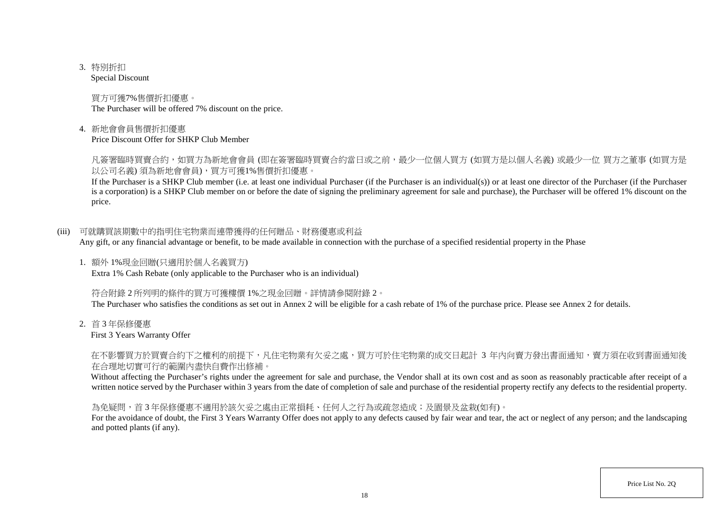3. 特別折扣

Special Discount

買方可獲7%售價折扣優惠。 The Purchaser will be offered 7% discount on the price.

4. 新地會會員售價折扣優惠

Price Discount Offer for SHKP Club Member

凡簽署臨時買賣合約,如買方為新地會會員 (即在簽署臨時買賣合約當日或之前,最少一位個人買方 (如買方是以個人名義) 或最少一位 買方之董事 (如買方是 以公司名義) 須為新地會會員),買方可獲1%售價折扣優惠。

If the Purchaser is a SHKP Club member (i.e. at least one individual Purchaser (if the Purchaser is an individual(s)) or at least one director of the Purchaser (if the Purchaser is a corporation) is a SHKP Club member on or before the date of signing the preliminary agreement for sale and purchase), the Purchaser will be offered 1% discount on the price.

(iii) 可就購買該期數中的指明住宅物業而連帶獲得的任何贈品、財務優惠或利益

Any gift, or any financial advantage or benefit, to be made available in connection with the purchase of a specified residential property in the Phase

1. 額外 1%現金回贈(只適用於個人名義買方) Extra 1% Cash Rebate (only applicable to the Purchaser who is an individual)

符合附錄 2 所列明的條件的買方可獲樓價 1%之現金回贈。詳情請參閱附錄 2。

The Purchaser who satisfies the conditions as set out in Annex 2 will be eligible for a cash rebate of 1% of the purchase price. Please see Annex 2 for details.

2. 首 3 年保修優惠

First 3 Years Warranty Offer

在不影響買方於買賣合約下之權利的前提下,凡住宅物業有欠妥之處,買方可於住宅物業的成交日起計 3 年內向賣方發出書面通知,賣方須在收到書面通知後 在合理地切實可行的範圍內盡快自費作出修補。

Without affecting the Purchaser's rights under the agreement for sale and purchase, the Vendor shall at its own cost and as soon as reasonably practicable after receipt of a written notice served by the Purchaser within 3 years from the date of completion of sale and purchase of the residential property rectify any defects to the residential property.

為免疑問,首 3 年保修優惠不適用於該欠妥之處由正常損耗、任何人之行為或疏忽造成;及園景及盆栽(如有)。

For the avoidance of doubt, the First 3 Years Warranty Offer does not apply to any defects caused by fair wear and tear, the act or neglect of any person; and the landscaping and potted plants (if any).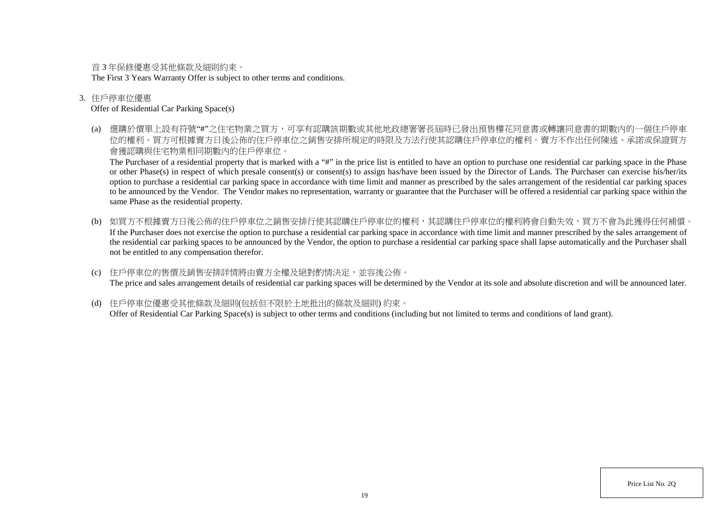首 3 年保修優惠受其他條款及細則約束。

The First 3 Years Warranty Offer is subject to other terms and conditions.

### 3. 住戶停車位優惠

### Offer of Residential Car Parking Space(s)

(a) 選購於價單上設有符號"#"之住宅物業之買方,可享有認購該期數或其他地政總署署長屆時已發出預售樓花同意書或轉讓同意書的期數內的一個住戶停車 位的權利。買方可根據賣方日後公佈的住戶停車位之銷售安排所規定的時限及方法行使其認購住戶停車位的權利。賣方不作出任何陳述、承諾或保證買方 會獲認購與住宅物業相同期數內的住戶停車位。

The Purchaser of a residential property that is marked with a "#" in the price list is entitled to have an option to purchase one residential car parking space in the Phase or other Phase(s) in respect of which presale consent(s) or consent(s) to assign has/have been issued by the Director of Lands. The Purchaser can exercise his/her/its option to purchase a residential car parking space in accordance with time limit and manner as prescribed by the sales arrangement of the residential car parking spaces to be announced by the Vendor. The Vendor makes no representation, warranty or guarantee that the Purchaser will be offered a residential car parking space within the same Phase as the residential property.

- (b) 如買方不根據賣方日後公佈的住戶停車位之銷售安排行使其認購住戶停車位的權利,其認購住戶停車位的權利將會自動失效,買方不會為此獲得任何補償。 If the Purchaser does not exercise the option to purchase a residential car parking space in accordance with time limit and manner prescribed by the sales arrangement of the residential car parking spaces to be announced by the Vendor, the option to purchase a residential car parking space shall lapse automatically and the Purchaser shall not be entitled to any compensation therefor.
- (c) 住戶停車位的售價及銷售安排詳情將由賣方全權及絕對酌情決定,並容後公佈。 The price and sales arrangement details of residential car parking spaces will be determined by the Vendor at its sole and absolute discretion and will be announced later.
- (d) 住戶停車位優惠受其他條款及細則(包括但不限於土地批出的條款及細則) 約束。 Offer of Residential Car Parking Space(s) is subject to other terms and conditions (including but not limited to terms and conditions of land grant).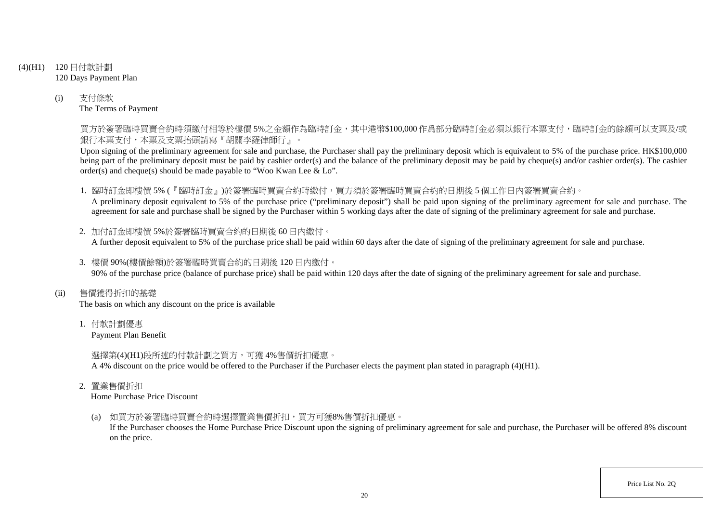- (4)(H1) 120 日付款計劃 120 Days Payment Plan
	- (i) 支付條款 The Terms of Payment

買方於簽署臨時買賣合約時須繳付相等於樓價 5%之金額作為臨時訂金,其中港幣\$100,000 作爲部分臨時訂金必須以銀行本票支付,臨時訂金的餘額可以支票及/或 銀行本票支付,本票及支票抬頭請寫『胡關李羅律師行』。

Upon signing of the preliminary agreement for sale and purchase, the Purchaser shall pay the preliminary deposit which is equivalent to 5% of the purchase price. HK\$100,000 being part of the preliminary deposit must be paid by cashier order(s) and the balance of the preliminary deposit may be paid by cheque(s) and/or cashier order(s). The cashier order(s) and cheque(s) should be made payable to "Woo Kwan Lee & Lo".

1. 臨時訂金即樓價 5% (『臨時訂金』)於簽署臨時買賣合約時繳付,買方須於簽署臨時買賣合約的日期後 5 個工作日內簽署買賣合約。

A preliminary deposit equivalent to 5% of the purchase price ("preliminary deposit") shall be paid upon signing of the preliminary agreement for sale and purchase. The agreement for sale and purchase shall be signed by the Purchaser within 5 working days after the date of signing of the preliminary agreement for sale and purchase.

- 2. 加付訂金即樓價 5%於簽署臨時買賣合約的日期後 60 日內繳付。 A further deposit equivalent to 5% of the purchase price shall be paid within 60 days after the date of signing of the preliminary agreement for sale and purchase.
- 3. 樓價 90%(樓價餘額)於簽署臨時買賣合約的日期後 120 日內繳付。 90% of the purchase price (balance of purchase price) shall be paid within 120 days after the date of signing of the preliminary agreement for sale and purchase.
- (ii) 售價獲得折扣的基礎

The basis on which any discount on the price is available

1. 付款計劃優惠

Payment Plan Benefit

選擇第(4)(H1)段所述的付款計劃之買方,可獲 4%售價折扣優惠。

A 4% discount on the price would be offered to the Purchaser if the Purchaser elects the payment plan stated in paragraph (4)(H1).

2. 置業售價折扣

Home Purchase Price Discount

(a) 如買方於簽署臨時買賣合約時選擇置業售價折扣,買方可獲8%售價折扣優惠。

If the Purchaser chooses the Home Purchase Price Discount upon the signing of preliminary agreement for sale and purchase, the Purchaser will be offered 8% discount on the price.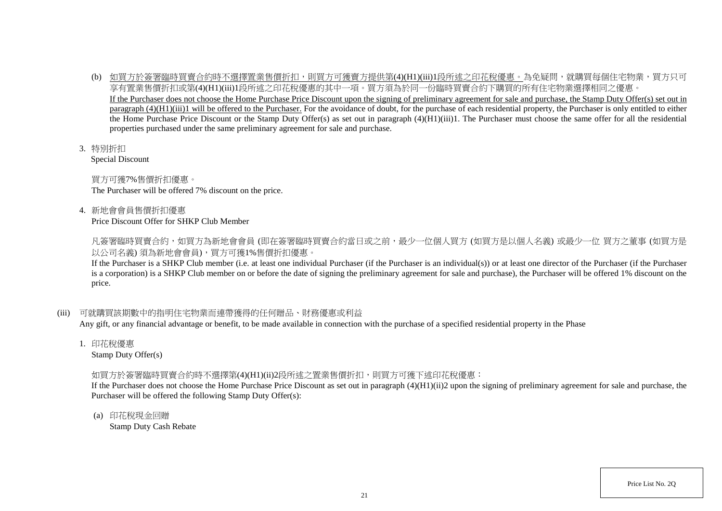- (b) 如買方於簽署臨時買賣合約時不選擇置業售價折扣,則買方可獲賣方提供第(4)(H1)(iii)1段所述之印花稅優惠。為免疑問,就購買每個住宅物業,買方只可 享有置業售價折扣或第(4)(H1)(iii)1段所述之印花稅優惠的其中一項。買方須為於同一份臨時買賣合約下購買的所有住宅物業選擇相同之優惠。 If the Purchaser does not choose the Home Purchase Price Discount upon the signing of preliminary agreement for sale and purchase, the Stamp Duty Offer(s) set out in paragraph (4)(H1)(iii)1 will be offered to the Purchaser. For the avoidance of doubt, for the purchase of each residential property, the Purchaser is only entitled to either the Home Purchase Price Discount or the Stamp Duty Offer(s) as set out in paragraph (4)(H1)(iii)1. The Purchaser must choose the same offer for all the residential properties purchased under the same preliminary agreement for sale and purchase.
- 3. 特別折扣

Special Discount

買方可獲7%售價折扣優惠。 The Purchaser will be offered 7% discount on the price.

4. 新地會會員售價折扣優惠

Price Discount Offer for SHKP Club Member

凡簽署臨時買賣合約,如買方為新地會會員 (即在簽署臨時買賣合約當日或之前,最少一位個人買方 (如買方是以個人名義) 或最少一位 買方之董事 (如買方是 以公司名義) 須為新地會會員),買方可獲1%售價折扣優惠。

If the Purchaser is a SHKP Club member (i.e. at least one individual Purchaser (if the Purchaser is an individual(s)) or at least one director of the Purchaser (if the Purchaser is a corporation) is a SHKP Club member on or before the date of signing the preliminary agreement for sale and purchase), the Purchaser will be offered 1% discount on the price.

## (iii) 可就購買該期數中的指明住宅物業而連帶獲得的任何贈品、財務優惠或利益

Any gift, or any financial advantage or benefit, to be made available in connection with the purchase of a specified residential property in the Phase

1. 印花稅優惠

Stamp Duty Offer(s)

## 如買方於簽署臨時買賣合約時不選擇第(4)(H1)(ii)2段所述之置業售價折扣,則買方可獲下述印花稅優惠:

If the Purchaser does not choose the Home Purchase Price Discount as set out in paragraph (4)(H1)(ii)2 upon the signing of preliminary agreement for sale and purchase, the Purchaser will be offered the following Stamp Duty Offer(s):

(a) 印花稅現金回贈 Stamp Duty Cash Rebate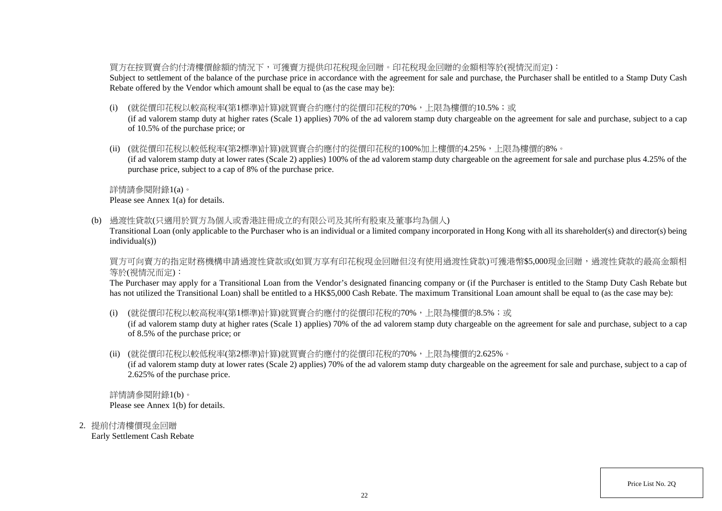### 買方在按買賣合約付清樓價餘額的情況下,可獲賣方提供印花稅現金回贈。印花稅現金回贈的金額相等於(視情況而定):

Subject to settlement of the balance of the purchase price in accordance with the agreement for sale and purchase, the Purchaser shall be entitled to a Stamp Duty Cash Rebate offered by the Vendor which amount shall be equal to (as the case may be):

(i) (就從價印花稅以較高稅率(第1標準)計算)就買賣合約應付的從價印花稅的70%,上限為樓價的10.5%;或

(if ad valorem stamp duty at higher rates (Scale 1) applies) 70% of the ad valorem stamp duty chargeable on the agreement for sale and purchase, subject to a cap of 10.5% of the purchase price; or

(ii) (就從價印花稅以較低稅率(第2標準)計算)就買賣合約應付的從價印花稅的100%加上樓價的4.25%,上限為樓價的8%。

(if ad valorem stamp duty at lower rates (Scale 2) applies) 100% of the ad valorem stamp duty chargeable on the agreement for sale and purchase plus 4.25% of the purchase price, subject to a cap of 8% of the purchase price.

詳情請參閱附錄1(a)。

Please see Annex 1(a) for details.

(b) 過渡性貸款(只適用於買方為個人或香港註冊成立的有限公司及其所有股東及董事均為個人)

Transitional Loan (only applicable to the Purchaser who is an individual or a limited company incorporated in Hong Kong with all its shareholder(s) and director(s) being individual(s))

買方可向賣方的指定財務機構申請過渡性貸款或(如買方享有印花稅現金回贈但沒有使用過渡性貸款)可獲港幣\$5,000現金回贈,過渡性貸款的最高金額相 等於(視情況而定):

The Purchaser may apply for a Transitional Loan from the Vendor's designated financing company or (if the Purchaser is entitled to the Stamp Duty Cash Rebate but has not utilized the Transitional Loan) shall be entitled to a HK\$5,000 Cash Rebate. The maximum Transitional Loan amount shall be equal to (as the case may be):

(i) (就從價印花稅以較高稅率(第1標準)計算)就買賣合約應付的從價印花稅的70%,上限為樓價的8.5%;或

(if ad valorem stamp duty at higher rates (Scale 1) applies) 70% of the ad valorem stamp duty chargeable on the agreement for sale and purchase, subject to a cap of 8.5% of the purchase price; or

(ii) (就從價印花稅以較低稅率(第2標準)計算)就買賣合約應付的從價印花稅的70%,上限為樓價的2.625%。

(if ad valorem stamp duty at lower rates (Scale 2) applies) 70% of the ad valorem stamp duty chargeable on the agreement for sale and purchase, subject to a cap of 2.625% of the purchase price.

詳情請參閱附錄1(b)。 Please see Annex 1(b) for details.

2. 提前付清樓價現金回贈 Early Settlement Cash Rebate

Price List No. 2Q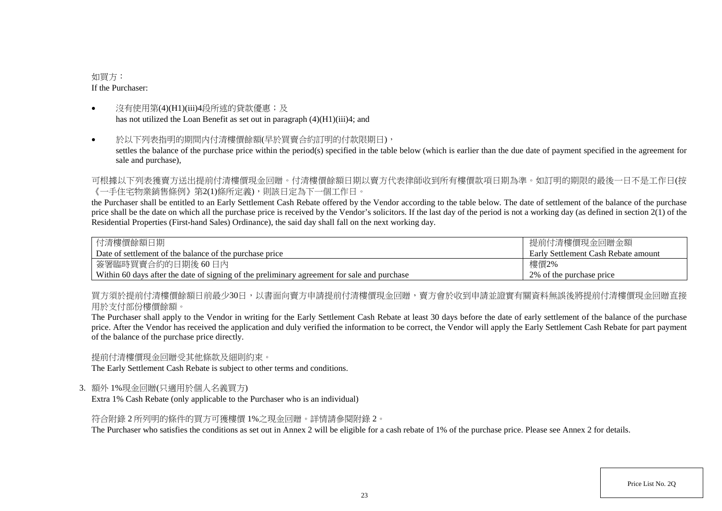### 如買方: If the Purchaser:

- 沒有使用第(4)(H1)(iii)4段所述的貸款優惠;及 has not utilized the Loan Benefit as set out in paragraph (4)(H1)(iii)4; and
- 於以下列表指明的期間内付清樓價餘額(早於買賣合約訂明的付款限期日), settles the balance of the purchase price within the period(s) specified in the table below (which is earlier than the due date of payment specified in the agreement for sale and purchase),

可根據以下列表獲賣方送出提前付清樓價現金回贈。付清樓價餘額日期以賣方代表律師收到所有樓價款項日期為準。如訂明的期限的最後一日不是工作日(按 《一手住宅物業銷售條例》第2(1)條所定義),則該日定為下一個工作日。

the Purchaser shall be entitled to an Early Settlement Cash Rebate offered by the Vendor according to the table below. The date of settlement of the balance of the purchase price shall be the date on which all the purchase price is received by the Vendor's solicitors. If the last day of the period is not a working day (as defined in section  $2(1)$  of the Residential Properties (First-hand Sales) Ordinance), the said day shall fall on the next working day.

| 付清樓價餘額日期                                                                                    | 提前付清樓價現金回贈金額                        |
|---------------------------------------------------------------------------------------------|-------------------------------------|
| Date of settlement of the balance of the purchase price                                     | Early Settlement Cash Rebate amount |
| 簽署臨時買賣合約的日期後 60日內                                                                           | 樓價2%                                |
| Within 60 days after the date of signing of the preliminary agreement for sale and purchase | 2\% of the purchase price           |

買方須於提前付清樓價餘額日前最少30日,以書面向賣方申請提前付清樓價現金回贈,賣方會於收到申請並證實有關資料無誤後將提前付清樓價現金回贈直接 用於支付部份樓價餘額。

The Purchaser shall apply to the Vendor in writing for the Early Settlement Cash Rebate at least 30 days before the date of early settlement of the balance of the purchase price. After the Vendor has received the application and duly verified the information to be correct, the Vendor will apply the Early Settlement Cash Rebate for part payment of the balance of the purchase price directly.

提前付清樓價現金回贈受其他條款及細則約束。

The Early Settlement Cash Rebate is subject to other terms and conditions.

3. 額外 1%現金回贈(只適用於個人名義買方)

Extra 1% Cash Rebate (only applicable to the Purchaser who is an individual)

符合附錄 2 所列明的條件的買方可獲樓價 1%之現金回贈。詳情請參閱附錄 2。

The Purchaser who satisfies the conditions as set out in Annex 2 will be eligible for a cash rebate of 1% of the purchase price. Please see Annex 2 for details.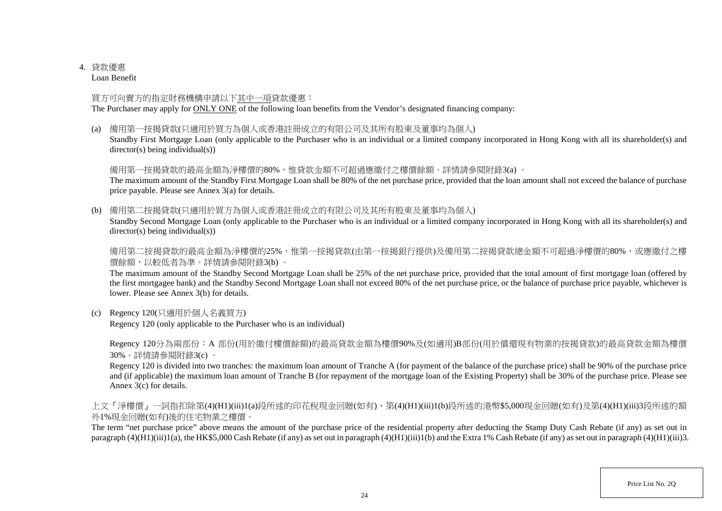### 4. 貸款優惠

Loan Benefit

### 買方可向賣方的指定財務機構申請以下其中一項貸款優惠:

The Purchaser may apply for ONLY ONE of the following loan benefits from the Vendor's designated financing company:

(a) 備用第一按揭貸款(只適用於買方為個人或香港註冊成立的有限公司及其所有股東及董事均為個人)

Standby First Mortgage Loan (only applicable to the Purchaser who is an individual or a limited company incorporated in Hong Kong with all its shareholder(s) and director(s) being individual(s))

## 備用第一按揭貸款的最高金額為淨樓價的80%,惟貸款金額不可超過應繳付之樓價餘額。詳情請參閱附錄3(a) 。

The maximum amount of the Standby First Mortgage Loan shall be 80% of the net purchase price, provided that the loan amount shall not exceed the balance of purchase price payable. Please see Annex 3(a) for details.

(b) 備用第二按揭貸款(只適用於買方為個人或香港註冊成立的有限公司及其所有股東及董事均為個人)

Standby Second Mortgage Loan (only applicable to the Purchaser who is an individual or a limited company incorporated in Hong Kong with all its shareholder(s) and director(s) being individual(s))

備用第二按揭貸款的最高金額為淨樓價的25%,惟第一按揭貸款(由第一按揭銀行提供)及備用第二按揭貸款總金額不可超過淨樓價的80%,或應繳付之樓 價餘額,以較低者為準。詳情請參閱附錄3(b) 。

The maximum amount of the Standby Second Mortgage Loan shall be 25% of the net purchase price, provided that the total amount of first mortgage loan (offered by the first mortgagee bank) and the Standby Second Mortgage Loan shall not exceed 80% of the net purchase price, or the balance of purchase price payable, whichever is lower. Please see Annex 3(b) for details.

(c) Regency 120(只適用於個人名義買方)

Regency 120 (only applicable to the Purchaser who is an individual)

Regency 120分為兩部份:A 部份(用於繳付樓價餘額)的最高貸款金額為樓價90%及(如適用)B部份(用於償還現有物業的按揭貸款)的最高貸款金額為樓價 30%。詳情請參閱附錄3(c) 。

Regency 120 is divided into two tranches: the maximum loan amount of Tranche A (for payment of the balance of the purchase price) shall be 90% of the purchase price and (if applicable) the maximum loan amount of Tranche B (for repayment of the mortgage loan of the Existing Property) shall be 30% of the purchase price. Please see Annex 3(c) for details.

上文『淨樓價』一詞指扣除第(4)(H1)(iii)1(a)段所述的印花稅現金回贈(如有)、第(4)(H1)(iii)1(b)段所述的港幣\$5,000現金回贈(如有)及第(4)(H1)(iii)3段所述的額 外1%現金回贈(如有)後的住宅物業之樓價。

The term "net purchase price" above means the amount of the purchase price of the residential property after deducting the Stamp Duty Cash Rebate (if any) as set out in paragraph (4)( $\hat{H}1$ )(iii)1(a), the HK\$5,000 Cash Rebate (if any) as set out in paragraph (4)(H1)(iii)1(b) and the Extra 1% Cash Rebate (if any) as set out in paragraph (4)(H1)(iii)3.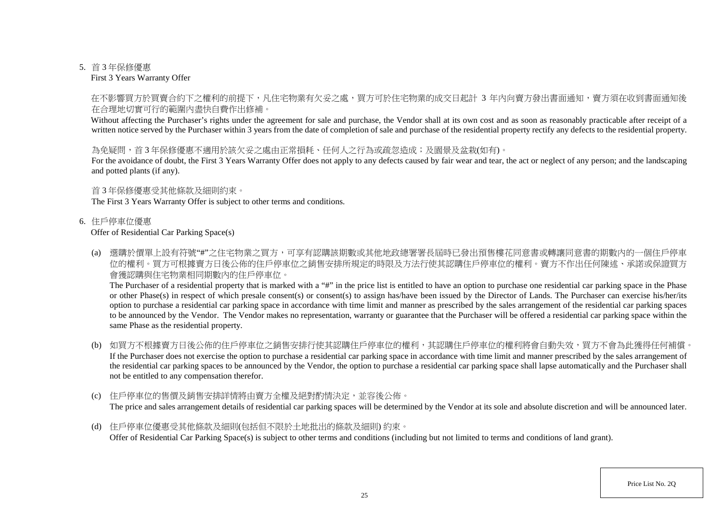#### 5. 首 3 年保修優惠

First 3 Years Warranty Offer

### 在不影響買方於買賣合約下之權利的前提下,凡住宅物業有欠妥之處,買方可於住宅物業的成交日起計 3 年内向賣方發出書面通知,賣方須在收到書面通知後 在合理地切實可行的範圍內盡快自費作出修補。

Without affecting the Purchaser's rights under the agreement for sale and purchase, the Vendor shall at its own cost and as soon as reasonably practicable after receipt of a written notice served by the Purchaser within 3 years from the date of completion of sale and purchase of the residential property rectify any defects to the residential property.

### 為免疑問,首3年保修優惠不適用於該欠妥之處由正常捐耗、任何人之行為或疏忽造成;及園景及盆栽(如有)。

For the avoidance of doubt, the First 3 Years Warranty Offer does not apply to any defects caused by fair wear and tear, the act or neglect of any person; and the landscaping and potted plants (if any).

### 首 3 年保修優惠受其他條款及細則約束。

The First 3 Years Warranty Offer is subject to other terms and conditions.

### 6. 住戶停車位優惠

### Offer of Residential Car Parking Space(s)

(a) 選購於價單上設有符號"#"之住宅物業之買方,可享有認購該期數或其他地政總署署長屆時已發出預售樓花同意書或轉讓同意書的期數內的一個住戶停車 位的權利。買方可根據賣方日後公佈的住戶停車位之銷售安排所規定的時限及方法行使其認購住戶停車位的權利。賣方不作出任何陳述、承諾或保證買方 會獲認購與住宅物業相同期數內的住戶停車位。

The Purchaser of a residential property that is marked with a "#" in the price list is entitled to have an option to purchase one residential car parking space in the Phase or other Phase(s) in respect of which presale consent(s) or consent(s) to assign has/have been issued by the Director of Lands. The Purchaser can exercise his/her/its option to purchase a residential car parking space in accordance with time limit and manner as prescribed by the sales arrangement of the residential car parking spaces to be announced by the Vendor. The Vendor makes no representation, warranty or guarantee that the Purchaser will be offered a residential car parking space within the same Phase as the residential property.

- (b) 如買方不根據賣方日後公佈的住戶停車位之銷售安排行使其認購住戶停車位的權利,其認購住戶停車位的權利將會自動失效,買方不會為此獲得任何補償。 If the Purchaser does not exercise the option to purchase a residential car parking space in accordance with time limit and manner prescribed by the sales arrangement of the residential car parking spaces to be announced by the Vendor, the option to purchase a residential car parking space shall lapse automatically and the Purchaser shall not be entitled to any compensation therefor.
- (c) 住戶停車位的售價及銷售安排詳情將由賣方全權及絕對酌情決定,並容後公佈。 The price and sales arrangement details of residential car parking spaces will be determined by the Vendor at its sole and absolute discretion and will be announced later.
- (d) 住戶停車位優惠受其他條款及細則(包括但不限於土地批出的條款及細則) 約束。 Offer of Residential Car Parking Space(s) is subject to other terms and conditions (including but not limited to terms and conditions of land grant).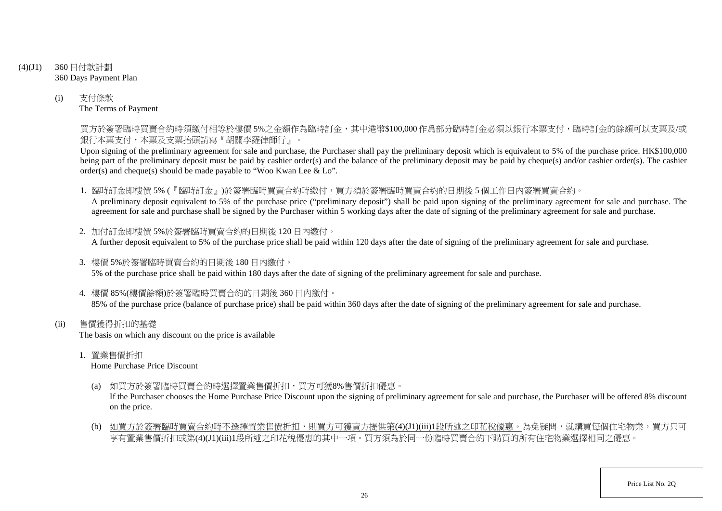- (4)(J1) 360 日付款計劃 360 Days Payment Plan
	- (i) 支付條款 The Terms of Payment

買方於簽署臨時買賣合約時須繳付相等於樓價 5%之金額作為臨時訂金,其中港幣\$100,000 作爲部分臨時訂金必須以銀行本票支付,臨時訂金的餘額可以支票及/或 銀行本票支付,本票及支票抬頭請寫『胡關李羅律師行』。

Upon signing of the preliminary agreement for sale and purchase, the Purchaser shall pay the preliminary deposit which is equivalent to 5% of the purchase price. HK\$100,000 being part of the preliminary deposit must be paid by cashier order(s) and the balance of the preliminary deposit may be paid by cheque(s) and/or cashier order(s). The cashier order(s) and cheque(s) should be made payable to "Woo Kwan Lee & Lo".

1. 臨時訂金即樓價 5% (『臨時訂金』)於簽署臨時買賣合約時繳付,買方須於簽署臨時買賣合約的日期後 5 個工作日內簽署買賣合約。

A preliminary deposit equivalent to 5% of the purchase price ("preliminary deposit") shall be paid upon signing of the preliminary agreement for sale and purchase. The agreement for sale and purchase shall be signed by the Purchaser within 5 working days after the date of signing of the preliminary agreement for sale and purchase.

- 2. 加付訂金即樓價 5%於簽署臨時買賣合約的日期後 120 日內繳付。 A further deposit equivalent to 5% of the purchase price shall be paid within 120 days after the date of signing of the preliminary agreement for sale and purchase.
- 3. 樓價 5%於簽署臨時買賣合約的日期後 180 日內繳付。 5% of the purchase price shall be paid within 180 days after the date of signing of the preliminary agreement for sale and purchase.
- 4. 樓價 85%(樓價餘額)於簽署臨時買賣合約的日期後 360 日內繳付。 85% of the purchase price (balance of purchase price) shall be paid within 360 days after the date of signing of the preliminary agreement for sale and purchase.
- (ii) 售價獲得折扣的基礎 The basis on which any discount on the price is available
	- 1. 置業售價折扣

Home Purchase Price Discount

(a) 如買方於簽署臨時買賣合約時選擇置業售價折扣,買方可獲8%售價折扣優惠。

If the Purchaser chooses the Home Purchase Price Discount upon the signing of preliminary agreement for sale and purchase, the Purchaser will be offered 8% discount on the price.

(b) 如買方於簽署臨時買賣合約時不選擇置業售價折扣,則買方可獲賣方提供第(4)(J1)(iii)1段所述之印花稅優惠。為免疑問,就購買每個住宅物業,買方只可 享有置業售價折扣或第(4)(J1)(iii)1段所述之印花稅優惠的其中一項。買方須為於同一份臨時買賣合約下購買的所有住宅物業選擇相同之優惠。

Price List No. 2Q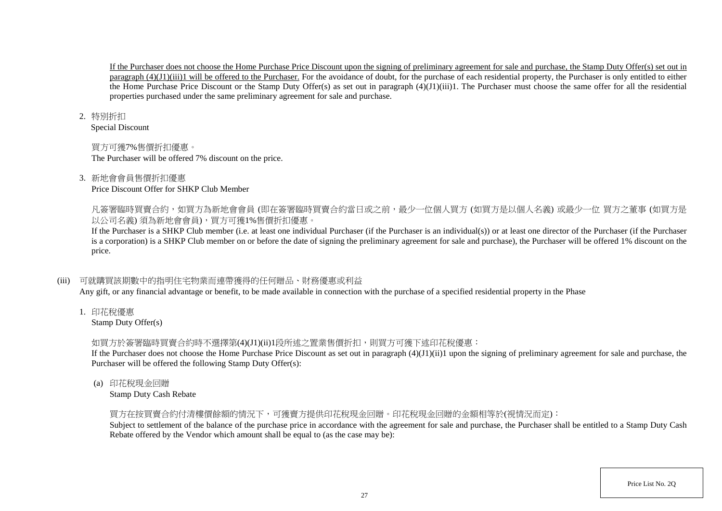If the Purchaser does not choose the Home Purchase Price Discount upon the signing of preliminary agreement for sale and purchase, the Stamp Duty Offer(s) set out in paragraph (4)(J1)(iii)1 will be offered to the Purchaser. For the avoidance of doubt, for the purchase of each residential property, the Purchaser is only entitled to either the Home Purchase Price Discount or the Stamp Duty Offer(s) as set out in paragraph (4)(J1)(iii)1. The Purchaser must choose the same offer for all the residential properties purchased under the same preliminary agreement for sale and purchase.

#### 2. 特別折扣

Special Discount

## 買方可獲7%售價折扣優惠。

The Purchaser will be offered 7% discount on the price.

### 3. 新地會會員售價折扣優惠

Price Discount Offer for SHKP Club Member

凡簽署臨時買賣合約,如買方為新地會會員 (即在簽署臨時買賣合約當日或之前,最少一位個人買方 (如買方是以個人名義) 或最少一位 買方之董事 (如買方是 以公司名義) 須為新地會會員),買方可獲1%售價折扣優惠。

If the Purchaser is a SHKP Club member (i.e. at least one individual Purchaser (if the Purchaser is an individual(s)) or at least one director of the Purchaser (if the Purchaser is a corporation) is a SHKP Club member on or before the date of signing the preliminary agreement for sale and purchase), the Purchaser will be offered 1% discount on the price.

### (iii) 可就購買該期數中的指明住宅物業而連帶獲得的任何贈品、財務優惠或利益

Any gift, or any financial advantage or benefit, to be made available in connection with the purchase of a specified residential property in the Phase

1. 印花稅優惠

Stamp Duty Offer(s)

## 如買方於簽署臨時買賣合約時不選擇第(4)(J1)(ii)1段所述之置業售價折扣,則買方可獲下述印花稅優惠:

If the Purchaser does not choose the Home Purchase Price Discount as set out in paragraph  $(4)(J1)(ii)1$  upon the signing of preliminary agreement for sale and purchase, the Purchaser will be offered the following Stamp Duty Offer(s):

(a) 印花稅現金回贈

Stamp Duty Cash Rebate

## 買方在按買賣合約付清樓價餘額的情況下,可獲賣方提供印花稅現金回贈。印花稅現金回贈的金額相等於(視情況而定):

Subject to settlement of the balance of the purchase price in accordance with the agreement for sale and purchase, the Purchaser shall be entitled to a Stamp Duty Cash Rebate offered by the Vendor which amount shall be equal to (as the case may be):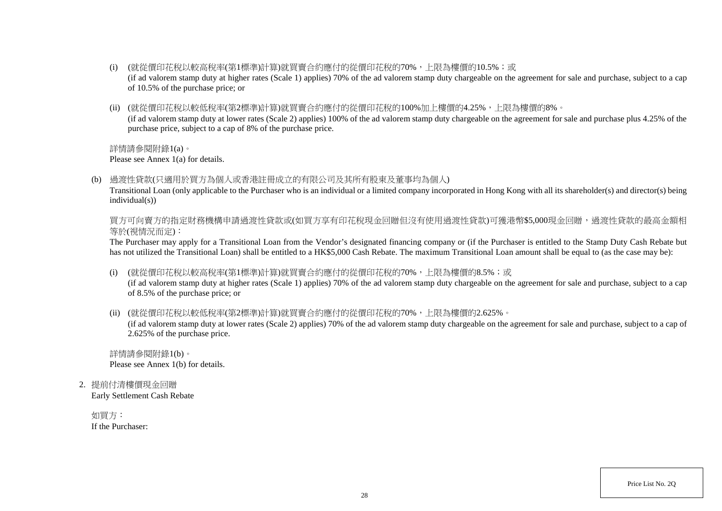- (i) (就從價印花稅以較高稅率(第1標準)計算)就買賣合約應付的從價印花稅的70%,上限為樓價的10.5%;或 (if ad valorem stamp duty at higher rates (Scale 1) applies) 70% of the ad valorem stamp duty chargeable on the agreement for sale and purchase, subject to a cap of 10.5% of the purchase price; or
- (ii) (就從價印花稅以較低稅率(第2標準)計算)就買賣合約應付的從價印花稅的100%加上樓價的4.25%,上限為樓價的8%。 (if ad valorem stamp duty at lower rates (Scale 2) applies) 100% of the ad valorem stamp duty chargeable on the agreement for sale and purchase plus 4.25% of the purchase price, subject to a cap of 8% of the purchase price.

詳情請參閱附錄1(a)。

Please see Annex 1(a) for details.

(b) 過渡性貸款(只適用於買方為個人或香港註冊成立的有限公司及其所有股東及董事均為個人)

Transitional Loan (only applicable to the Purchaser who is an individual or a limited company incorporated in Hong Kong with all its shareholder(s) and director(s) being individual(s))

買方可向賣方的指定財務機構申請過渡性貸款或(如買方享有印花稅現金回贈但沒有使用過渡性貸款)可獲港幣\$5,000現金回贈,過渡性貸款的最高金額相 等於(視情況而定):

The Purchaser may apply for a Transitional Loan from the Vendor's designated financing company or (if the Purchaser is entitled to the Stamp Duty Cash Rebate but has not utilized the Transitional Loan) shall be entitled to a HK\$5,000 Cash Rebate. The maximum Transitional Loan amount shall be equal to (as the case may be):

(i) (就從價印花稅以較高稅率(第1標準)計算)就買賣合約應付的從價印花稅的70%,上限為樓價的8.5%;或

(if ad valorem stamp duty at higher rates (Scale 1) applies) 70% of the ad valorem stamp duty chargeable on the agreement for sale and purchase, subject to a cap of 8.5% of the purchase price; or

(ii) (就從價印花稅以較低稅率(第2標準)計算)就買賣合約應付的從價印花稅的70%,上限為樓價的2.625%。

(if ad valorem stamp duty at lower rates (Scale 2) applies) 70% of the ad valorem stamp duty chargeable on the agreement for sale and purchase, subject to a cap of 2.625% of the purchase price.

詳情請參閱附錄1(b)。 Please see Annex 1(b) for details.

2. 提前付清樓價現金回贈

Early Settlement Cash Rebate

如買方: If the Purchaser: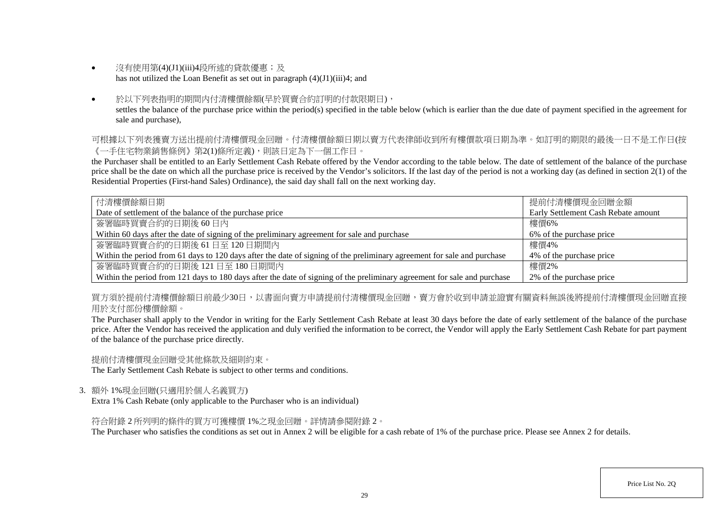- 沒有使用第(4)(J1)(iii)4段所述的貸款優惠;及 has not utilized the Loan Benefit as set out in paragraph (4)(J1)(iii)4; and
- 於以下列表指明的期間内付清樓價餘額(早於買賣合約訂明的付款限期日), settles the balance of the purchase price within the period(s) specified in the table below (which is earlier than the due date of payment specified in the agreement for sale and purchase),

可根據以下列表獲賣方送出提前付清樓價現金回贈。付清樓價餘額日期以賣方代表律師收到所有樓價款項日期為準。如訂明的期限的最後一日不是工作日(按 《一手住宅物業銷售條例》第2(1)條所定義),則該日定為下一個工作日。

the Purchaser shall be entitled to an Early Settlement Cash Rebate offered by the Vendor according to the table below. The date of settlement of the balance of the purchase price shall be the date on which all the purchase price is received by the Vendor's solicitors. If the last day of the period is not a working day (as defined in section  $2(1)$  of the Residential Properties (First-hand Sales) Ordinance), the said day shall fall on the next working day.

| 付清樓價餘額日期                                                                                                                 | 提前付清樓價現金回贈金額                        |  |  |  |
|--------------------------------------------------------------------------------------------------------------------------|-------------------------------------|--|--|--|
| Date of settlement of the balance of the purchase price                                                                  | Early Settlement Cash Rebate amount |  |  |  |
| 簽署臨時買賣合約的日期後60日內                                                                                                         | 樓價6%                                |  |  |  |
| Within 60 days after the date of signing of the preliminary agreement for sale and purchase                              | 6% of the purchase price            |  |  |  |
| 簽署臨時買賣合約的日期後 61日至 120日期間內                                                                                                | 樓價4%                                |  |  |  |
| Within the period from 61 days to 120 days after the date of signing of the preliminary agreement for sale and purchase  | 4\% of the purchase price           |  |  |  |
| 簽署臨時買賣合約的日期後 121日至 180日期間内                                                                                               | 樓價2%                                |  |  |  |
| Within the period from 121 days to 180 days after the date of signing of the preliminary agreement for sale and purchase | 2% of the purchase price            |  |  |  |

買方須於提前付清樓價餘額日前最少30日,以書面向賣方申請提前付清樓價現金回贈,賣方會於收到申請並證實有關資料無誤後將提前付清樓價現金回贈直接 用於支付部份樓價餘額。

The Purchaser shall apply to the Vendor in writing for the Early Settlement Cash Rebate at least 30 days before the date of early settlement of the balance of the purchase price. After the Vendor has received the application and duly verified the information to be correct, the Vendor will apply the Early Settlement Cash Rebate for part payment of the balance of the purchase price directly.

提前付清樓價現金回贈受其他條款及細則約束。

The Early Settlement Cash Rebate is subject to other terms and conditions.

3. 額外 1%現金回贈(只適用於個人名義買方)

Extra 1% Cash Rebate (only applicable to the Purchaser who is an individual)

符合附錄 2 所列明的條件的買方可獲樓價 1%之現金回贈。詳情請參閱附錄 2。

The Purchaser who satisfies the conditions as set out in Annex 2 will be eligible for a cash rebate of 1% of the purchase price. Please see Annex 2 for details.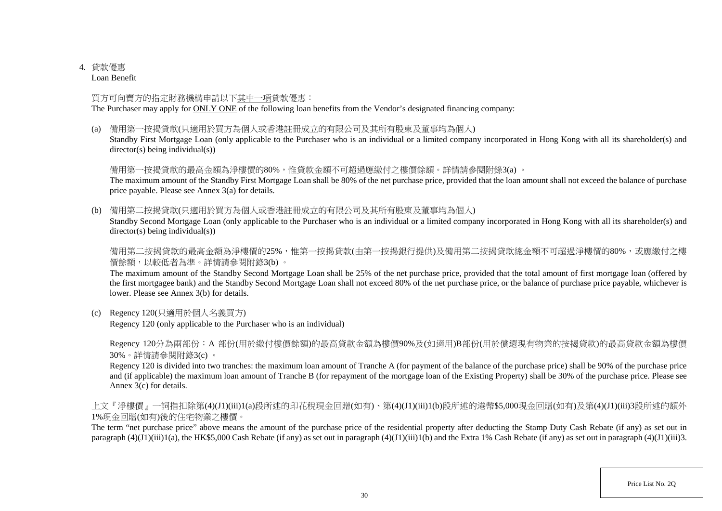### 4. 貸款優惠

Loan Benefit

### 買方可向賣方的指定財務機構申請以下其中一項貸款優惠:

The Purchaser may apply for ONLY ONE of the following loan benefits from the Vendor's designated financing company:

(a) 備用第一按揭貸款(只適用於買方為個人或香港註冊成立的有限公司及其所有股東及董事均為個人)

Standby First Mortgage Loan (only applicable to the Purchaser who is an individual or a limited company incorporated in Hong Kong with all its shareholder(s) and director(s) being individual(s))

## 備用第一按揭貸款的最高金額為淨樓價的80%,惟貸款金額不可超過應繳付之樓價餘額。詳情請參閱附錄3(a) 。

The maximum amount of the Standby First Mortgage Loan shall be 80% of the net purchase price, provided that the loan amount shall not exceed the balance of purchase price payable. Please see Annex 3(a) for details.

(b) 備用第二按揭貸款(只適用於買方為個人或香港註冊成立的有限公司及其所有股東及董事均為個人)

Standby Second Mortgage Loan (only applicable to the Purchaser who is an individual or a limited company incorporated in Hong Kong with all its shareholder(s) and director(s) being individual(s))

備用第二按揭貸款的最高金額為淨樓價的25%,惟第一按揭貸款(由第一按揭銀行提供)及備用第二按揭貸款總金額不可超過淨樓價的80%,或應繳付之樓 價餘額,以較低者為準。詳情請參閱附錄3(b) 。

The maximum amount of the Standby Second Mortgage Loan shall be 25% of the net purchase price, provided that the total amount of first mortgage loan (offered by the first mortgagee bank) and the Standby Second Mortgage Loan shall not exceed 80% of the net purchase price, or the balance of purchase price payable, whichever is lower. Please see Annex 3(b) for details.

(c) Regency 120(只適用於個人名義買方)

Regency 120 (only applicable to the Purchaser who is an individual)

Regency 120分為兩部份:A 部份(用於繳付樓價餘額)的最高貸款金額為樓價90%及(如適用)B部份(用於償還現有物業的按揭貸款)的最高貸款金額為樓價 30%。詳情請參閱附錄3(c) 。

Regency 120 is divided into two tranches: the maximum loan amount of Tranche A (for payment of the balance of the purchase price) shall be 90% of the purchase price and (if applicable) the maximum loan amount of Tranche B (for repayment of the mortgage loan of the Existing Property) shall be 30% of the purchase price. Please see Annex 3(c) for details.

上文『淨樓價』一詞指扣除第(4)(J1)(iii)1(a)段所述的印花稅現金回贈(如有)、第(4)(J1)(iii)1(b)段所述的港幣\$5,000現金回贈(如有)及第(4)(J1)(iii)3段所述的額外 1%現金回贈(如有)後的住宅物業之樓價。

The term "net purchase price" above means the amount of the purchase price of the residential property after deducting the Stamp Duty Cash Rebate (if any) as set out in paragraph  $(4)(J1)(iii)1(a)$ , the HK\$5,000 Cash Rebate (if any) as set out in paragraph  $(4)(J1)(iii)1(b)$  and the Extra 1% Cash Rebate (if any) as set out in paragraph  $(4)(J1)(iii)3$ .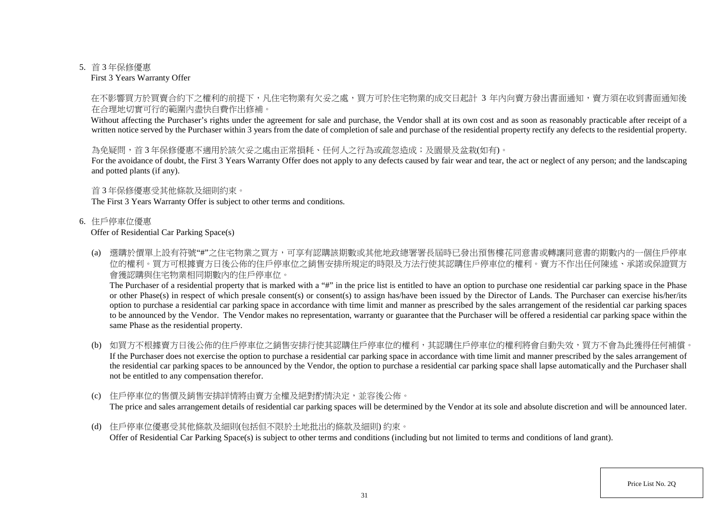#### 5. 首 3 年保修優惠

First 3 Years Warranty Offer

### 在不影響買方於買賣合約下之權利的前提下,凡住宅物業有欠妥之處,買方可於住宅物業的成交日起計 3 年内向賣方發出書面通知,賣方須在收到書面通知後 在合理地切實可行的範圍內盡快自費作出修補。

Without affecting the Purchaser's rights under the agreement for sale and purchase, the Vendor shall at its own cost and as soon as reasonably practicable after receipt of a written notice served by the Purchaser within 3 years from the date of completion of sale and purchase of the residential property rectify any defects to the residential property.

### 為免疑問,首3年保修優惠不適用於該欠妥之處由正常捐耗、任何人之行為或疏忽造成;及園景及盆栽(如有)。

For the avoidance of doubt, the First 3 Years Warranty Offer does not apply to any defects caused by fair wear and tear, the act or neglect of any person; and the landscaping and potted plants (if any).

### 首 3 年保修優惠受其他條款及細則約束。

The First 3 Years Warranty Offer is subject to other terms and conditions.

### 6. 住戶停車位優惠

### Offer of Residential Car Parking Space(s)

(a) 選購於價單上設有符號"#"之住宅物業之買方,可享有認購該期數或其他地政總署署長屆時已發出預售樓花同意書或轉讓同意書的期數內的一個住戶停車 位的權利。買方可根據賣方日後公佈的住戶停車位之銷售安排所規定的時限及方法行使其認購住戶停車位的權利。賣方不作出任何陳述、承諾或保證買方 會獲認購與住宅物業相同期數內的住戶停車位。

The Purchaser of a residential property that is marked with a "#" in the price list is entitled to have an option to purchase one residential car parking space in the Phase or other Phase(s) in respect of which presale consent(s) or consent(s) to assign has/have been issued by the Director of Lands. The Purchaser can exercise his/her/its option to purchase a residential car parking space in accordance with time limit and manner as prescribed by the sales arrangement of the residential car parking spaces to be announced by the Vendor. The Vendor makes no representation, warranty or guarantee that the Purchaser will be offered a residential car parking space within the same Phase as the residential property.

- (b) 如買方不根據賣方日後公佈的住戶停車位之銷售安排行使其認購住戶停車位的權利,其認購住戶停車位的權利將會自動失效,買方不會為此獲得任何補償。 If the Purchaser does not exercise the option to purchase a residential car parking space in accordance with time limit and manner prescribed by the sales arrangement of the residential car parking spaces to be announced by the Vendor, the option to purchase a residential car parking space shall lapse automatically and the Purchaser shall not be entitled to any compensation therefor.
- (c) 住戶停車位的售價及銷售安排詳情將由賣方全權及絕對酌情決定,並容後公佈。 The price and sales arrangement details of residential car parking spaces will be determined by the Vendor at its sole and absolute discretion and will be announced later.
- (d) 住戶停車位優惠受其他條款及細則(包括但不限於土地批出的條款及細則) 約束。 Offer of Residential Car Parking Space(s) is subject to other terms and conditions (including but not limited to terms and conditions of land grant).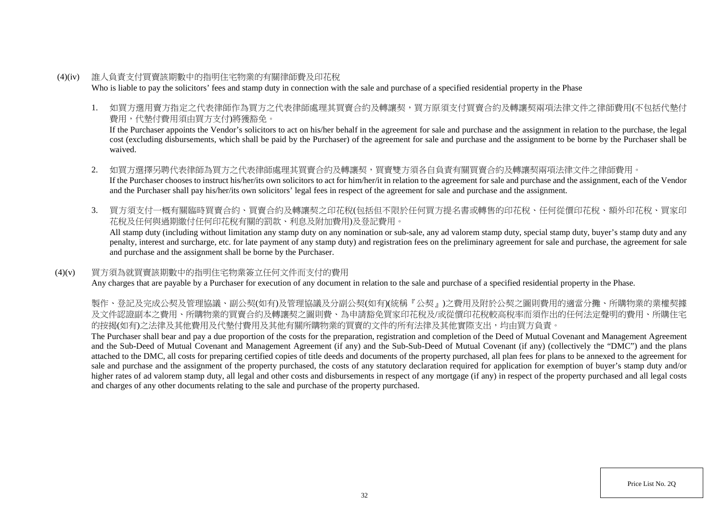- (4)(iv) 誰人負責支付買賣該期數中的指明住宅物業的有關律師費及印花稅 Who is liable to pay the solicitors' fees and stamp duty in connection with the sale and purchase of a specified residential property in the Phase
	- 1. 如買方選用賣方指定之代表律師作為買方之代表律師處理其買賣合約及轉讓契,買方原須支付買賣合約及轉讓契兩項法律文件之律師費用(不包括代墊付 費用,代墊付費用須由買方支付)將獲豁免。

If the Purchaser appoints the Vendor's solicitors to act on his/her behalf in the agreement for sale and purchase and the assignment in relation to the purchase, the legal cost (excluding disbursements, which shall be paid by the Purchaser) of the agreement for sale and purchase and the assignment to be borne by the Purchaser shall be waived.

- 2. 如買方選擇另聘代表律師為買方之代表律師處理其買賣合約及轉讓契,買賣雙方須各自負責有關買賣合約及轉讓契兩項法律文件之律師費用。 If the Purchaser chooses to instruct his/her/its own solicitors to act for him/her/it in relation to the agreement for sale and purchase and the assignment, each of the Vendor and the Purchaser shall pay his/her/its own solicitors' legal fees in respect of the agreement for sale and purchase and the assignment.
- 3. 買方須支付一概有關臨時買賣合約、買賣合約及轉讓契之印花稅(包括但不限於任何買方提名書或轉售的印花稅、任何從價印花稅、額外印花稅、買家印 花稅及任何與過期繳付任何印花稅有關的罰款、利息及附加費用)及登記費用。

All stamp duty (including without limitation any stamp duty on any nomination or sub-sale, any ad valorem stamp duty, special stamp duty, buyer's stamp duty and any penalty, interest and surcharge, etc. for late payment of any stamp duty) and registration fees on the preliminary agreement for sale and purchase, the agreement for sale and purchase and the assignment shall be borne by the Purchaser.

### (4)(v) 買方須為就買賣該期數中的指明住宅物業簽立任何文件而支付的費用

Any charges that are payable by a Purchaser for execution of any document in relation to the sale and purchase of a specified residential property in the Phase.

製作、登記及完成公契及管理協議、副公契(如有)及管理協議及分副公契(如有)(統稱『公契』)之費用及附於公契之圖則費用的適當分攤、所購物業的業權契據 及文件認證副本之費用、所購物業的買賣合約及轉讓契之圖則費、為申請豁免買家印花稅及/或從價印花稅較高稅率而須作出的任何法定聲明的費用、所購住宅 的按揭(如有)之法律及其他費用及代墊付費用及其他有關所購物業的買賣的文件的所有法律及其他實際支出,均由買方負責。

The Purchaser shall bear and pay a due proportion of the costs for the preparation, registration and completion of the Deed of Mutual Covenant and Management Agreement and the Sub-Deed of Mutual Covenant and Management Agreement (if any) and the Sub-Sub-Deed of Mutual Covenant (if any) (collectively the "DMC") and the plans attached to the DMC, all costs for preparing certified copies of title deeds and documents of the property purchased, all plan fees for plans to be annexed to the agreement for sale and purchase and the assignment of the property purchased, the costs of any statutory declaration required for application for exemption of buyer's stamp duty and/or higher rates of ad valorem stamp duty, all legal and other costs and disbursements in respect of any mortgage (if any) in respect of the property purchased and all legal costs and charges of any other documents relating to the sale and purchase of the property purchased.

Price List No. 2Q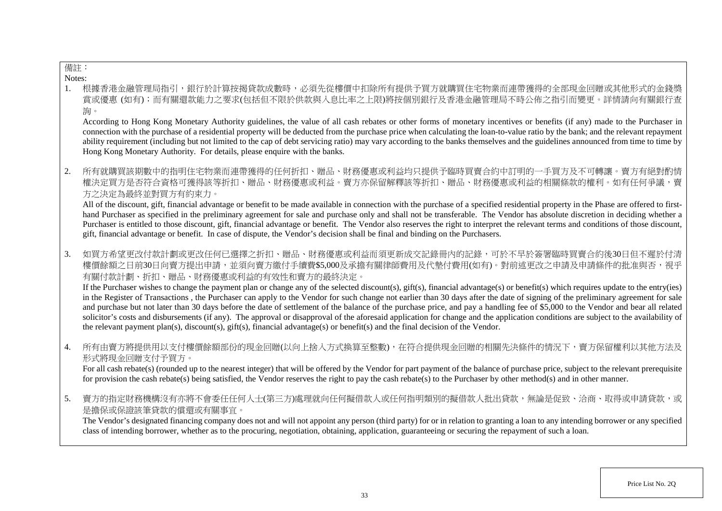### 備註:

Notes:

1. 根據香港金融管理局指引,銀行於計算按揭貸款成數時,必須先從樓價中扣除所有提供予買方就購買住宅物業而連帶獲得的全部現金回贈或其他 賞或優惠 (如有);而有關還款能力之要求(包括但不限於供款與入息比率之上限)將按個別銀行及香港金融管理局不時公佈之指引而變更。詳情請向有關銀行查 詢。

According to Hong Kong Monetary Authority guidelines, the value of all cash rebates or other forms of monetary incentives or benefits (if any) made to the Purchaser in connection with the purchase of a residential property will be deducted from the purchase price when calculating the loan-to-value ratio by the bank; and the relevant repayment ability requirement (including but not limited to the cap of debt servicing ratio) may vary according to the banks themselves and the guidelines announced from time to time by Hong Kong Monetary Authority. For details, please enquire with the banks.

2. 所有就購買該期數中的指明住宅物業而連帶獲得的任何折扣、贈品、財務優惠或利益均只提供予臨時買賣合約中訂明的一手買方及不可轉讓 權決定買方是否符合資格可獲得該等折扣、贈品、財務優惠或利益。賣方亦保留解釋該等折扣、贈品、財務優惠或利益的相關條款的權利。如有任何爭議,賣 方之決定為最終並對買方有約束力。

All of the discount, gift, financial advantage or benefit to be made available in connection with the purchase of a specified residential property in the Phase are offered to firsthand Purchaser as specified in the preliminary agreement for sale and purchase only and shall not be transferable. The Vendor has absolute discretion in deciding whether a Purchaser is entitled to those discount, gift, financial advantage or benefit. The Vendor also reserves the right to interpret the relevant terms and conditions of those discount, gift, financial advantage or benefit. In case of dispute, the Vendor's decision shall be final and binding on the Purchasers.

3. 如買方希望更改付款計劃或更改任何已選擇之折扣、贈品、財務優惠或利益而須更新成交記錄冊內的記錄,可於不早於簽署臨時買賣合約後30日但不遲於付清 樓價餘額之日前30日向賣方提出申請,並須向賣方繳付手續費\$5,000及承擔有關律師費用及代墊付費用(如有)。對前述更改之申請及申請條件的批准與否,視乎 有關付款計劃、折扣、贈品、財務優惠或利益的有效性和賣方的最終決定。

If the Purchaser wishes to change the payment plan or change any of the selected discount(s), gift(s), financial advantage(s) or benefit(s) which requires update to the entry(ies) in the Register of Transactions , the Purchaser can apply to the Vendor for such change not earlier than 30 days after the date of signing of the preliminary agreement for sale and purchase but not later than 30 days before the date of settlement of the balance of the purchase price, and pay a handling fee of \$5,000 to the Vendor and bear all related solicitor's costs and disbursements (if any). The approval or disapproval of the aforesaid application for change and the application conditions are subject to the availability of the relevant payment plan(s), discount(s), gift(s), financial advantage(s) or benefit(s) and the final decision of the Vendor.

4. 所有由賣方將提供用以支付樓價餘額部份的現金回贈(以向上捨入方式換算至整數),在符合提供現金回贈的相關先決條件的情況下,賣方保留權利以其他方法及 形式將現金回贈支付予買方。

For all cash rebate(s) (rounded up to the nearest integer) that will be offered by the Vendor for part payment of the balance of purchase price, subject to the relevant prerequisite for provision the cash rebate(s) being satisfied, the Vendor reserves the right to pay the cash rebate(s) to the Purchaser by other method(s) and in other manner.

5. 賣方的指定財務機構沒有亦將不會委任任何人士(第三方)處理就向任何擬借款人或任何指明類別的擬借款人批出貸款,無論是促致、洽商、取得或申請貸款,或 是擔保或保證該筆貸款的償還或有關事宜。

The Vendor's designated financing company does not and will not appoint any person (third party) for or in relation to granting a loan to any intending borrower or any specified class of intending borrower, whether as to the procuring, negotiation, obtaining, application, guaranteeing or securing the repayment of such a loan.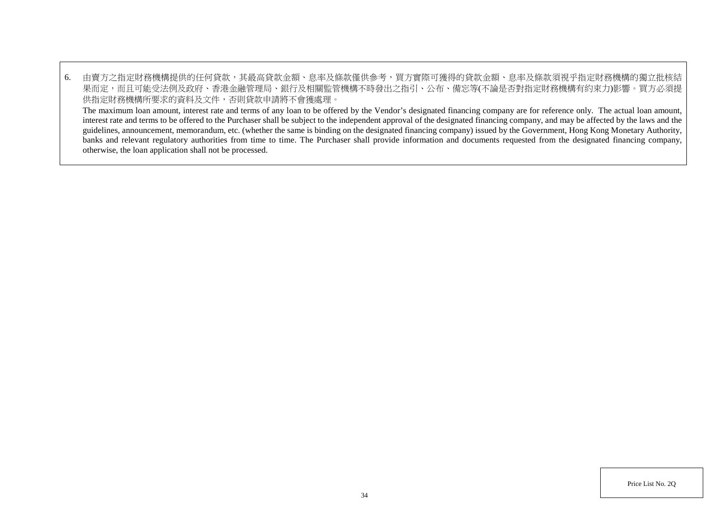6. 由賣方之指定財務機構提供的任何貸款,其最高貸款金額、息率及條款僅供參考,買方實際可獲得的貸款金額、息率及條款須視乎指定財務機構的獨立批核結 果而定,而且可能受法例及政府、香港金融管理局、銀行及相關監管機構不時發出之指引、公布、備忘等(不論是否對指定財務機構有約束力)影響。買方必須提 供指定財務機構所要求的資料及文件,否則貸款申請將不會獲處理。 The maximum loan amount, interest rate and terms of any loan to be offered by the Vendor's designated financing company are for reference only. The actual loan amount, interest rate and terms to be offered to the Purchaser shall be subject to the independent approval of the designated financing company, and may be affected by the laws and the guidelines, announcement, memorandum, etc. (whether the same is binding on the designated financing company) issued by the Government, Hong Kong Monetary Authority, banks and relevant regulatory authorities from time to time. The Purchaser shall provide information and documents requested from the designated financing company,

otherwise, the loan application shall not be processed.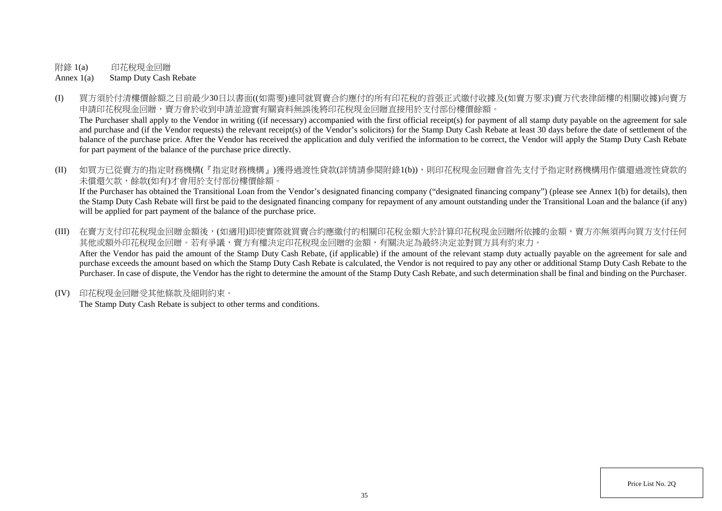附錄 1(a) 印花稅現金回贈

Annex 1(a) Stamp Duty Cash Rebate

(I) 買方須於付清樓價餘額之日前最少30日以書面((如需要)連同就買賣合約應付的所有印花稅的首張正式繳付收據及(如賣方要求)賣方代表律師樓的相關收據)向賣方 申請印花稅現金回贈,賣方會於收到申請並證實有關資料無誤後將印花稅現金回贈直接用於支付部份樓價餘額。

The Purchaser shall apply to the Vendor in writing ((if necessary) accompanied with the first official receipt(s) for payment of all stamp duty payable on the agreement for sale and purchase and (if the Vendor requests) the relevant receipt(s) of the Vendor's solicitors) for the Stamp Duty Cash Rebate at least 30 days before the date of settlement of the balance of the purchase price. After the Vendor has received the application and duly verified the information to be correct, the Vendor will apply the Stamp Duty Cash Rebate for part payment of the balance of the purchase price directly.

(II) 如買方已從賣方的指定財務機構(『指定財務機構』)獲得過渡性貸款(詳情請參閱附錄1(b)),則印花稅現金回贈會首先支付予指定財務機構用作償還過渡性貸款的 未償還欠款,餘款(如有)才會用於支付部份樓價餘額。 If the Purchaser has obtained the Transitional Loan from the Vendor's designated financing company ("designated financing company") (please see Annex 1(b) for details), then

the Stamp Duty Cash Rebate will first be paid to the designated financing company for repayment of any amount outstanding under the Transitional Loan and the balance (if any) will be applied for part payment of the balance of the purchase price.

- (III) 在賣方支付印花稅現金回贈金額後,(如適用)即使實際就買賣合約應繳付的相關印花稅金額大於計算印花稅現金回贈所依據的金額,賣方亦無須再向買方支付任何 其他或額外印花稅現金回贈。若有爭議,賣方有權決定印花稅現金回贈的金額,有關決定為最終決定並對買方具有約束力。 After the Vendor has paid the amount of the Stamp Duty Cash Rebate, (if applicable) if the amount of the relevant stamp duty actually payable on the agreement for sale and purchase exceeds the amount based on which the Stamp Duty Cash Rebate is calculated, the Vendor is not required to pay any other or additional Stamp Duty Cash Rebate to the Purchaser. In case of dispute, the Vendor has the right to determine the amount of the Stamp Duty Cash Rebate, and such determination shall be final and binding on the Purchaser.
- (IV) 印花稅現金回贈受其他條款及細則約束。

The Stamp Duty Cash Rebate is subject to other terms and conditions.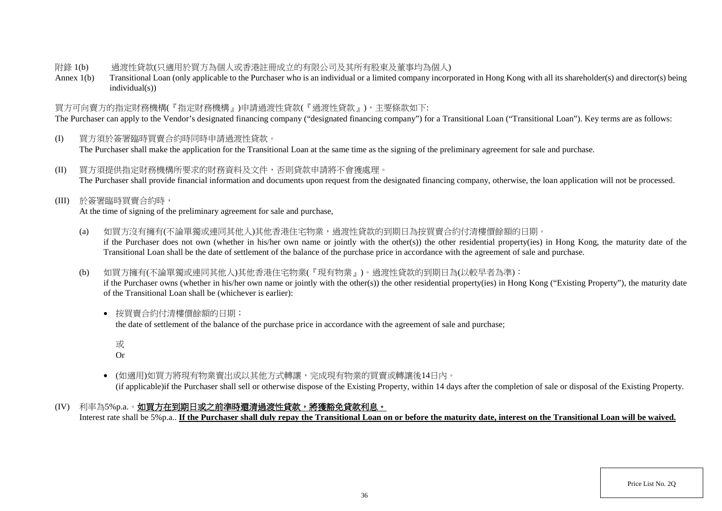### 附錄 1(b) 過渡性貸款(只適用於買方為個人或香港註冊成立的有限公司及其所有股東及董事均為個人)

Annex 1(b) Transitional Loan (only applicable to the Purchaser who is an individual or a limited company incorporated in Hong Kong with all its shareholder(s) and director(s) being individual(s))

### 買方可向賣方的指定財務機構(『指定財務機構』)申請過渡性貸款(『過渡性貸款』),主要條款如下:

The Purchaser can apply to the Vendor's designated financing company ("designated financing company") for a Transitional Loan ("Transitional Loan"). Key terms are as follows:

- (I) 買方須於簽署臨時買賣合約時同時申請過渡性貸款。 The Purchaser shall make the application for the Transitional Loan at the same time as the signing of the preliminary agreement for sale and purchase.
- (II) 買方須提供指定財務機構所要求的財務資料及文件,否則貸款申請將不會獲處理。 The Purchaser shall provide financial information and documents upon request from the designated financing company, otherwise, the loan application will not be processed.
- (III) 於簽署臨時買賣合約時,

At the time of signing of the preliminary agreement for sale and purchase,

- (a) 如買方沒有擁有(不論單獨或連同其他人)其他香港住宅物業,過渡性貸款的到期日為按買賣合約付清樓價餘額的日期。 if the Purchaser does not own (whether in his/her own name or jointly with the other(s)) the other residential property(ies) in Hong Kong, the maturity date of the Transitional Loan shall be the date of settlement of the balance of the purchase price in accordance with the agreement of sale and purchase.
- (b) 如買方擁有(不論單獨或連同其他人)其他香港住宅物業(『現有物業』)。過渡性貸款的到期日為(以較早者為準):

if the Purchaser owns (whether in his/her own name or jointly with the other(s)) the other residential property(ies) in Hong Kong ("Existing Property"), the maturity date of the Transitional Loan shall be (whichever is earlier):

• 按買賣合約付清樓價餘額的日期;

the date of settlement of the balance of the purchase price in accordance with the agreement of sale and purchase;

或

Or

- (如適用)如買方將現有物業賣出或以其他方式轉讓,完成現有物業的買賣或轉讓後14日內。 (if applicable)if the Purchaser shall sell or otherwise dispose of the Existing Property, within 14 days after the completion of sale or disposal of the Existing Property.
- (IV) 利率為5%p.a.。如買方在到期日或之前準時還清過渡性貸款,將獲豁免貸款利息。

Interest rate shall be 5%p.a.. **If the Purchaser shall duly repay the Transitional Loan on or before the maturity date, interest on the Transitional Loan will be waived.**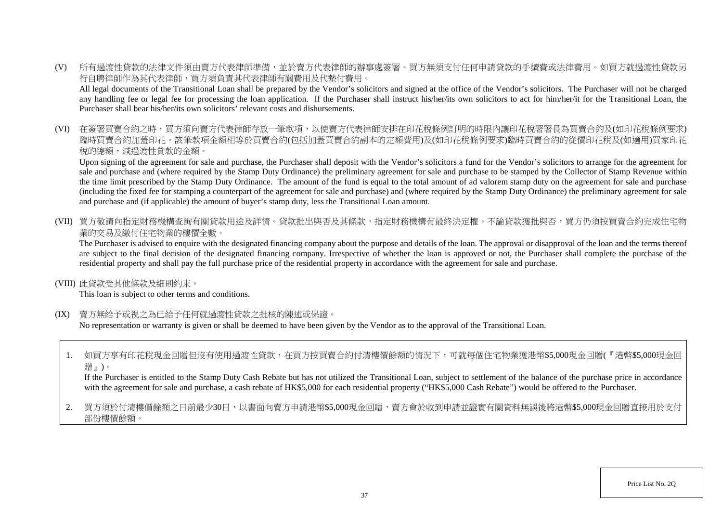(V) 所有過渡性貸款的法律文件須由賣方代表律師準備,並於賣方代表律師的辦事處簽署。買方無須支付任何申請貸款的手續費或法律費用。如買方就過渡性貸款另 行自聘律師作為其代表律師,買方須負責其代表律師有關費用及代墊付費用。

All legal documents of the Transitional Loan shall be prepared by the Vendor's solicitors and signed at the office of the Vendor's solicitors. The Purchaser will not be charged any handling fee or legal fee for processing the loan application. If the Purchaser shall instruct his/her/its own solicitors to act for him/her/it for the Transitional Loan, the Purchaser shall bear his/her/its own solicitors' relevant costs and disbursements.

(VI) 在簽署買賣合約之時,買方須向賣方代表律師存放一筆款項,以使賣方代表律師安排在印花稅條例訂明的時限內讓印花稅署署長為買賣合約及(如印花稅條例要求) 臨時買賣合約加蓋印花。該筆款項金額相等於買賣合約(包括加蓋買賣合約副本的定額費用)及(如印花稅條例要求)臨時買賣合約的從價印花稅及(如適用)買家印花 稅的總額,減過渡性貸款的金額。

Upon signing of the agreement for sale and purchase, the Purchaser shall deposit with the Vendor's solicitors a fund for the Vendor's solicitors to arrange for the agreement for sale and purchase and (where required by the Stamp Duty Ordinance) the preliminary agreement for sale and purchase to be stamped by the Collector of Stamp Revenue within the time limit prescribed by the Stamp Duty Ordinance. The amount of the fund is equal to the total amount of ad valorem stamp duty on the agreement for sale and purchase (including the fixed fee for stamping a counterpart of the agreement for sale and purchase) and (where required by the Stamp Duty Ordinance) the preliminary agreement for sale and purchase and (if applicable) the amount of buyer's stamp duty, less the Transitional Loan amount.

(VII) 買方敬請向指定財務機構查詢有關貸款用途及詳情。貸款批出與否及其條款,指定財務機構有最終決定權。不論貸款獲批與否,買方仍須按買賣合約完成住宅物 業的交易及繳付住宅物業的樓價全數。

The Purchaser is advised to enquire with the designated financing company about the purpose and details of the loan. The approval or disapproval of the loan and the terms thereof are subject to the final decision of the designated financing company. Irrespective of whether the loan is approved or not, the Purchaser shall complete the purchase of the residential property and shall pay the full purchase price of the residential property in accordance with the agreement for sale and purchase.

(VIII) 此貸款受其他條款及細則約束。

This loan is subject to other terms and conditions.

(IX) 賣方無給予或視之為已給予任何就過渡性貸款之批核的陳述或保證。

No representation or warranty is given or shall be deemed to have been given by the Vendor as to the approval of the Transitional Loan.

1. 如買方享有印花稅現金回贈但沒有使用過渡性貸款,在買方按買賣合約付清樓價餘額的情況下,可就每個住宅物業獲港幣\$5,000現金回贈(『港幣\$5,000現金回 贈』)。

If the Purchaser is entitled to the Stamp Duty Cash Rebate but has not utilized the Transitional Loan, subject to settlement of the balance of the purchase price in accordance with the agreement for sale and purchase, a cash rebate of HK\$5,000 for each residential property ("HK\$5,000 Cash Rebate") would be offered to the Purchaser.

2. 買方須於付清樓價餘額之日前最少30日,以書面向賣方申請港幣\$5,000現金回贈,賣方會於收到申請並證實有關資料無誤後將港幣\$5,000現金回贈直接用於支付 部份樓價餘額。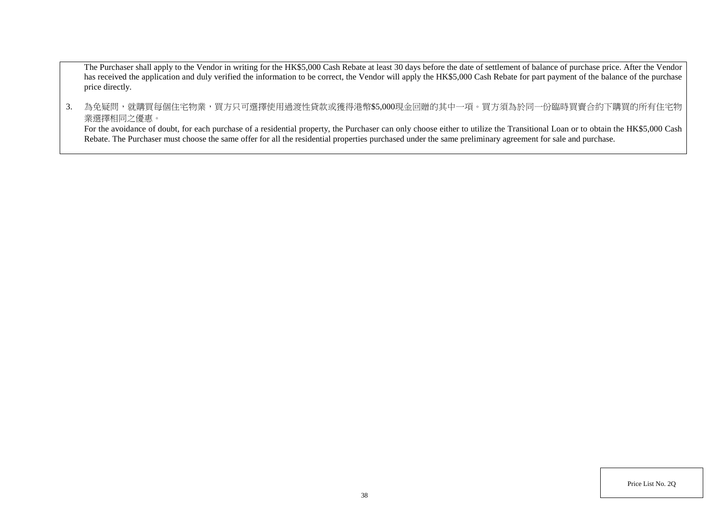The Purchaser shall apply to the Vendor in writing for the HK\$5,000 Cash Rebate at least 30 days before the date of settlement of balance of purchase price. After the Vendor has received the application and duly verified the information to be correct, the Vendor will apply the HK\$5,000 Cash Rebate for part payment of the balance of the purchase price directly.

3. 為免疑問,就購買每個住宅物業,買方只可選擇使用過渡性貸款或獲得港幣\$5,000現金回贈的其中一項。買方須為於同一份臨時買賣合約下購買的所有住宅物 業選擇相同之優惠。

For the avoidance of doubt, for each purchase of a residential property, the Purchaser can only choose either to utilize the Transitional Loan or to obtain the HK\$5,000 Cash Rebate. The Purchaser must choose the same offer for all the residential properties purchased under the same preliminary agreement for sale and purchase.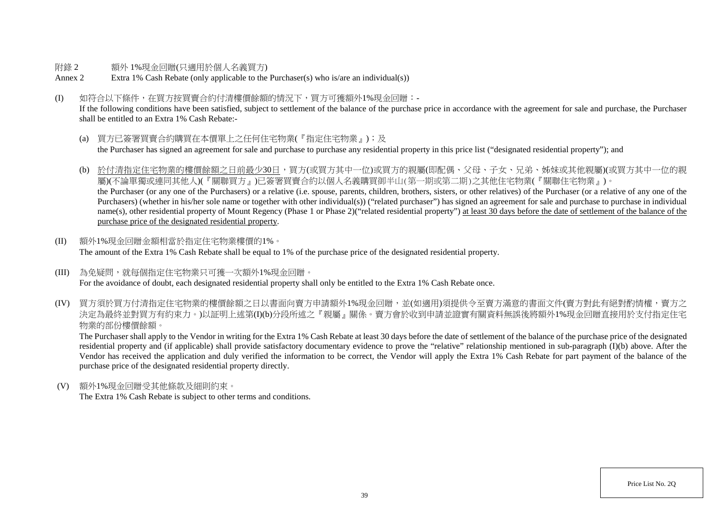### 附錄 2 額外 1%現金回贈(只適用於個人名義買方)

- Annex 2 Extra 1% Cash Rebate (only applicable to the Purchaser(s) who is/are an individual(s))
- (I) 如符合以下條件,在買方按買賣合約付清樓價餘額的情況下,買方可獲額外1%現金回贈:-

If the following conditions have been satisfied, subject to settlement of the balance of the purchase price in accordance with the agreement for sale and purchase, the Purchaser shall be entitled to an Extra 1% Cash Rebate:-

- (a) 買方已簽署買賣合約購買在本價單上之任何住宅物業(『指定住宅物業』);及 the Purchaser has signed an agreement for sale and purchase to purchase any residential property in this price list ("designated residential property"); and
- (b) 於付清指定住宅物業的樓價餘額之日前最少30日,買方(或買方其中一位)或買方的親屬(即配偶、父母、子女、兄弟、姊妹或其他親屬)(或買方其中一位的親 屬)(不論單獨或連同其他人)(『關聯買方』)已簽署買賣合約以個人名義購買御半山(第一期或第二期)之其他住宅物業(『關聯住宅物業』)。 the Purchaser (or any one of the Purchasers) or a relative (i.e. spouse, parents, children, brothers, sisters, or other relatives) of the Purchaser (or a relative of any one of the Purchasers) (whether in his/her sole name or together with other individual(s)) ("related purchaser") has signed an agreement for sale and purchase to purchase in individual name(s), other residential property of Mount Regency (Phase 1 or Phase 2)("related residential property") at least 30 days before the date of settlement of the balance of the purchase price of the designated residential property.
- (II) 額外1%現金回贈金額相當於指定住宅物業樓價的1%。 The amount of the Extra 1% Cash Rebate shall be equal to 1% of the purchase price of the designated residential property.
- (III) 為免疑問,就每個指定住宅物業只可獲一次額外1%現金回贈。 For the avoidance of doubt, each designated residential property shall only be entitled to the Extra 1% Cash Rebate once.
- (IV) 買方須於買方付清指定住宅物業的樓價餘額之日以書面向賣方申請額外1%現金回贈,並(如適用)須提供今至賣方滿意的書面文件(賣方對此有絕對酌情權,賣方之 決定為最終並對買方有約束力。)以証明上述第(I)(b)分段所述之『親屬』關係。賣方會於收到申請並證實有關資料無誤後將額外1%現金回贈直接用於支付指定住宅 物業的部份樓價餘額。

The Purchaser shall apply to the Vendor in writing for the Extra 1% Cash Rebate at least 30 days before the date of settlement of the balance of the purchase price of the designated residential property and (if applicable) shall provide satisfactory documentary evidence to prove the "relative" relationship mentioned in sub-paragraph (I)(b) above. After the Vendor has received the application and duly verified the information to be correct, the Vendor will apply the Extra 1% Cash Rebate for part payment of the balance of the purchase price of the designated residential property directly.

(V) 額外1%現金回贈受其他條款及細則約束。

The Extra 1% Cash Rebate is subject to other terms and conditions.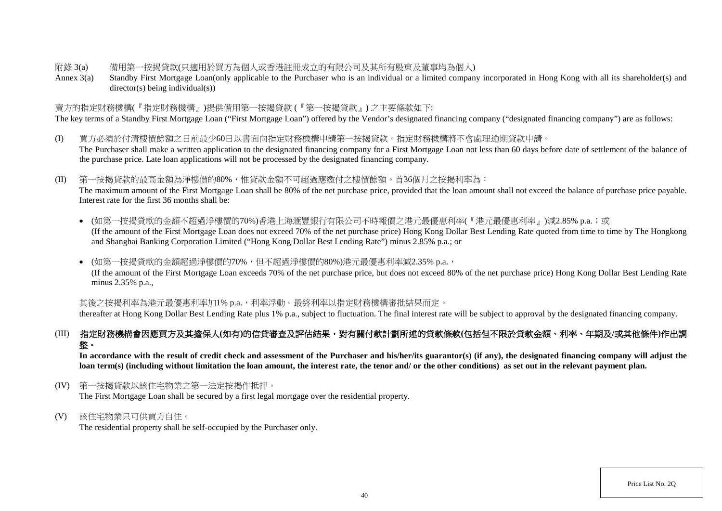### 附錄 3(a) 備用第一按揭貸款(只適用於買方為個人或香港註冊成立的有限公司及其所有股東及董事均為個人)

Annex 3(a) Standby First Mortgage Loan(only applicable to the Purchaser who is an individual or a limited company incorporated in Hong Kong with all its shareholder(s) and director(s) being individual(s))

### 賣方的指定財務機構(『指定財務機構』)提供備用第一按揭貸款 (『第一按揭貸款』) 之主要條款如下:

The key terms of a Standby First Mortgage Loan ("First Mortgage Loan") offered by the Vendor's designated financing company ("designated financing company") are as follows:

- (I) 買方必須於付清樓價餘額之日前最少60日以書面向指定財務機構申請第一按揭貸款。指定財務機構將不會處理逾期貸款申請。 The Purchaser shall make a written application to the designated financing company for a First Mortgage Loan not less than 60 days before date of settlement of the balance of the purchase price. Late loan applications will not be processed by the designated financing company.
- (II) 第一按揭貸款的最高金額為淨樓價的80%,惟貸款金額不可超過應繳付之樓價餘額。首36個月之按揭利率為:

The maximum amount of the First Mortgage Loan shall be 80% of the net purchase price, provided that the loan amount shall not exceed the balance of purchase price payable. Interest rate for the first 36 months shall be:

• (如第一按揭貸款的金額不超過淨樓價的70%)香港上海滙豐銀行有限公司不時報價之港元最優惠利率(『港元最優惠利率』)減2.85% p.a.;或 (If the amount of the First Mortgage Loan does not exceed 70% of the net purchase price) Hong Kong Dollar Best Lending Rate quoted from time to time by The Hongkong and Shanghai Banking Corporation Limited ("Hong Kong Dollar Best Lending Rate") minus 2.85% p.a.; or

• (如第一按揭貸款的金額超過淨樓價的70%,但不超過淨樓價的80%)港元最優惠利率減2.35% p.a., (If the amount of the First Mortgage Loan exceeds 70% of the net purchase price, but does not exceed 80% of the net purchase price) Hong Kong Dollar Best Lending Rate minus 2.35% p.a.,

其後之按揭利率為港元最優惠利率加1% p.a., 利率浮動。最終利率以指定財務機構審批結果而定。

thereafter at Hong Kong Dollar Best Lending Rate plus 1% p.a., subject to fluctuation. The final interest rate will be subject to approval by the designated financing company.

## (III) 指定財務機構會因應買方及其擔保人**(**如有**)**的信貸審查及評估結果,對有關付款計劃所述的貸款條款**(**包括但不限於貸款金額、利率、年期及**/**或其他條件**)**作出調 整。

In accordance with the result of credit check and assessment of the Purchaser and his/her/its guarantor(s) (if any), the designated financing company will adjust the **loan term(s) (including without limitation the loan amount, the interest rate, the tenor and/ or the other conditions) as set out in the relevant payment plan.**

(IV) 第一按揭貸款以該住宅物業之第一法定按揭作抵押。

The First Mortgage Loan shall be secured by a first legal mortgage over the residential property.

(V) 該住宅物業只可供買方自住。

The residential property shall be self-occupied by the Purchaser only.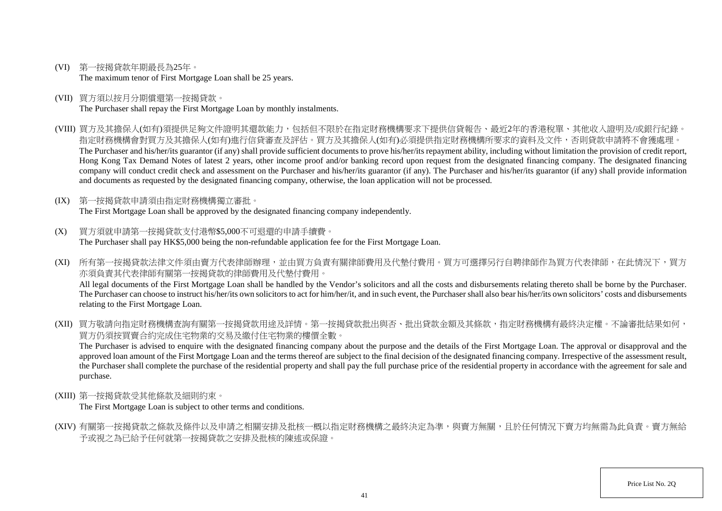- (VI) 第一按揭貸款年期最長為25年。 The maximum tenor of First Mortgage Loan shall be 25 years.
- (VII) 買方須以按月分期償還第一按揭貸款。 The Purchaser shall repay the First Mortgage Loan by monthly instalments.
- (VIII) 買方及其擔保人(如有)須提供足夠文件證明其還款能力,包括但不限於在指定財務機構要求下提供信貸報告、最近2年的香港稅單、其他收入證明及/或銀行紀錄。 指定財務機構會對買方及其擔保人(如有)進行信貸審查及評估。買方及其擔保人(如有)必須提供指定財務機構所要求的資料及文件,否則貸款申請將不會獲處理。 The Purchaser and his/her/its guarantor (if any) shall provide sufficient documents to prove his/her/its repayment ability, including without limitation the provision of credit report, Hong Kong Tax Demand Notes of latest 2 years, other income proof and/or banking record upon request from the designated financing company. The designated financing company will conduct credit check and assessment on the Purchaser and his/her/its guarantor (if any). The Purchaser and his/her/its guarantor (if any) shall provide information and documents as requested by the designated financing company, otherwise, the loan application will not be processed.
- (IX) 第一按揭貸款申請須由指定財務機構獨立審批。 The First Mortgage Loan shall be approved by the designated financing company independently.
- (X) 買方須就申請第一按揭貸款支付港幣\$5,000不可退還的申請手續費。 The Purchaser shall pay HK\$5,000 being the non-refundable application fee for the First Mortgage Loan.
- (XI) 所有第一按揭貸款法律文件須由賣方代表律師辦理,並由買方負責有關律師費用及代墊付費用。買方可選擇另行自聘律師作為買方代表律師,在此情況下,買方 亦須負責其代表律師有關第一按揭貸款的律師費用及代墊付費用。 All legal documents of the First Mortgage Loan shall be handled by the Vendor's solicitors and all the costs and disbursements relating thereto shall be borne by the Purchaser. The Purchaser can choose to instruct his/her/its own solicitors to act for him/her/it, and in such event, the Purchaser shall also bear his/her/its own solicitors' costs and disbursements relating to the First Mortgage Loan.
- (XII) 買方敬請向指定財務機構查詢有關第一按揭貸款用涂及詳情。第一按揭貸款批出與否、批出貸款金額及其條款,指定財務機構有最終決定權。不論審批結果如何, 買方仍須按買賣合約完成住宅物業的交易及繳付住宅物業的樓價全數。

The Purchaser is advised to enquire with the designated financing company about the purpose and the details of the First Mortgage Loan. The approval or disapproval and the approved loan amount of the First Mortgage Loan and the terms thereof are subject to the final decision of the designated financing company. Irrespective of the assessment result, the Purchaser shall complete the purchase of the residential property and shall pay the full purchase price of the residential property in accordance with the agreement for sale and purchase.

(XIII) 第一按揭貸款受其他條款及細則約束。

The First Mortgage Loan is subject to other terms and conditions.

(XIV) 有關第一按揭貸款之條款及條件以及申請之相關安排及批核一概以指定財務機構之最終決定為準,與賣方無關,且於任何情況下賣方均無需為此負責。賣方無給 予或視之為已給予任何就第一按揭貸款之安排及批核的陳述或保證。

Price List No. 2Q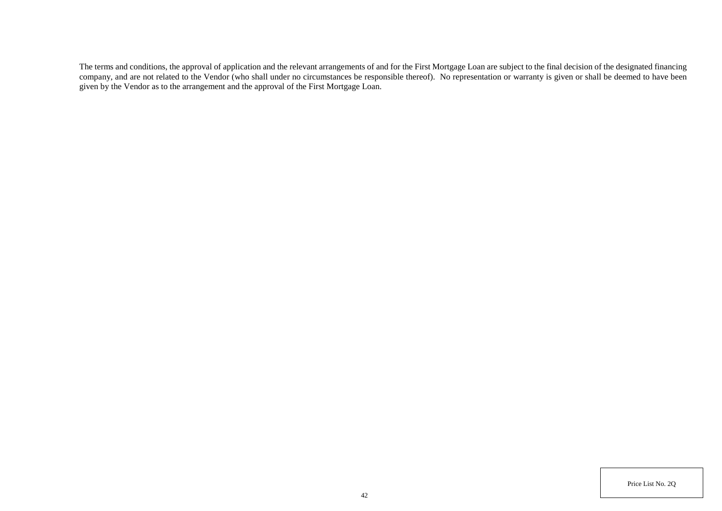The terms and conditions, the approval of application and the relevant arrangements of and for the First Mortgage Loan are subject to the final decision of the designated financing company, and are not related to the Vendor (who shall under no circumstances be responsible thereof). No representation or warranty is given or shall be deemed to have been given by the Vendor as to the arrangement and the approval of the First Mortgage Loan.

Price List No. 2Q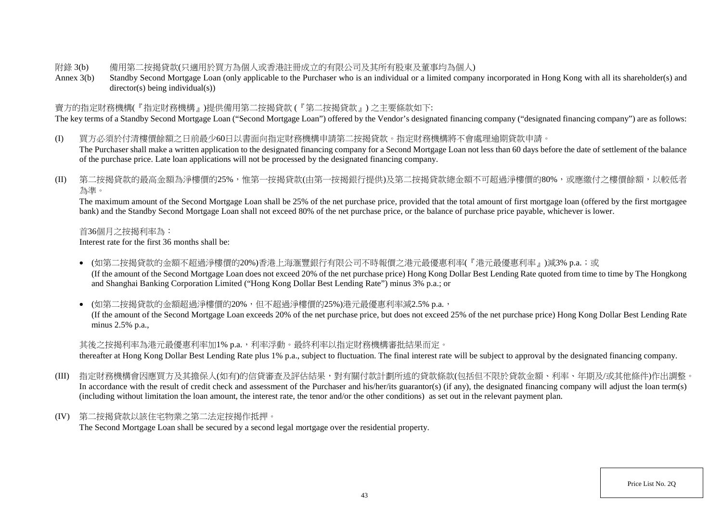### 附錄 3(b) 備用第二按揭貸款(只適用於買方為個人或香港註冊成立的有限公司及其所有股東及董事均為個人)

Annex 3(b) Standby Second Mortgage Loan (only applicable to the Purchaser who is an individual or a limited company incorporated in Hong Kong with all its shareholder(s) and director(s) being individual(s))

### 賣方的指定財務機構(『指定財務機構』)提供備用第二按揭貸款 (『第二按揭貸款』) 之主要條款如下:

The key terms of a Standby Second Mortgage Loan ("Second Mortgage Loan") offered by the Vendor's designated financing company ("designated financing company") are as follows:

- (I) 買方必須於付清樓價餘額之日前最少60日以書面向指定財務機構申請第二按揭貸款。指定財務機構將不會處理逾期貸款申請。 The Purchaser shall make a written application to the designated financing company for a Second Mortgage Loan not less than 60 days before the date of settlement of the balance of the purchase price. Late loan applications will not be processed by the designated financing company.
- (II) 第二按揭貸款的最高金額為淨樓價的25%,惟第一按揭貸款(由第一按揭銀行提供)及第二按揭貸款總金額不可超過淨樓價的80%,或應繳付之樓價餘額,以較低者 為準。

The maximum amount of the Second Mortgage Loan shall be 25% of the net purchase price, provided that the total amount of first mortgage loan (offered by the first mortgagee bank) and the Standby Second Mortgage Loan shall not exceed 80% of the net purchase price, or the balance of purchase price payable, whichever is lower.

首36個月之按揭利率為:

Interest rate for the first 36 months shall be:

• (如第二按揭貸款的金額不超過淨樓價的20%)香港上海滙豐銀行有限公司不時報價之港元最優惠利率(『港元最優惠利率』)減3% p.a.;或 (If the amount of the Second Mortgage Loan does not exceed 20% of the net purchase price) Hong Kong Dollar Best Lending Rate quoted from time to time by The Hongkong and Shanghai Banking Corporation Limited ("Hong Kong Dollar Best Lending Rate") minus 3% p.a.; or

• (如第二按揭貸款的金額超過淨樓價的20%,但不超過淨樓價的25%)港元最優惠利率減2.5% p.a., (If the amount of the Second Mortgage Loan exceeds 20% of the net purchase price, but does not exceed 25% of the net purchase price) Hong Kong Dollar Best Lending Rate minus 2.5% p.a.,

其後之按揭利率為港元最優惠利率加1% p.a.,利率浮動。最終利率以指定財務機構審批結果而定。

thereafter at Hong Kong Dollar Best Lending Rate plus 1% p.a., subject to fluctuation. The final interest rate will be subject to approval by the designated financing company.

- (III) 指定財務機構會因應買方及其擔保人(如有)的信貸審查及評估結果,對有關付款計劃所述的貸款條款(包括但不限於貸款金額、利率、年期及/或其他條件)作出調整。 In accordance with the result of credit check and assessment of the Purchaser and his/her/its guarantor(s) (if any), the designated financing company will adjust the loan term(s) (including without limitation the loan amount, the interest rate, the tenor and/or the other conditions) as set out in the relevant payment plan.
- (IV) 第二按揭貸款以該住宅物業之第二法定按揭作抵押。 The Second Mortgage Loan shall be secured by a second legal mortgage over the residential property.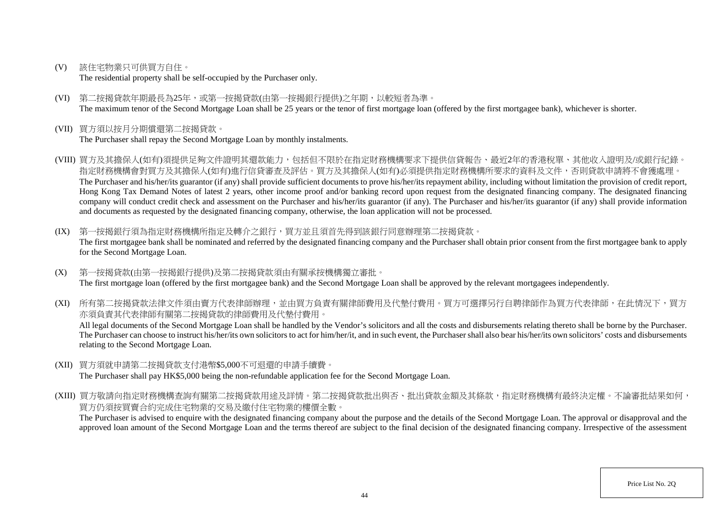(V) 該住宅物業只可供買方自住。

The residential property shall be self-occupied by the Purchaser only.

- (VI) 第二按揭貸款年期最長為25年,或第一按揭貸款(由第一按揭銀行提供)之年期,以較短者為準。 The maximum tenor of the Second Mortgage Loan shall be 25 years or the tenor of first mortgage loan (offered by the first mortgagee bank), whichever is shorter.
- (VII) 買方須以按月分期償還第二按揭貸款。

The Purchaser shall repay the Second Mortgage Loan by monthly instalments.

- (VIII) 買方及其擔保人(如有)須提供足夠文件證明其還款能力,包括但不限於在指定財務機構要求下提供信貸報告、最近2年的香港稅單、其他收入證明及/或銀行紀錄。 指定財務機構會對買方及其擔保人(如有)進行信貸審查及評估。買方及其擔保人(如有)必須提供指定財務機構所要求的資料及文件,否則貸款申請將不會獲處理。 The Purchaser and his/her/its guarantor (if any) shall provide sufficient documents to prove his/her/its repayment ability, including without limitation the provision of credit report, Hong Kong Tax Demand Notes of latest 2 years, other income proof and/or banking record upon request from the designated financing company. The designated financing company will conduct credit check and assessment on the Purchaser and his/her/its guarantor (if any). The Purchaser and his/her/its guarantor (if any) shall provide information and documents as requested by the designated financing company, otherwise, the loan application will not be processed.
- (IX) 第一按揭銀行須為指定財務機構所指定及轉介之銀行,買方並且須首先得到該銀行同意辦理第二按揭貸款。 The first mortgagee bank shall be nominated and referred by the designated financing company and the Purchaser shall obtain prior consent from the first mortgagee bank to apply for the Second Mortgage Loan.
- (X) 第一按揭貸款(由第一按揭銀行提供)及第二按揭貸款須由有關承按機構獨立審批。 The first mortgage loan (offered by the first mortgagee bank) and the Second Mortgage Loan shall be approved by the relevant mortgagees independently.

(XI) 所有第二按揭貸款法律文件須由賣方代表律師辦理,並由買方負責有關律師費用及代墊付費用。買方可選擇另行自聘律師作為買方代表律師,在此情況下,買方 亦須負責其代表律師有關第二按揭貸款的律師費用及代墊付費用。

All legal documents of the Second Mortgage Loan shall be handled by the Vendor's solicitors and all the costs and disbursements relating thereto shall be borne by the Purchaser. The Purchaser can choose to instruct his/her/its own solicitors to act for him/her/it, and in such event, the Purchaser shall also bear his/her/its own solicitors' costs and disbursements relating to the Second Mortgage Loan.

- (XII) 買方須就申請第二按揭貸款支付港幣\$5,000不可退還的申請手續費。 The Purchaser shall pay HK\$5,000 being the non-refundable application fee for the Second Mortgage Loan.
- (XIII) 買方敬請向指定財務機構查詢有關第二按揭貸款用途及詳情。第二按揭貸款批出與否、批出貸款金額及其條款,指定財務機構有最終決定權。不論審批結果如何, 買方仍須按買賣合約完成住宅物業的交易及繳付住宅物業的樓價全數。

The Purchaser is advised to enquire with the designated financing company about the purpose and the details of the Second Mortgage Loan. The approval or disapproval and the approved loan amount of the Second Mortgage Loan and the terms thereof are subject to the final decision of the designated financing company. Irrespective of the assessment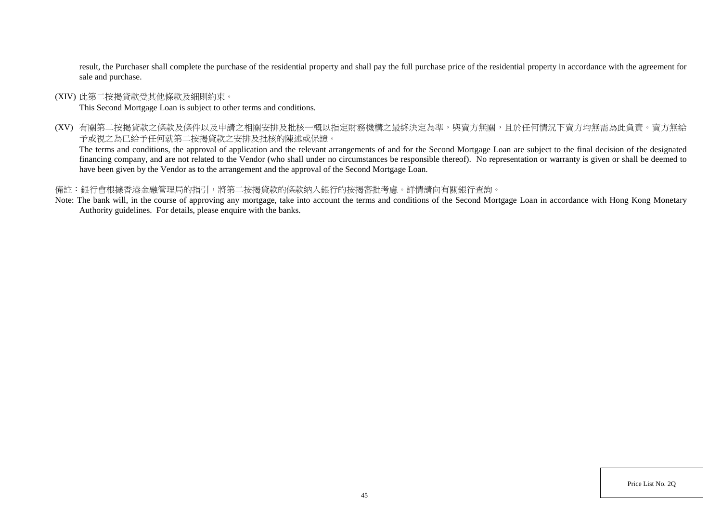result, the Purchaser shall complete the purchase of the residential property and shall pay the full purchase price of the residential property in accordance with the agreement for sale and purchase.

(XIV) 此第二按揭貸款受其他條款及細則約束。

This Second Mortgage Loan is subject to other terms and conditions.

(XV) 有關第二按揭貸款之條款及條件以及申請之相關安排及批核一概以指定財務機構之最終決定為準,與賣方無關,且於任何情況下賣方均無需為此負責。賣方無給 予或視之為已給予任何就第二按揭貸款之安排及批核的陳述或保證。

The terms and conditions, the approval of application and the relevant arrangements of and for the Second Mortgage Loan are subject to the final decision of the designated financing company, and are not related to the Vendor (who shall under no circumstances be responsible thereof). No representation or warranty is given or shall be deemed to have been given by the Vendor as to the arrangement and the approval of the Second Mortgage Loan.

### 備註:銀行會根據香港金融管理局的指引,將第二按揭貸款的條款納入銀行的按揭審批考慮。詳情請向有關銀行查詢。

Note: The bank will, in the course of approving any mortgage, take into account the terms and conditions of the Second Mortgage Loan in accordance with Hong Kong Monetary Authority guidelines. For details, please enquire with the banks.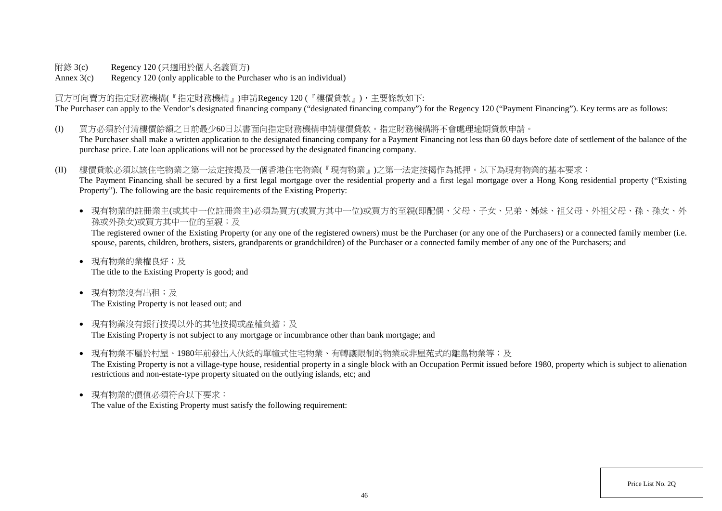附錄 3(c) Regency 120 (只適用於個人名義買方)

Annex 3(c) Regency 120 (only applicable to the Purchaser who is an individual)

買方可向賣方的指定財務機構(『指定財務機構』)申請Regency 120 (『樓價貸款』),主要條款如下: The Purchaser can apply to the Vendor's designated financing company ("designated financing company") for the Regency 120 ("Payment Financing"). Key terms are as follows:

(I) 買方必須於付清樓價餘額之日前最少60日以書面向指定財務機構申請樓價貸款。指定財務機構將不會處理逾期貸款申請。 The Purchaser shall make a written application to the designated financing company for a Payment Financing not less than 60 days before date of settlement of the balance of the purchase price. Late loan applications will not be processed by the designated financing company.

(II) 樓價貸款必須以該住宅物業之第一法定按揭及一個香港住宅物業(『現有物業』)之第一法定按揭作為抵押。以下為現有物業的基本要求: The Payment Financing shall be secured by a first legal mortgage over the residential property and a first legal mortgage over a Hong Kong residential property ("Existing Property"). The following are the basic requirements of the Existing Property:

● 現有物業的註冊業主(或其中一位註冊業主)必須為買方(或買方其中一位)或買方的至親(即配偶、父母、子女、兄弟、姊妹、祖父母、外祖父母、孫、孫女、外 孫或外孫女)或買方其中一位的至親;及

The registered owner of the Existing Property (or any one of the registered owners) must be the Purchaser (or any one of the Purchasers) or a connected family member (i.e. spouse, parents, children, brothers, sisters, grandparents or grandchildren) of the Purchaser or a connected family member of any one of the Purchasers; and

- 現有物業的業權良好;及 The title to the Existing Property is good; and
- 現有物業沒有出租;及 The Existing Property is not leased out; and
- 現有物業沒有銀行按揭以外的其他按揭或產權負擔;及 The Existing Property is not subject to any mortgage or incumbrance other than bank mortgage; and
- 現有物業不屬於村屋、1980年前發出入伙紙的單幢式住宅物業、有轉讓限制的物業或非屋苑式的離鳥物業等;及 The Existing Property is not a village-type house, residential property in a single block with an Occupation Permit issued before 1980, property which is subject to alienation restrictions and non-estate-type property situated on the outlying islands, etc; and
- 現有物業的價值必須符合以下要求: The value of the Existing Property must satisfy the following requirement: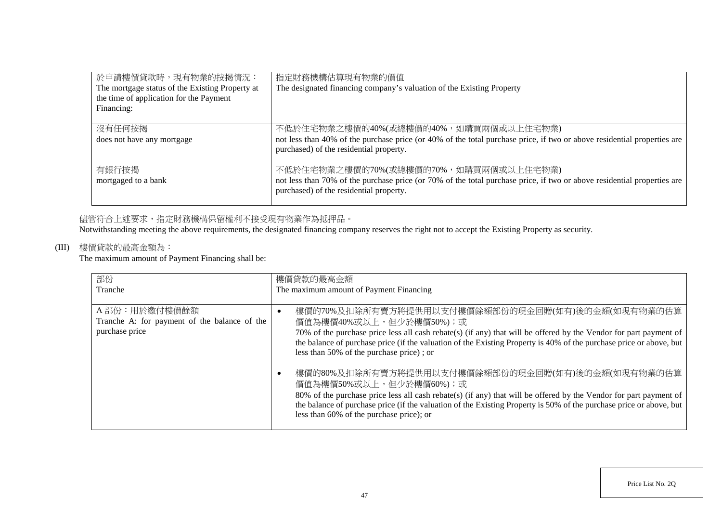| 於申請樓價貸款時,現有物業的按揭情況:<br>The mortgage status of the Existing Property at<br>the time of application for the Payment<br>Financing: | 指定財務機構估算現有物業的價值<br>The designated financing company's valuation of the Existing Property                                                                                                                    |
|---------------------------------------------------------------------------------------------------------------------------------|-------------------------------------------------------------------------------------------------------------------------------------------------------------------------------------------------------------|
| 沒有任何按揭<br>does not have any mortgage                                                                                            | 不低於住宅物業之樓價的40%(或總樓價的40%,如購買兩個或以上住宅物業)<br>not less than 40% of the purchase price (or 40% of the total purchase price, if two or above residential properties are<br>purchased) of the residential property. |
| 有銀行按揭<br>mortgaged to a bank                                                                                                    | 不低於住宅物業之樓價的70%(或總樓價的70%,如購買兩個或以上住宅物業)<br>not less than 70% of the purchase price (or 70% of the total purchase price, if two or above residential properties are<br>purchased) of the residential property. |

# 儘管符合上述要求,指定財務機構保留權利不接受現有物業作為抵押品。

Notwithstanding meeting the above requirements, the designated financing company reserves the right not to accept the Existing Property as security.

## (III) 樓價貸款的最高金額為:

The maximum amount of Payment Financing shall be:

| 部份                                           | 樓價貸款的最高金額                                                                                                           |
|----------------------------------------------|---------------------------------------------------------------------------------------------------------------------|
| Tranche                                      | The maximum amount of Payment Financing                                                                             |
|                                              |                                                                                                                     |
| A部份:用於繳付樓價餘額                                 | 樓價的70%及扣除所有賣方將提供用以支付樓價餘額部份的現金回贈(如有)後的金額(如現有物業的估算                                                                    |
| Tranche A: for payment of the balance of the | 價值為樓價40%或以上,但少於樓價50%);或                                                                                             |
| purchase price                               | 70% of the purchase price less all cash rebate(s) (if any) that will be offered by the Vendor for part payment of   |
|                                              | the balance of purchase price (if the valuation of the Existing Property is 40% of the purchase price or above, but |
|                                              | less than 50% of the purchase price); or                                                                            |
|                                              |                                                                                                                     |
|                                              | 樓價的80%及扣除所有賣方將提供用以支付樓價餘額部份的現金回贈(如有)後的金額(如現有物業的估算                                                                    |
|                                              | 價值為樓價50%或以上,但少於樓價60%);或                                                                                             |
|                                              | 80% of the purchase price less all cash rebate(s) (if any) that will be offered by the Vendor for part payment of   |
|                                              | the balance of purchase price (if the valuation of the Existing Property is 50% of the purchase price or above, but |
|                                              | less than 60% of the purchase price); or                                                                            |
|                                              |                                                                                                                     |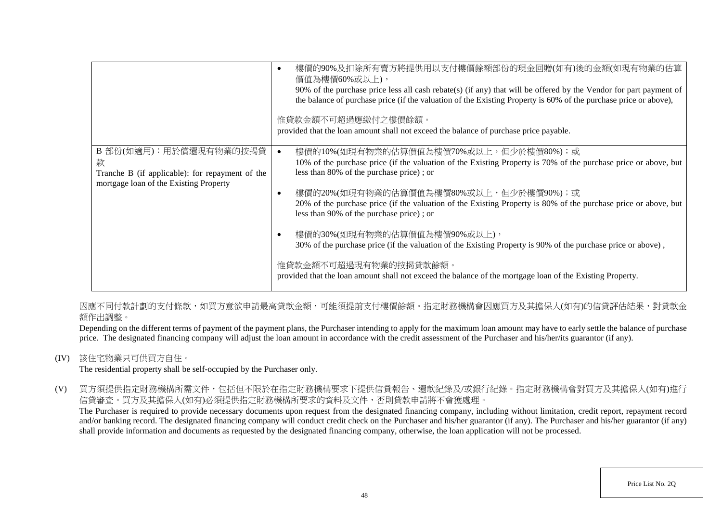|                                                                                                                          | 樓價的90%及扣除所有賣方將提供用以支付樓價餘額部份的現金回贈(如有)後的金額(如現有物業的估算<br>價值為樓價60%或以上),<br>90% of the purchase price less all cash rebate(s) (if any) that will be offered by the Vendor for part payment of<br>the balance of purchase price (if the valuation of the Existing Property is 60% of the purchase price or above),<br>惟貸款金額不可超過應繳付之樓價餘額。<br>provided that the loan amount shall not exceed the balance of purchase price payable.                                                                                                                                                                                                                                                                                              |
|--------------------------------------------------------------------------------------------------------------------------|------------------------------------------------------------------------------------------------------------------------------------------------------------------------------------------------------------------------------------------------------------------------------------------------------------------------------------------------------------------------------------------------------------------------------------------------------------------------------------------------------------------------------------------------------------------------------------------------------------------------------------------------------------------------------------------------------------------------|
| B 部份(如適用):用於償還現有物業的按揭貸<br>款<br>Tranche B (if applicable): for repayment of the<br>mortgage loan of the Existing Property | 樓價的10%(如現有物業的估算價值為樓價70%或以上,但少於樓價80%);或<br>10% of the purchase price (if the valuation of the Existing Property is 70% of the purchase price or above, but<br>less than 80% of the purchase price); or<br>樓價的20%(如現有物業的估算價值為樓價80%或以上,但少於樓價90%);或<br>O<br>20% of the purchase price (if the valuation of the Existing Property is 80% of the purchase price or above, but<br>less than 90% of the purchase price); or<br>樓價的30%(如現有物業的估算價值為樓價90%或以上),<br>$\bullet$<br>30% of the purchase price (if the valuation of the Existing Property is 90% of the purchase price or above),<br>惟貸款金額不可超過現有物業的按揭貸款餘額。<br>provided that the loan amount shall not exceed the balance of the mortgage loan of the Existing Property. |

因應不同付款計劃的支付條款,如買方意欲申請最高貸款金額,可能須提前支付樓價餘額。指定財務機構會因應買方及其擔保人(如有)的信貸評估結果,對貸款金 額作出調整。

Depending on the different terms of payment of the payment plans, the Purchaser intending to apply for the maximum loan amount may have to early settle the balance of purchase price. The designated financing company will adjust the loan amount in accordance with the credit assessment of the Purchaser and his/her/its guarantor (if any).

(IV) 該住宅物業只可供買方自住。

The residential property shall be self-occupied by the Purchaser only.

(V) 買方須提供指定財務機構所需文件,包括但不限於在指定財務機構要求下提供信貸報告、還款紀錄及/或銀行紀錄。指定財務機構會對買方及其擔保人(如有)進行 信貸審查。買方及其擔保人(如有)必須提供指定財務機構所要求的資料及文件,否則貸款申請將不會獲處理。

The Purchaser is required to provide necessary documents upon request from the designated financing company, including without limitation, credit report, repayment record and/or banking record. The designated financing company will conduct credit check on the Purchaser and his/her guarantor (if any). The Purchaser and his/her guarantor (if any) shall provide information and documents as requested by the designated financing company, otherwise, the loan application will not be processed.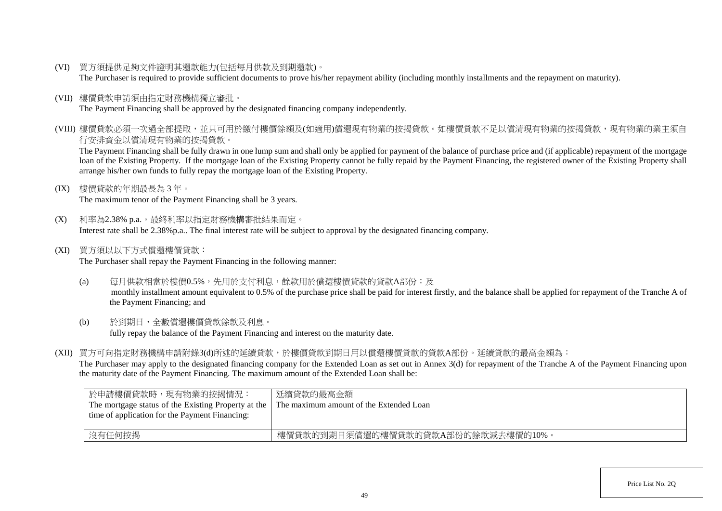(VI) 買方須提供足夠文件證明其還款能力(包括每月供款及到期還款)。

The Purchaser is required to provide sufficient documents to prove his/her repayment ability (including monthly installments and the repayment on maturity).

(VII) 樓價貸款申請須由指定財務機構獨立審批。

The Payment Financing shall be approved by the designated financing company independently.

(VIII) 樓價貸款必須一次過全部提取,並只可用於繳付樓價餘額及(如適用)償還現有物業的按揭貸款。如樓價貸款不足以償清現有物業的按揭貸款,現有物業的業主須自 行安排資金以償清現有物業的按揭貸款。

The Payment Financing shall be fully drawn in one lump sum and shall only be applied for payment of the balance of purchase price and (if applicable) repayment of the mortgage loan of the Existing Property. If the mortgage loan of the Existing Property cannot be fully repaid by the Payment Financing, the registered owner of the Existing Property shall arrange his/her own funds to fully repay the mortgage loan of the Existing Property.

(IX) 樓價貸款的年期最長為 3 年。

The maximum tenor of the Payment Financing shall be 3 years.

- (X) 利率為2.38% p.a.。最終利率以指定財務機構審批結果而定。 Interest rate shall be 2.38%p.a.. The final interest rate will be subject to approval by the designated financing company.
- (XI) 買方須以以下方式償還樓價貸款:

The Purchaser shall repay the Payment Financing in the following manner:

- (a) 每月供款相當於樓價0.5%,先用於支付利息,餘款用於償還樓價貸款的貸款A部份;及 monthly installment amount equivalent to 0.5% of the purchase price shall be paid for interest firstly, and the balance shall be applied for repayment of the Tranche A of the Payment Financing; and
- (b) 於到期日,全數償還樓價貸款餘款及利息。 fully repay the balance of the Payment Financing and interest on the maturity date.
- (XII) 買方可向指定財務機構申請附錄3(d)所述的延續貸款,於樓價貸款到期日用以償還樓價貸款的貸款A部份。延續貸款的最高金額為:

The Purchaser may apply to the designated financing company for the Extended Loan as set out in Annex 3(d) for repayment of the Tranche A of the Payment Financing upon the maturity date of the Payment Financing. The maximum amount of the Extended Loan shall be:

| 於申請樓價貸款時,現有物業的按揭情況:                                 | 延續貸款的最高金額                               |
|-----------------------------------------------------|-----------------------------------------|
| The mortgage status of the Existing Property at the | The maximum amount of the Extended Loan |
| time of application for the Payment Financing:      |                                         |
|                                                     |                                         |
| 沒有任何按揭                                              | 樓價貸款的到期日須償還的樓價貸款的貸款A部份的餘款減去樓價的10%。      |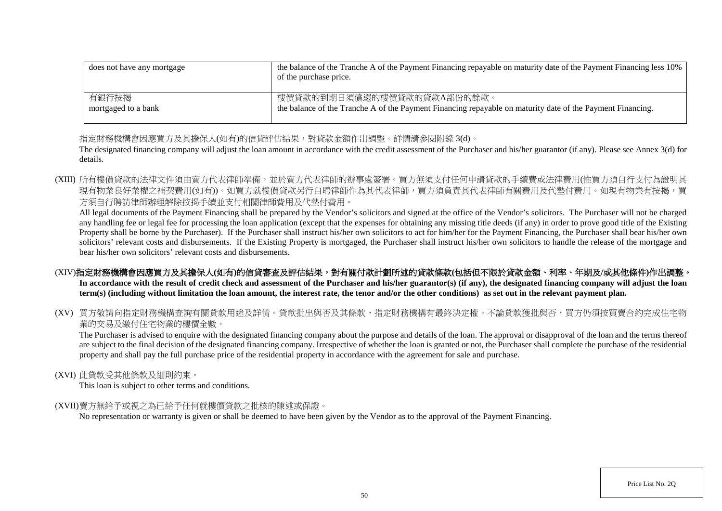| does not have any mortgage | the balance of the Tranche A of the Payment Financing repayable on maturity date of the Payment Financing less 10%<br>of the purchase price. |
|----------------------------|----------------------------------------------------------------------------------------------------------------------------------------------|
| 有銀行按揭                      | 樓價貸款的到期日須償還的樓價貸款的貸款A部份的餘款。                                                                                                                   |
| mortgaged to a bank        | the balance of the Tranche A of the Payment Financing repayable on maturity date of the Payment Financing.                                   |

指定財務機構會因應買方及其擔保人(如有)的信貸評估結果,對貸款金額作出調整。詳情請參閱附錄 3(d)。

The designated financing company will adjust the loan amount in accordance with the credit assessment of the Purchaser and his/her guarantor (if any). Please see Annex 3(d) for details.

(XIII) 所有樓價貸款的法律文件須由賣方代表律師準備,並於賣方代表律師的辦事處簽署。買方無須支付任何申請貸款的手續費或法律費用(惟買方須自行支付為證明其 現有物業良好業權之補契費用(如有))。如買方就樓價貸款另行自聘律師作為其代表律師,買方須負責其代表律師有關費用及代墊付費用。如現有物業有按揭,買 方須自行聘請律師辦理解除按揭手續並支付相關律師費用及代墊付費用。

All legal documents of the Payment Financing shall be prepared by the Vendor's solicitors and signed at the office of the Vendor's solicitors. The Purchaser will not be charged any handling fee or legal fee for processing the loan application (except that the expenses for obtaining any missing title deeds (if any) in order to prove good title of the Existing Property shall be borne by the Purchaser). If the Purchaser shall instruct his/her own solicitors to act for him/her for the Payment Financing, the Purchaser shall bear his/her own solicitors' relevant costs and disbursements. If the Existing Property is mortgaged, the Purchaser shall instruct his/her own solicitors to handle the release of the mortgage and bear his/her own solicitors' relevant costs and disbursements.

# (XIV)指定財務機構會因應買方及其擔保人(如有)的信貸審查及評估結果,對有關付款計劃所述的貸款條款(包括但不限於貸款金額、利率、年期及/或其他條件)作出調整。

In accordance with the result of credit check and assessment of the Purchaser and his/her guarantor(s) (if any), the designated financing company will adjust the loan **term(s) (including without limitation the loan amount, the interest rate, the tenor and/or the other conditions) as set out in the relevant payment plan.**

(XV) 買方敬請向指定財務機構查詢有關貸款用途及詳情。貸款批出與否及其條款,指定財務機構有最終決定權。不論貸款獲批與否,買方仍須按買賣合約完成住宅物 業的交易及繳付住宅物業的樓價全數。

The Purchaser is advised to enquire with the designated financing company about the purpose and details of the loan. The approval or disapproval of the loan and the terms thereof are subject to the final decision of the designated financing company. Irrespective of whether the loan is granted or not, the Purchaser shall complete the purchase of the residential property and shall pay the full purchase price of the residential property in accordance with the agreement for sale and purchase.

### (XVI) 此貸款受其他條款及細則約束。

This loan is subject to other terms and conditions.

### (XVII)賣方無給予或視之為已給予任何就樓價貸款之批核的陳述或保證。

No representation or warranty is given or shall be deemed to have been given by the Vendor as to the approval of the Payment Financing.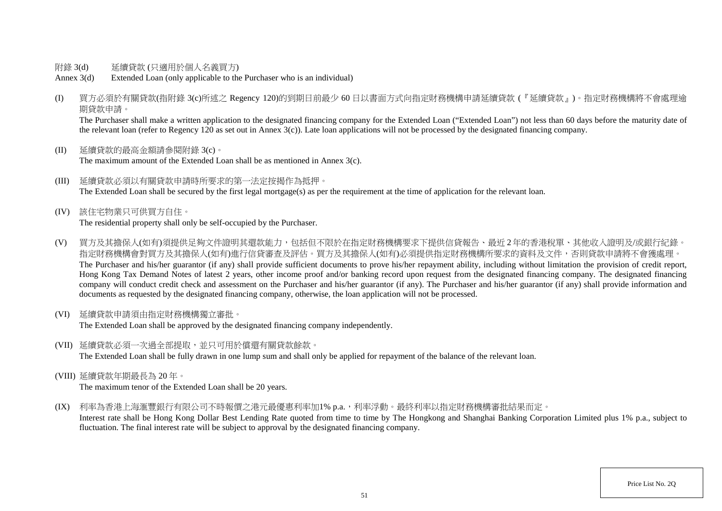- 附錄 3(d) 延續貸款 (只適用於個人名義買方)
- Annex 3(d) Extended Loan (only applicable to the Purchaser who is an individual)
- (I) 買方必須於有關貸款(指附錄 3(c)所述之 Regency 120)的到期日前最少 60 日以書面方式向指定財務機構申請延續貸款 (『延續貸款』)。指定財務機構將不會處理逾 期貸款申請。

The Purchaser shall make a written application to the designated financing company for the Extended Loan ("Extended Loan") not less than 60 days before the maturity date of the relevant loan (refer to Regency 120 as set out in Annex  $3(c)$ ). Late loan applications will not be processed by the designated financing company.

- (II) 延續貸款的最高金額請參閱附錄 3(c)。 The maximum amount of the Extended Loan shall be as mentioned in Annex 3(c).
- (III) 延續貸款必須以有關貸款申請時所要求的第一法定按揭作為抵押。 The Extended Loan shall be secured by the first legal mortgage(s) as per the requirement at the time of application for the relevant loan.
- (IV) 該住宅物業只可供買方自住。 The residential property shall only be self-occupied by the Purchaser.
- (V) 買方及其擔保人(如有)須提供足夠文件證明其還款能力,包括但不限於在指定財務機構要求下提供信貸報告、最近 2 年的香港稅單、其他收入證明及/或銀行紀錄。 指定財務機構會對買方及其擔保人(如有)進行信貸審查及評估。買方及其擔保人(如有)必須提供指定財務機構所要求的資料及文件,否則貸款申請將不會獲處理。 The Purchaser and his/her guarantor (if any) shall provide sufficient documents to prove his/her repayment ability, including without limitation the provision of credit report, Hong Kong Tax Demand Notes of latest 2 years, other income proof and/or banking record upon request from the designated financing company. The designated financing company will conduct credit check and assessment on the Purchaser and his/her guarantor (if any). The Purchaser and his/her guarantor (if any) shall provide information and documents as requested by the designated financing company, otherwise, the loan application will not be processed.
- (VI) 延續貸款申請須由指定財務機構獨立審批。

The Extended Loan shall be approved by the designated financing company independently.

(VII) 延續貸款必須一次過全部提取,並只可用於償還有關貸款餘款。

The Extended Loan shall be fully drawn in one lump sum and shall only be applied for repayment of the balance of the relevant loan.

(VIII) 延續貸款年期最長為 20 年。

The maximum tenor of the Extended Loan shall be 20 years.

(IX) 利率為香港上海滙豐銀行有限公司不時報價之港元最優惠利率加1% p.a., 利率浮動。最終利率以指定財務機構審批結果而定。

Interest rate shall be Hong Kong Dollar Best Lending Rate quoted from time to time by The Hongkong and Shanghai Banking Corporation Limited plus 1% p.a., subject to fluctuation. The final interest rate will be subject to approval by the designated financing company.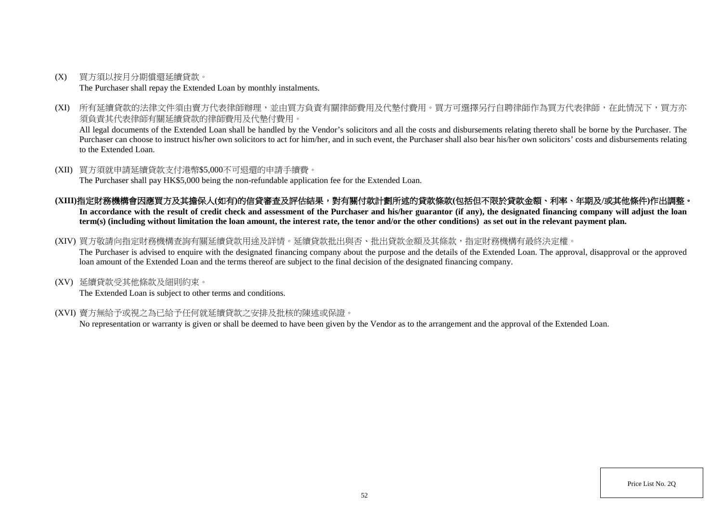- (X) 買方須以按月分期償還延續貸款。 The Purchaser shall repay the Extended Loan by monthly instalments.
- (XI) 所有延續貸款的法律文件須由賣方代表律師辦理,並由買方負責有關律師費用及代墊付費用。買方可選擇另行自聘律師作為買方代表律師,在此情況下,買方亦 須負責其代表律師有關延續貸款的律師費用及代墊付費用。

All legal documents of the Extended Loan shall be handled by the Vendor's solicitors and all the costs and disbursements relating thereto shall be borne by the Purchaser. The Purchaser can choose to instruct his/her own solicitors to act for him/her, and in such event, the Purchaser shall also bear his/her own solicitors' costs and disbursements relating to the Extended Loan.

(XII) 買方須就申請延續貸款支付港幣\$5,000不可退還的申請手續費。

The Purchaser shall pay HK\$5,000 being the non-refundable application fee for the Extended Loan.

- **(XIII)**指定財務機構會因應買方及其擔保人**(**如有**)**的信貸審查及評估結果,對有關付款計劃所述的貸款條款**(**包括但不限於貸款金額、利率、年期及**/**或其他條件**)**作出調整。 In accordance with the result of credit check and assessment of the Purchaser and his/her guarantor (if any), the designated financing company will adjust the loan **term(s) (including without limitation the loan amount, the interest rate, the tenor and/or the other conditions) as set out in the relevant payment plan.**
- (XIV) 買方敬請向指定財務機構查詢有關延續貸款用途及詳情。延續貸款批出與否、批出貸款金額及其條款,指定財務機構有最終決定權。

The Purchaser is advised to enquire with the designated financing company about the purpose and the details of the Extended Loan. The approval, disapproval or the approved loan amount of the Extended Loan and the terms thereof are subject to the final decision of the designated financing company.

(XV) 延續貸款受其他條款及細則約束。

The Extended Loan is subject to other terms and conditions.

(XVI) 賣方無給予或視之為已給予任何就延續貸款之安排及批核的陳述或保證。

No representation or warranty is given or shall be deemed to have been given by the Vendor as to the arrangement and the approval of the Extended Loan.